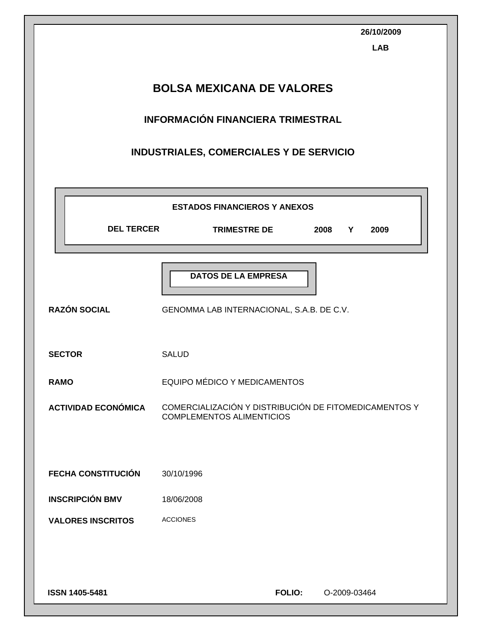|                                  | 26/10/2009<br><b>LAB</b>                                                                  |  |  |  |
|----------------------------------|-------------------------------------------------------------------------------------------|--|--|--|
| <b>BOLSA MEXICANA DE VALORES</b> |                                                                                           |  |  |  |
|                                  | <b>INFORMACIÓN FINANCIERA TRIMESTRAL</b>                                                  |  |  |  |
|                                  | INDUSTRIALES, COMERCIALES Y DE SERVICIO                                                   |  |  |  |
|                                  |                                                                                           |  |  |  |
| <b>DEL TERCER</b>                | <b>ESTADOS FINANCIEROS Y ANEXOS</b><br><b>TRIMESTRE DE</b><br>2008<br>2009<br>Y           |  |  |  |
| <b>RAZÓN SOCIAL</b>              | <b>DATOS DE LA EMPRESA</b><br>GENOMMA LAB INTERNACIONAL, S.A.B. DE C.V.                   |  |  |  |
| <b>SECTOR</b>                    | <b>SALUD</b>                                                                              |  |  |  |
| <b>RAMO</b>                      | EQUIPO MÉDICO Y MEDICAMENTOS                                                              |  |  |  |
| <b>ACTIVIDAD ECONÓMICA</b>       | COMERCIALIZACIÓN Y DISTRIBUCIÓN DE FITOMEDICAMENTOS Y<br><b>COMPLEMENTOS ALIMENTICIOS</b> |  |  |  |
| <b>FECHA CONSTITUCIÓN</b>        | 30/10/1996                                                                                |  |  |  |
| <b>INSCRIPCIÓN BMV</b>           | 18/06/2008                                                                                |  |  |  |
| <b>VALORES INSCRITOS</b>         | <b>ACCIONES</b>                                                                           |  |  |  |
|                                  |                                                                                           |  |  |  |
| ISSN 1405-5481                   | <b>FOLIO:</b><br>O-2009-03464                                                             |  |  |  |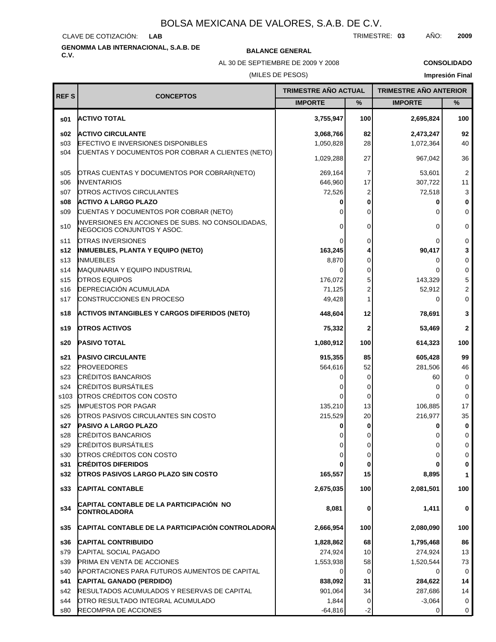CLAVE DE COTIZACIÓN: **LAB**

# **GENOMMA LAB INTERNACIONAL, S.A.B. DE C.V. BALANCE GENERAL**

AL 30 DE SEPTIEMBRE DE 2009 Y 2008

**CONSOLIDADO**

### (MILES DE PESOS)

| <b>REFS</b>     | <b>CONCEPTOS</b>                                                                | TRIMESTRE AÑO ACTUAL |         | <b>TRIMESTRE AÑO ANTERIOR</b> |                         |
|-----------------|---------------------------------------------------------------------------------|----------------------|---------|-------------------------------|-------------------------|
|                 |                                                                                 | <b>IMPORTE</b>       | %       | <b>IMPORTE</b>                | ℅                       |
| \$01            | <b>ACTIVO TOTAL</b>                                                             | 3,755,947            | 100     | 2,695,824                     | 100                     |
| s02             | <b>ACTIVO CIRCULANTE</b>                                                        | 3,068,766            | 82      | 2,473,247                     | 92                      |
| s03             | <b>EFECTIVO E INVERSIONES DISPONIBLES</b>                                       | 1,050,828            | 28      | 1,072,364                     | 40                      |
| s04             | CUENTAS Y DOCUMENTOS POR COBRAR A CLIENTES (NETO)                               | 1,029,288            | 27      | 967,042                       | 36                      |
| s05             | OTRAS CUENTAS Y DOCUMENTOS POR COBRAR(NETO)                                     | 269,164              | 7       | 53,601                        | $\overline{2}$          |
| \$06            | <b>INVENTARIOS</b>                                                              | 646,960              | 17      | 307,722                       | 11                      |
| s07             | OTROS ACTIVOS CIRCULANTES                                                       | 72,526               | 2       | 72,518                        | 3                       |
| s08             | <b>ACTIVO A LARGO PLAZO</b>                                                     | 0                    | 0       | 0                             | $\bf{0}$                |
| S <sub>09</sub> | CUENTAS Y DOCUMENTOS POR COBRAR (NETO)                                          | ∩                    | 0       | Ω                             | $\Omega$                |
| s10             | INVERSIONES EN ACCIONES DE SUBS. NO CONSOLIDADAS,<br>NEGOCIOS CONJUNTOS Y ASOC. | 0                    | 0       | 0                             | 0                       |
| s11             | <b>OTRAS INVERSIONES</b>                                                        | 0                    | 0       |                               | 0                       |
| s12             | <b>INMUEBLES, PLANTA Y EQUIPO (NETO)</b>                                        | 163,245              |         | 90,417                        | 3                       |
| s13             | <b>INMUEBLES</b>                                                                | 8,870                | 0       | 0                             | 0                       |
| s14             | MAQUINARIA Y EQUIPO INDUSTRIAL                                                  | 0                    | 0       |                               | $\mathbf 0$             |
| s15             | OTROS EQUIPOS                                                                   | 176,072              | 5       | 143,329                       | 5                       |
| s16             | DEPRECIACIÓN ACUMULADA                                                          | 71,125               | 2       | 52,912                        | $\overline{\mathbf{c}}$ |
| s17             | CONSTRUCCIONES EN PROCESO                                                       | 49,428               |         | 0                             | $\mathbf 0$             |
| s18             | <b>ACTIVOS INTANGIBLES Y CARGOS DIFERIDOS (NETO)</b>                            | 448,604              | 12      | 78,691                        | 3                       |
| s19             | <b>OTROS ACTIVOS</b>                                                            | 75,332               | 2       | 53,469                        | $\mathbf{2}$            |
| s20             | PASIVO TOTAL                                                                    | 1,080,912            | 100     | 614,323                       | 100                     |
| s21             | <b>PASIVO CIRCULANTE</b>                                                        | 915,355              | 85      | 605,428                       | 99                      |
| s22             | <b>PROVEEDORES</b>                                                              | 564,616              | 52      | 281,506                       | 46                      |
| s23             | <b>CRÉDITOS BANCARIOS</b>                                                       | 0                    | 0       | 60                            | 0                       |
| s24             | <b>CRÉDITOS BURSÁTILES</b>                                                      |                      | 0       | Ω                             | 0                       |
| s103            | OTROS CRÉDITOS CON COSTO                                                        | 0                    | 0       | Ω                             | 0                       |
| s25             | <b>IMPUESTOS POR PAGAR</b>                                                      | 135,210              | 13      | 106,885                       | 17                      |
| s26             | OTROS PASIVOS CIRCULANTES SIN COSTO                                             | 215,529              | 20      | 216,977                       | 35                      |
| s27             | <b>PASIVO A LARGO PLAZO</b>                                                     | 0                    | 0       | n                             | 0                       |
| s28             | <b>CRÉDITOS BANCARIOS</b>                                                       |                      | Ω       |                               | $\mathbf 0$             |
| s29             | CRÉDITOS BURSÁTILES                                                             | 0                    | 0       | U                             | 0                       |
| s30             | OTROS CRÉDITOS CON COSTO                                                        | 0                    | 0       | 0                             | 0                       |
| s31<br>s32      | <b>CRÉDITOS DIFERIDOS</b><br><b>OTROS PASIVOS LARGO PLAZO SIN COSTO</b>         | 165,557              | 0<br>15 | 8,895                         | 0<br>$\mathbf{1}$       |
| s33             | <b>CAPITAL CONTABLE</b>                                                         | 2,675,035            | 100     | 2,081,501                     | 100                     |
| s34             | CAPITAL CONTABLE DE LA PARTICIPACIÓN NO<br><b>CONTROLADORA</b>                  | 8,081                | 0       | 1,411                         | 0                       |
| s35             | <b>CAPITAL CONTABLE DE LA PARTICIPACIÓN CONTROLADORA</b>                        | 2,666,954            | 100     | 2,080,090                     | 100                     |
| s36             | <b>CAPITAL CONTRIBUIDO</b>                                                      | 1,828,862            | 68      | 1,795,468                     | 86                      |
| s79             | CAPITAL SOCIAL PAGADO                                                           | 274,924              | 10      | 274,924                       | 13                      |
| s39             | PRIMA EN VENTA DE ACCIONES                                                      | 1,553,938            | 58      | 1,520,544                     | 73                      |
| s40             | APORTACIONES PARA FUTUROS AUMENTOS DE CAPITAL                                   | 0                    | 0       | 0                             | 0                       |
| s41             | CAPITAL GANADO (PERDIDO)                                                        | 838,092              | 31      | 284,622                       | 14                      |
| s42             | RESULTADOS ACUMULADOS Y RESERVAS DE CAPITAL                                     | 901,064              | 34      | 287,686                       | 14                      |
| s44             | OTRO RESULTADO INTEGRAL ACUMULADO                                               | 1,844                | 0       | $-3,064$                      | 0                       |
| s80             | RECOMPRA DE ACCIONES                                                            | $-64,816$            | -2      | 0                             | 0                       |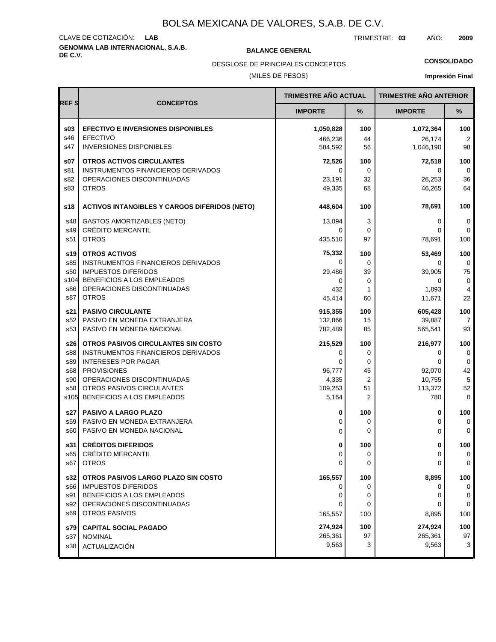# **GENOMMA LAB INTERNACIONAL, S.A.B. DE C.V. BALANCE GENERAL** CLAVE DE COTIZACIÓN: **LAB**

TRIMESTRE: **03** AÑO: **2009**

**CONSOLIDADO**

(MILES DE PESOS) DESGLOSE DE PRINCIPALES CONCEPTOS

| <b>REFS</b> |                                                          |                    | <b>TRIMESTRE AÑO ACTUAL</b> |                    | <b>TRIMESTRE AÑO ANTERIOR</b> |
|-------------|----------------------------------------------------------|--------------------|-----------------------------|--------------------|-------------------------------|
|             | <b>CONCEPTOS</b>                                         | <b>IMPORTE</b>     | %                           | <b>IMPORTE</b>     | %                             |
| \$03        | <b>EFECTIVO E INVERSIONES DISPONIBLES</b>                | 1,050,828          | 100                         | 1,072,364          | 100                           |
| s46         | <b>EFECTIVO</b>                                          | 466,236            | 44                          | 26,174             | $\overline{2}$                |
| s47         | <b>INVERSIONES DISPONIBLES</b>                           | 584,592            | 56                          | 1,046,190          | 98                            |
| s07         | <b>OTROS ACTIVOS CIRCULANTES</b>                         | 72,526             | 100                         | 72,518             | 100                           |
| s81         | INSTRUMENTOS FINANCIEROS DERIVADOS                       | 0                  | 0                           | 0                  | 0                             |
| s82<br>s83  | OPERACIONES DISCONTINUADAS<br><b>OTROS</b>               | 23,191<br>49,335   | 32<br>68                    | 26,253<br>46,265   | 36<br>64                      |
|             |                                                          |                    |                             |                    |                               |
| s18         | <b>ACTIVOS INTANGIBLES Y CARGOS DIFERIDOS (NETO)</b>     | 448,604            | 100                         | 78,691             | 100                           |
| s48         | <b>GASTOS AMORTIZABLES (NETO)</b>                        | 13,094             | 3                           | 0                  | 0                             |
| s49         | <b>CRÉDITO MERCANTIL</b>                                 | O                  | 0                           | 0                  | 0                             |
| s51         | <b>OTROS</b>                                             | 435,510            | 97                          | 78,691             | 100                           |
| s19         | <b>OTROS ACTIVOS</b>                                     | 75,332             | 100                         | 53,469             | 100                           |
| s85         | <b>INSTRUMENTOS FINANCIEROS DERIVADOS</b>                | 0                  | $\mathbf 0$                 | 0                  | 0                             |
| s50         | <b>IMPUESTOS DIFERIDOS</b><br>BENEFICIOS A LOS EMPLEADOS | 29,486             | 39                          | 39,905             | 75                            |
| s104<br>s86 | OPERACIONES DISCONTINUADAS                               | $\Omega$<br>432    | $\mathbf 0$<br>1            | 0<br>1,893         | 0<br>$\overline{4}$           |
| s87         | <b>OTROS</b>                                             | 45,414             | 60                          | 11,671             | 22                            |
|             | <b>PASIVO CIRCULANTE</b>                                 | 915,355            | 100                         |                    | 100                           |
| s21<br>s52  | PASIVO EN MONEDA EXTRANJERA                              | 132,866            | 15                          | 605,428<br>39,887  | $\overline{7}$                |
| s53         | PASIVO EN MONEDA NACIONAL                                | 782,489            | 85                          | 565,541            | 93                            |
| s26         | OTROS PASIVOS CIRCULANTES SIN COSTO                      | 215,529            | 100                         | 216,977            | 100                           |
| s88         | INSTRUMENTOS FINANCIEROS DERIVADOS                       | 0                  | $\mathbf 0$                 | 0                  | 0                             |
| s89         | <b>INTERESES POR PAGAR</b>                               | 0                  | 0                           | 0                  | 0                             |
| s68         | <b>PROVISIONES</b>                                       | 96,777             | 45                          | 92,070             | 42                            |
| s90         | OPERACIONES DISCONTINUADAS                               | 4,335              | $\overline{2}$              | 10,755             | 5                             |
| s58<br>s105 | OTROS PASIVOS CIRCULANTES<br>BENEFICIOS A LOS EMPLEADOS  | 109,253<br>5,164   | 51<br>2                     | 113,372<br>780     | 52<br>$\mathbf 0$             |
|             |                                                          |                    |                             |                    |                               |
| s27         | <b>PASIVO A LARGO PLAZO</b>                              | 0                  | 100                         | 0                  | 100                           |
| s59<br>s60  | PASIVO EN MONEDA EXTRANJERA<br>PASIVO EN MONEDA NACIONAL | 0                  | 0<br>0                      | 0                  | 0<br>0                        |
|             |                                                          | 0                  |                             | 0                  |                               |
| s31         | <b>CRÉDITOS DIFERIDOS</b>                                | 0                  | 100                         | 0                  | 100                           |
| s65         | CRÉDITO MERCANTIL                                        | 0                  | 0                           | 0                  | 0                             |
| s67         | <b>OTROS</b>                                             | 0                  | $\mathbf 0$                 | 0                  | $\mathbf 0$                   |
| s32         | OTROS PASIVOS LARGO PLAZO SIN COSTO                      | 165,557            | 100                         | 8,895              | 100                           |
| s66         | <b>IMPUESTOS DIFERIDOS</b>                               | 0                  | 0                           | 0                  | 0                             |
| s91<br>s92  | BENEFICIOS A LOS EMPLEADOS<br>OPERACIONES DISCONTINUADAS | 0<br>0             | 0<br>0                      | 0<br>0             | 0<br>0                        |
| s69         | OTROS PASIVOS                                            | 165,557            | 100                         | 8,895              | 100                           |
|             |                                                          |                    |                             |                    |                               |
| s79<br>s37  | <b>CAPITAL SOCIAL PAGADO</b><br><b>NOMINAL</b>           | 274,924<br>265,361 | 100<br>97                   | 274,924<br>265,361 | 100<br>97                     |
| s38         | ACTUALIZACIÓN                                            | 9,563              | 3                           | 9,563              | 3                             |
|             |                                                          |                    |                             |                    |                               |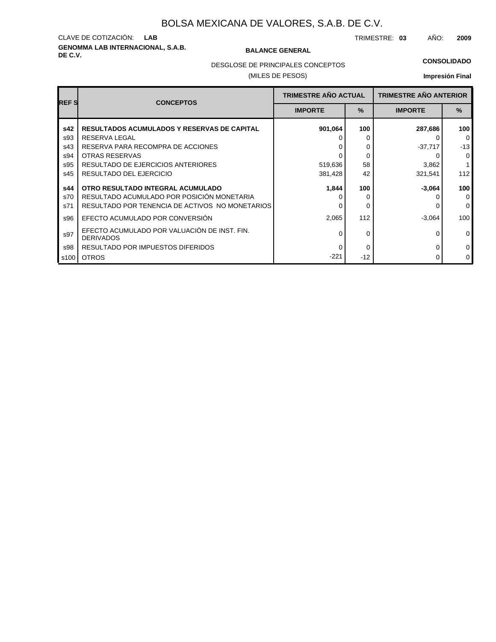# **GENOMMA LAB INTERNACIONAL, S.A.B. DE C.V. BALANCE GENERAL** CLAVE DE COTIZACIÓN: **LAB**

TRIMESTRE: **03** AÑO: **2009**

DESGLOSE DE PRINCIPALES CONCEPTOS

### (MILES DE PESOS)

### **CONSOLIDADO**

| <b>REFS</b> | <b>CONCEPTOS</b>                                                 | <b>TRIMESTRE AÑO ACTUAL</b> |               | <b>TRIMESTRE AÑO ANTERIOR</b> |             |
|-------------|------------------------------------------------------------------|-----------------------------|---------------|-------------------------------|-------------|
|             |                                                                  | <b>IMPORTE</b>              | $\frac{9}{6}$ | <b>IMPORTE</b>                | $\%$        |
| s42         | <b>RESULTADOS ACUMULADOS Y RESERVAS DE CAPITAL</b>               | 901,064                     | 100           | 287,686                       | 100         |
| s93         | RESERVA LEGAL                                                    |                             |               |                               | $\mathbf 0$ |
| s43         | RESERVA PARA RECOMPRA DE ACCIONES                                |                             | 0             | $-37,717$                     | $-13$       |
| s94         | OTRAS RESERVAS                                                   |                             | 0             |                               | $\mathbf 0$ |
| s95         | RESULTADO DE EJERCICIOS ANTERIORES                               | 519,636                     | 58            | 3,862                         |             |
| s45         | RESULTADO DEL EJERCICIO                                          | 381,428                     | 42            | 321,541                       | 112         |
| s44         | OTRO RESULTADO INTEGRAL ACUMULADO                                | 1,844                       | 100           | $-3,064$                      | 100         |
| s70         | RESULTADO ACUMULADO POR POSICIÓN MONETARIA                       |                             |               |                               | $\Omega$    |
| s71         | RESULTADO POR TENENCIA DE ACTIVOS NO MONETARIOS                  |                             | 0             |                               | $\Omega$    |
| s96         | EFECTO ACUMULADO POR CONVERSIÓN                                  | 2,065                       | 112           | $-3,064$                      | 100         |
| s97         | EFECTO ACUMULADO POR VALUACIÓN DE INST. FIN.<br><b>DERIVADOS</b> |                             | 0             | 0                             | $\mathbf 0$ |
| s98         | RESULTADO POR IMPUESTOS DIFERIDOS                                |                             | 0             | O                             | $\mathbf 0$ |
| s100        | <b>OTROS</b>                                                     | $-221$                      | $-12$         | 0                             | $\mathbf 0$ |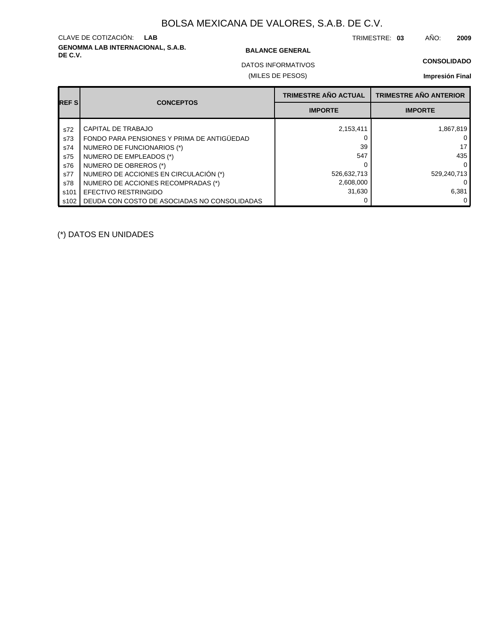# **GENOMMA LAB INTERNACIONAL, S.A.B. DE C.V. BALANCE GENERAL** CLAVE DE COTIZACIÓN: **LAB**

TRIMESTRE: **03** AÑO: **2009**

### **CONSOLIDADO**

(MILES DE PESOS) DATOS INFORMATIVOS

**Impresión Final**

| <b>REFS</b> |                                              | <b>TRIMESTRE AÑO ACTUAL</b> | <b>TRIMESTRE AÑO ANTERIOR</b> |
|-------------|----------------------------------------------|-----------------------------|-------------------------------|
|             | <b>CONCEPTOS</b>                             | <b>IMPORTE</b>              | <b>IMPORTE</b>                |
| s72         | CAPITAL DE TRABAJO                           | 2,153,411                   | 1,867,819                     |
| s73         | FONDO PARA PENSIONES Y PRIMA DE ANTIGÜEDAD   |                             | 0 <sup>1</sup>                |
| s74         | NUMERO DE FUNCIONARIOS (*)                   | 39                          | 17                            |
| s75         | NUMERO DE EMPLEADOS (*)                      | 547                         | 435                           |
| s76         | NUMERO DE OBREROS (*)                        |                             | 0 I                           |
| s77         | NUMERO DE ACCIONES EN CIRCULACIÓN (*)        | 526,632,713                 | 529,240,713                   |
| s78         | NUMERO DE ACCIONES RECOMPRADAS (*)           | 2,608,000                   | 0                             |
| s101        | EFECTIVO RESTRINGIDO                         | 31,630                      | 6,381                         |
| s102        | DEUDA CON COSTO DE ASOCIADAS NO CONSOLIDADAS |                             | $\Omega$                      |

(\*) DATOS EN UNIDADES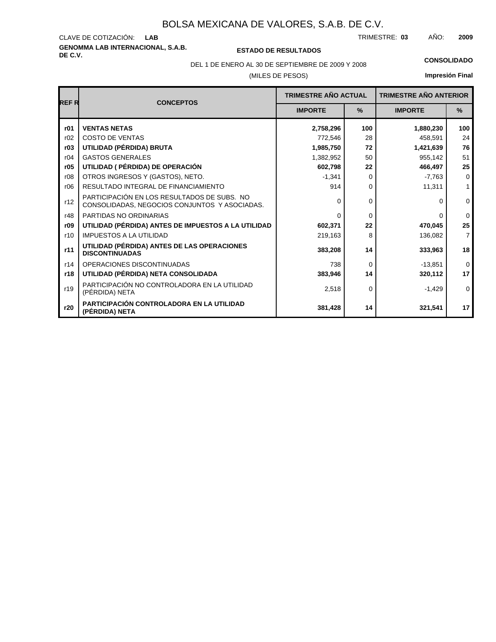# **GENOMMA LAB INTERNACIONAL, S.A.B.** CLAVE DE COTIZACIÓN:

**DE C.V. ESTADO DE RESULTADOS**

TRIMESTRE: AÑO: **LAB 03 2009**

# DEL 1 DE ENERO AL 30 DE SEPTIEMBRE DE 2009 Y 2008 **CONSOLIDADO**

(MILES DE PESOS)

| REF R | <b>CONCEPTOS</b>                                                                             | <b>TRIMESTRE AÑO ACTUAL</b> |          | <b>TRIMESTRE AÑO ANTERIOR</b> |                |
|-------|----------------------------------------------------------------------------------------------|-----------------------------|----------|-------------------------------|----------------|
|       |                                                                                              | <b>IMPORTE</b>              | $\%$     | <b>IMPORTE</b>                | $\%$           |
| r01   | <b>VENTAS NETAS</b>                                                                          | 2,758,296                   | 100      | 1,880,230                     | 100            |
| r02   | <b>COSTO DE VENTAS</b>                                                                       | 772,546                     | 28       | 458,591                       | 24             |
| r03   | UTILIDAD (PÉRDIDA) BRUTA                                                                     | 1,985,750                   | 72       | 1,421,639                     | 76             |
| r04   | <b>GASTOS GENERALES</b>                                                                      | 1,382,952                   | 50       | 955,142                       | 51             |
| r05   | UTILIDAD ( PÉRDIDA) DE OPERACIÓN                                                             | 602,798                     | 22       | 466,497                       | 25             |
| r08   | OTROS INGRESOS Y (GASTOS), NETO.                                                             | $-1,341$                    | 0        | $-7,763$                      | $\mathbf 0$    |
| r06   | RESULTADO INTEGRAL DE FINANCIAMIENTO                                                         | 914                         | 0        | 11,311                        | $\mathbf{1}$   |
| r12   | PARTICIPACIÓN EN LOS RESULTADOS DE SUBS. NO<br>CONSOLIDADAS, NEGOCIOS CONJUNTOS Y ASOCIADAS. | ∩                           | $\Omega$ | $\Omega$                      | 0              |
| r48   | PARTIDAS NO ORDINARIAS                                                                       | $\Omega$                    | $\Omega$ | $\Omega$                      | $\mathbf 0$    |
| r09   | UTILIDAD (PÉRDIDA) ANTES DE IMPUESTOS A LA UTILIDAD                                          | 602,371                     | 22       | 470,045                       | 25             |
| r10   | <b>IMPUESTOS A LA UTILIDAD</b>                                                               | 219,163                     | 8        | 136,082                       | $\overline{7}$ |
| r11   | UTILIDAD (PÉRDIDA) ANTES DE LAS OPERACIONES<br><b>DISCONTINUADAS</b>                         | 383,208                     | 14       | 333,963                       | 18             |
| r14   | OPERACIONES DISCONTINUADAS                                                                   | 738                         | $\Omega$ | $-13,851$                     | $\mathbf 0$    |
| r18   | UTILIDAD (PÉRDIDA) NETA CONSOLIDADA                                                          | 383.946                     | 14       | 320,112                       | 17             |
| r19   | PARTICIPACIÓN NO CONTROLADORA EN LA UTILIDAD<br>(PÉRDIDA) NETA                               | 2,518                       | $\Omega$ | $-1,429$                      | $\mathbf 0$    |
| r20   | PARTICIPACIÓN CONTROLADORA EN LA UTILIDAD<br>(PÉRDIDA) NETA                                  | 381,428                     | 14       | 321,541                       | 17             |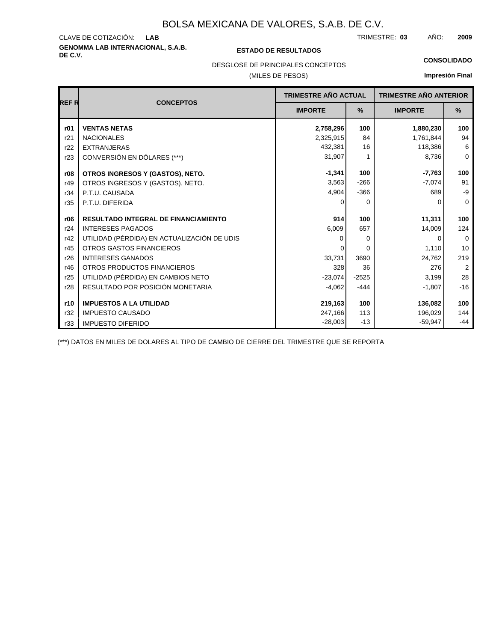# **GENOMMA LAB INTERNACIONAL, S.A.B. DE C.V. ESTADO DE RESULTADOS** CLAVE DE COTIZACIÓN:

TRIMESTRE: AÑO: **LAB 03 2009**

### **CONSOLIDADO**

DESGLOSE DE PRINCIPALES CONCEPTOS

### (MILES DE PESOS)

### **Impresión Final**

| <b>REFR</b> | <b>CONCEPTOS</b>                            | TRIMESTRE AÑO ACTUAL |          | <b>TRIMESTRE AÑO ANTERIOR</b> |                |
|-------------|---------------------------------------------|----------------------|----------|-------------------------------|----------------|
|             |                                             | <b>IMPORTE</b>       | $\%$     | <b>IMPORTE</b>                | %              |
| r01         | <b>VENTAS NETAS</b>                         | 2,758,296            | 100      | 1,880,230                     | 100            |
| r21         | <b>NACIONALES</b>                           | 2,325,915            | 84       | 1,761,844                     | 94             |
| r22         | <b>EXTRANJERAS</b>                          | 432,381              | 16       | 118,386                       | 6              |
| r23         | CONVERSIÓN EN DÓLARES (***)                 | 31,907               |          | 8,736                         | $\mathbf 0$    |
| r08         | OTROS INGRESOS Y (GASTOS), NETO.            | $-1,341$             | 100      | $-7,763$                      | 100            |
| r49         | OTROS INGRESOS Y (GASTOS), NETO.            | 3,563                | $-266$   | $-7,074$                      | 91             |
| r34         | P.T.U. CAUSADA                              | 4,904                | $-366$   | 689                           | -9             |
| r35         | P.T.U. DIFERIDA                             | 0                    | $\Omega$ | 0                             | $\mathbf 0$    |
| r06         | <b>RESULTADO INTEGRAL DE FINANCIAMIENTO</b> | 914                  | 100      | 11,311                        | 100            |
| r24         | <b>INTERESES PAGADOS</b>                    | 6,009                | 657      | 14,009                        | 124            |
| r42         | UTILIDAD (PÉRDIDA) EN ACTUALIZACIÓN DE UDIS | ŋ                    | 0        | 0                             | $\Omega$       |
| r45         | OTROS GASTOS FINANCIEROS                    | 0                    | $\Omega$ | 1,110                         | 10             |
| r26         | <b>INTERESES GANADOS</b>                    | 33,731               | 3690     | 24,762                        | 219            |
| r46         | OTROS PRODUCTOS FINANCIEROS                 | 328                  | 36       | 276                           | $\overline{2}$ |
| r25         | UTILIDAD (PÉRDIDA) EN CAMBIOS NETO          | $-23,074$            | $-2525$  | 3,199                         | 28             |
| r28         | RESULTADO POR POSICIÓN MONETARIA            | $-4,062$             | $-444$   | $-1,807$                      | $-16$          |
| r10         | <b>IMPUESTOS A LA UTILIDAD</b>              | 219,163              | 100      | 136,082                       | 100            |
| r32         | <b>IMPUESTO CAUSADO</b>                     | 247,166              | 113      | 196,029                       | 144            |
| r33         | <b>IMPUESTO DIFERIDO</b>                    | $-28,003$            | $-13$    | $-59,947$                     | $-44$          |

(\*\*\*) DATOS EN MILES DE DOLARES AL TIPO DE CAMBIO DE CIERRE DEL TRIMESTRE QUE SE REPORTA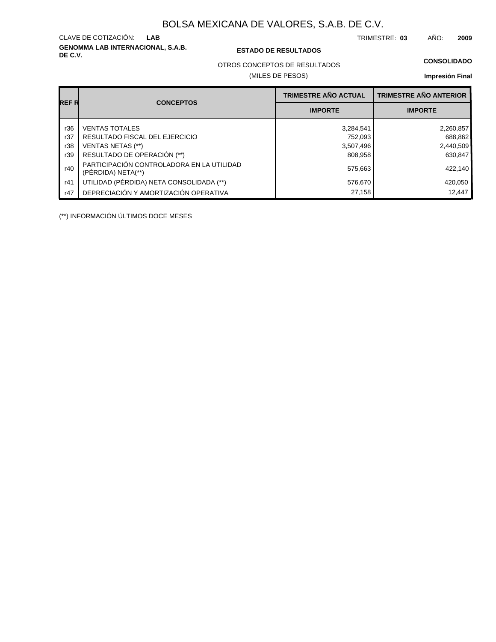**GENOMMA LAB INTERNACIONAL, S.A.B.** CLAVE DE COTIZACIÓN:

### **DE C.V. ESTADO DE RESULTADOS**

TRIMESTRE: AÑO: **LAB 03 2009**

### **CONSOLIDADO**

OTROS CONCEPTOS DE RESULTADOS

### (MILES DE PESOS)

### **Impresión Final**

| REF R |                                                                 | <b>TRIMESTRE AÑO ACTUAL</b> | <b>TRIMESTRE AÑO ANTERIOR</b> |
|-------|-----------------------------------------------------------------|-----------------------------|-------------------------------|
|       | <b>CONCEPTOS</b>                                                | <b>IMPORTE</b>              | <b>IMPORTE</b>                |
| r36   | <b>VENTAS TOTALES</b>                                           | 3,284,541                   | 2,260,857                     |
| r37   | RESULTADO FISCAL DEL EJERCICIO                                  | 752,093                     | 688,862                       |
| r38   | VENTAS NETAS (**)                                               | 3,507,496                   | 2,440,509                     |
| r39   | RESULTADO DE OPERACIÓN (**)                                     | 808.958                     | 630.847                       |
| r40   | PARTICIPACIÓN CONTROLADORA EN LA UTILIDAD<br>(PERDIDA) NETA(**) | 575,663                     | 422,140                       |
| r41   | UTILIDAD (PÉRDIDA) NETA CONSOLIDADA (**)                        | 576,670                     | 420,050                       |
| r47   | DEPRECIACIÓN Y AMORTIZACIÓN OPERATIVA                           | 27,158                      | 12.447                        |

(\*\*) INFORMACIÓN ÚLTIMOS DOCE MESES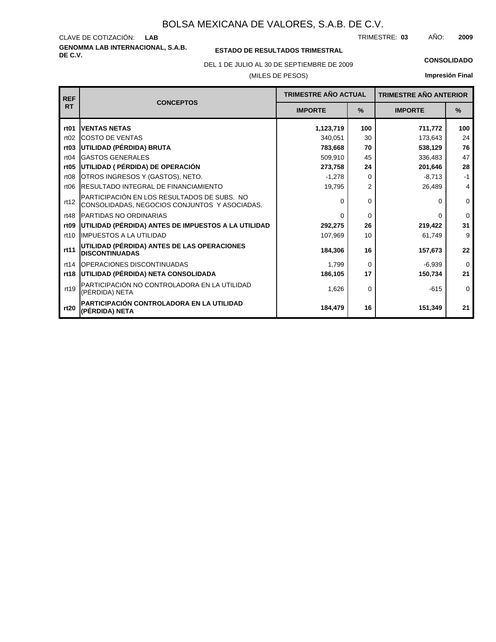**GENOMMA LAB INTERNACIONAL, S.A.B.** CLAVE DE COTIZACIÓN: TRIMESTRE: AÑO: **LAB 03 2009**

### **ESTADO DE RESULTADOS TRIMESTRAL**

DEL 1 DE JULIO AL 30 DE SEPTIEMBRE DE 2009 **CONSOLIDADO**

### (MILES DE PESOS)

| <b>REF</b>       | <b>TRIMESTRE AÑO ACTUAL</b><br><b>CONCEPTOS</b>                                              |                | <b>TRIMESTRE AÑO ANTERIOR</b> |                |             |
|------------------|----------------------------------------------------------------------------------------------|----------------|-------------------------------|----------------|-------------|
| <b>RT</b>        |                                                                                              | <b>IMPORTE</b> | %                             | <b>IMPORTE</b> | %           |
| rt <sub>01</sub> | <b>IVENTAS NETAS</b>                                                                         | 1,123,719      | 100                           | 711,772        | 100         |
| rt02             | <b>COSTO DE VENTAS</b>                                                                       | 340,051        | 30                            | 173,643        | 24          |
| rt <sub>03</sub> | UTILIDAD (PÉRDIDA) BRUTA                                                                     | 783,668        | 70                            | 538,129        | 76          |
| rt04             | <b>IGASTOS GENERALES</b>                                                                     | 509,910        | 45                            | 336,483        | 47          |
| rt05             | UTILIDAD ( PÉRDIDA) DE OPERACIÓN                                                             | 273,758        | 24                            | 201,646        | 28          |
| rt <sub>08</sub> | OTROS INGRESOS Y (GASTOS), NETO.                                                             | $-1,278$       | 0                             | $-8,713$       | $-1$        |
| rt06             | <b>IRESULTADO INTEGRAL DE FINANCIAMIENTO</b>                                                 | 19,795         | 2                             | 26,489         | 4           |
| rt12             | PARTICIPACIÓN EN LOS RESULTADOS DE SUBS. NO<br>CONSOLIDADAS, NEGOCIOS CONJUNTOS Y ASOCIADAS. | $\Omega$       | 0                             | 0              | $\mathbf 0$ |
| rt48             | <b>PARTIDAS NO ORDINARIAS</b>                                                                | $\Omega$       | $\Omega$                      | <sup>0</sup>   | $\Omega$    |
| rt <sub>09</sub> | UTILIDAD (PÉRDIDA) ANTES DE IMPUESTOS A LA UTILIDAD                                          | 292,275        | 26                            | 219,422        | 31          |
| rt10             | <b>IIMPUESTOS A LA UTILIDAD</b>                                                              | 107,969        | 10                            | 61,749         | 9           |
| rt11             | UTILIDAD (PÉRDIDA) ANTES DE LAS OPERACIONES<br><b>DISCONTINUADAS</b>                         | 184,306        | 16                            | 157,673        | 22          |
| rt14             | <b>IOPERACIONES DISCONTINUADAS</b>                                                           | 1,799          | $\Omega$                      | $-6,939$       | $\mathbf 0$ |
| rt18             | UTILIDAD (PÉRDIDA) NETA CONSOLIDADA                                                          | 186,105        | 17                            | 150,734        | 21          |
| rt19             | PARTICIPACIÓN NO CONTROLADORA EN LA UTILIDAD<br>(PÉRDIDA) NETA                               | 1,626          | 0                             | $-615$         | $\mathbf 0$ |
| rt20             | IPARTICIPACIÓN CONTROLADORA EN LA UTILIDAD<br>(PÉRDIDA) NETA                                 | 184,479        | 16                            | 151,349        | 21          |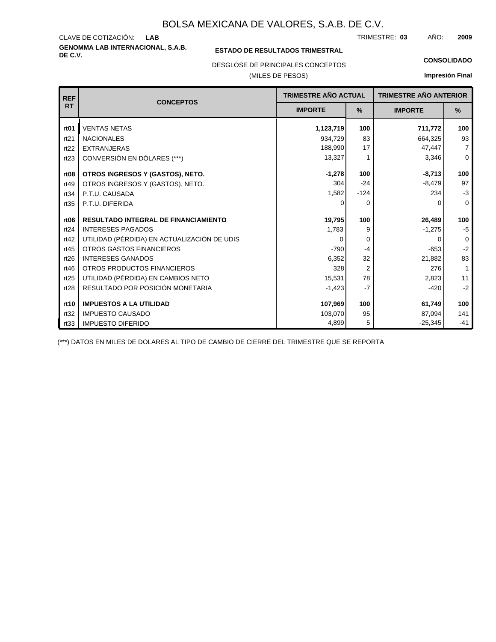**GENOMMA LAB INTERNACIONAL, S.A.B.** CLAVE DE COTIZACIÓN: TRIMESTRE: AÑO: **LAB 03 2009**

### **ESTADO DE RESULTADOS TRIMESTRAL**

DESGLOSE DE PRINCIPALES CONCEPTOS

(MILES DE PESOS)

#### **CONSOLIDADO**

**Impresión Final**

| <b>REF</b>       | <b>CONCEPTOS</b>                            | <b>TRIMESTRE AÑO ACTUAL</b> |        | <b>TRIMESTRE AÑO ANTERIOR</b> |                |
|------------------|---------------------------------------------|-----------------------------|--------|-------------------------------|----------------|
| <b>RT</b>        |                                             | <b>IMPORTE</b>              | $\%$   | <b>IMPORTE</b>                | $\%$           |
| rt <sub>01</sub> | <b>VENTAS NETAS</b>                         | 1,123,719                   | 100    | 711,772                       | 100            |
| rt21             | <b>NACIONALES</b>                           | 934,729                     | 83     | 664,325                       | 93             |
| rt22             | <b>EXTRANJERAS</b>                          | 188,990                     | 17     | 47,447                        | $\overline{7}$ |
| rt23             | CONVERSIÓN EN DÓLARES (***)                 | 13,327                      | 1      | 3,346                         | $\mathbf 0$    |
| rt <sub>08</sub> | OTROS INGRESOS Y (GASTOS), NETO.            | $-1,278$                    | 100    | $-8,713$                      | 100            |
| rt49             | OTROS INGRESOS Y (GASTOS), NETO.            | 304                         | $-24$  | $-8,479$                      | 97             |
| rt34             | P.T.U. CAUSADA                              | 1,582                       | $-124$ | 234                           | $-3$           |
| rt35             | P.T.U. DIFERIDA                             | 0                           | 0      | O                             | $\Omega$       |
| rt <sub>06</sub> | <b>RESULTADO INTEGRAL DE FINANCIAMIENTO</b> | 19,795                      | 100    | 26,489                        | 100            |
| rt24             | <b>INTERESES PAGADOS</b>                    | 1,783                       | 9      | $-1,275$                      | $-5$           |
| rt42             | UTILIDAD (PÉRDIDA) EN ACTUALIZACIÓN DE UDIS | $\Omega$                    | 0      | O                             | $\mathbf 0$    |
| rt45             | <b>OTROS GASTOS FINANCIEROS</b>             | $-790$                      | $-4$   | $-653$                        | $-2$           |
| rt26             | <b>INTERESES GANADOS</b>                    | 6,352                       | 32     | 21,882                        | 83             |
| rt46             | OTROS PRODUCTOS FINANCIEROS                 | 328                         | 2      | 276                           | $\mathbf{1}$   |
| rt25             | UTILIDAD (PÉRDIDA) EN CAMBIOS NETO          | 15,531                      | 78     | 2,823                         | 11             |
| rt28             | RESULTADO POR POSICIÓN MONETARIA            | $-1,423$                    | $-7$   | $-420$                        | $-2$           |
|                  |                                             |                             |        |                               |                |
| rt10             | <b>IMPUESTOS A LA UTILIDAD</b>              | 107,969                     | 100    | 61,749                        | 100            |
| rt32             | <b>IMPUESTO CAUSADO</b>                     | 103,070                     | 95     | 87,094                        | 141            |
| rt33             | <b>IMPUESTO DIFERIDO</b>                    | 4,899                       | 5      | $-25,345$                     | $-41$          |

(\*\*\*) DATOS EN MILES DE DOLARES AL TIPO DE CAMBIO DE CIERRE DEL TRIMESTRE QUE SE REPORTA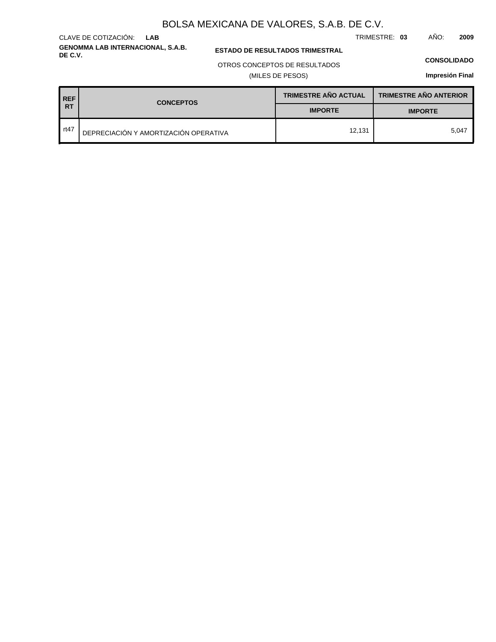**GENOMMA LAB INTERNACIONAL, S.A.B.** CLAVE DE COTIZACIÓN: **LAB**

**ESTADO DE RESULTADOS TRIMESTRAL** 

### OTROS CONCEPTOS DE RESULTADOS

(MILES DE PESOS)

#### **CONSOLIDADO**

**Impresión Final**

| <b>REF</b> | <b>CONCEPTOS</b>                      | <b>TRIMESTRE AÑO ACTUAL</b> | <b>TRIMESTRE AÑO ANTERIOR</b> |  |
|------------|---------------------------------------|-----------------------------|-------------------------------|--|
| <b>RT</b>  |                                       | <b>IMPORTE</b>              | <b>IMPORTE</b>                |  |
| rt47       | DEPRECIACIÓN Y AMORTIZACIÓN OPERATIVA | 12,131                      | 5.047                         |  |

TRIMESTRE: **03** AÑO: **2009**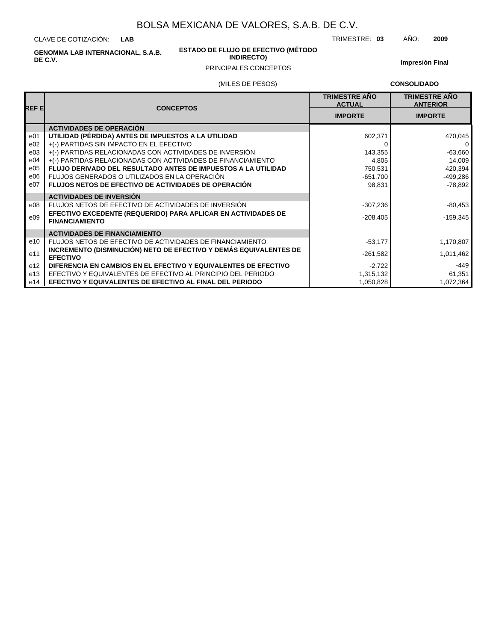CLAVE DE COTIZACIÓN: **LAB**

> **ESTADO DE FLUJO DE EFECTIVO (MÉTODO INDIRECTO)**

TRIMESTRE: **03** AÑO: **2009**

**GENOMMA LAB INTERNACIONAL, S.A.B. DE C.V.**

### PRINCIPALES CONCEPTOS

**Impresión Final**

### (MILES DE PESOS)

**CONSOLIDADO**

| <b>REFE</b> | <b>CONCEPTOS</b>                                                                       | <b>TRIMESTRE AÑO</b><br><b>ACTUAL</b> | <b>TRIMESTRE AÑO</b><br><b>ANTERIOR</b> |
|-------------|----------------------------------------------------------------------------------------|---------------------------------------|-----------------------------------------|
|             |                                                                                        | <b>IMPORTE</b>                        | <b>IMPORTE</b>                          |
|             | <b>ACTIVIDADES DE OPERACIÓN</b>                                                        |                                       |                                         |
| e01         | UTILIDAD (PÉRDIDA) ANTES DE IMPUESTOS A LA UTILIDAD                                    | 602,371                               | 470,045                                 |
| e02         | +(-) PARTIDAS SIN IMPACTO EN EL EFECTIVO                                               |                                       | $\mathbf 0$                             |
| e03         | +(-) PARTIDAS RELACIONADAS CON ACTIVIDADES DE INVERSIÓN                                | 143,355                               | $-63,660$                               |
| e04         | +(-) PARTIDAS RELACIONADAS CON ACTIVIDADES DE FINANCIAMIENTO                           | 4,805                                 | 14,009                                  |
| e05         | <b>FLUJO DERIVADO DEL RESULTADO ANTES DE IMPUESTOS A LA UTILIDAD</b>                   | 750,531                               | 420,394                                 |
| e06         | FLUJOS GENERADOS O UTILIZADOS EN LA OPERACIÓN                                          | $-651,700$                            | $-499,286$                              |
| e07         | <b>FLUJOS NETOS DE EFECTIVO DE ACTIVIDADES DE OPERACIÓN</b>                            | 98,831                                | $-78.892$                               |
|             | <b>ACTIVIDADES DE INVERSIÓN</b>                                                        |                                       |                                         |
| e08         | FLUJOS NETOS DE EFECTIVO DE ACTIVIDADES DE INVERSIÓN                                   | $-307,236$                            | $-80,453$                               |
| e09         | EFECTIVO EXCEDENTE (REQUERIDO) PARA APLICAR EN ACTIVIDADES DE<br><b>FINANCIAMIENTO</b> | $-208,405$                            | $-159,345$                              |
|             | <b>ACTIVIDADES DE FINANCIAMIENTO</b>                                                   |                                       |                                         |
| e10         | FLUJOS NETOS DE EFECTIVO DE ACTIVIDADES DE FINANCIAMIENTO                              | $-53,177$                             | 1,170,807                               |
| e11         | INCREMENTO (DISMINUCIÓN) NETO DE EFECTIVO Y DEMÁS EQUIVALENTES DE<br><b>EFECTIVO</b>   | $-261,582$                            | 1,011,462                               |
| e12         | DIFERENCIA EN CAMBIOS EN EL EFECTIVO Y EQUIVALENTES DE EFECTIVO                        | $-2,722$                              | -449                                    |
| e13         | EFECTIVO Y EQUIVALENTES DE EFECTIVO AL PRINCIPIO DEL PERIODO                           | 1,315,132                             | 61,351                                  |
| e14         | EFECTIVO Y EQUIVALENTES DE EFECTIVO AL FINAL DEL PERIODO                               | 1,050,828                             | 1,072,364                               |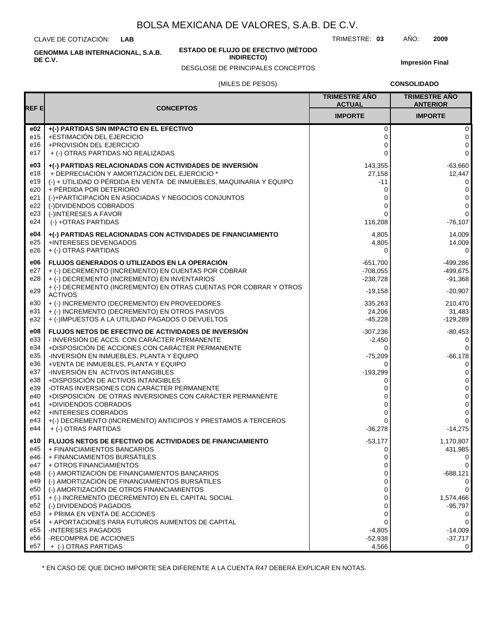CLAVE DE COTIZACIÓN: **LAB**

**DE C.V.**

**ESTADO DE FLUJO DE EFECTIVO (MÉTODO**

**INDIRECTO)**

TRIMESTRE: **03** AÑO: **2009**

**Impresión Final**

# (MILES DE PESOS) DESGLOSE DE PRINCIPALES CONCEPTOS

|  | <b>CONSOLIDADO</b> |
|--|--------------------|
|  |                    |

|             |                                                                                                                   | <b>TRIMESTRE AÑO</b><br><b>ACTUAL</b> | <b>TRIMESTRE AÑO</b><br><b>ANTERIOR</b> |
|-------------|-------------------------------------------------------------------------------------------------------------------|---------------------------------------|-----------------------------------------|
| <b>REFE</b> | <b>CONCEPTOS</b>                                                                                                  | <b>IMPORTE</b>                        | <b>IMPORTE</b>                          |
| e02         | +(-) PARTIDAS SIN IMPACTO EN EL EFECTIVO                                                                          | 0                                     | 0                                       |
| e15<br>e16  | +ESTIMACIÓN DEL EJERCICIO<br>+PROVISIÓN DEL EJERCICIO                                                             | 0<br>0                                | 0<br>0                                  |
| e17         | + (-) OTRAS PARTIDAS NO REALIZADAS                                                                                | $\Omega$                              | 0                                       |
|             |                                                                                                                   |                                       |                                         |
| e03<br>e18  | +(-) PARTIDAS RELACIONADAS CON ACTIVIDADES DE INVERSIÓN<br>+ DEPRECIACIÓN Y AMORTIZACIÓN DEL EJERCICIO *          | 143,355<br>27,158                     | $-63,660$<br>12,447                     |
| e19         | (-) + UTILIDAD O PÉRDIDA EN VENTA DE INMUEBLES, MAQUINARIA Y EQUIPO                                               | -11                                   | 0                                       |
| e20         | + PÉRDIDA POR DETERIORO                                                                                           | 0                                     | 0                                       |
| e21         | (-)+PARTICIPACIÓN EN ASOCIADAS Y NEGOCIOS CONJUNTOS                                                               | 0                                     | 0                                       |
| e22         | (-)DIVIDENDOS COBRADOS                                                                                            | $\Omega$                              | 0                                       |
| e23         | (-)INTERESES A FAVOR                                                                                              | ი                                     | 0                                       |
| e24         | (-) +OTRAS PARTIDAS                                                                                               | 116,208                               | $-76,107$                               |
| e04         | +(-) PARTIDAS RELACIONADAS CON ACTIVIDADES DE FINANCIAMIENTO                                                      | 4,805                                 | 14,009                                  |
| e25         | +INTERESES DEVENGADOS                                                                                             | 4,805                                 | 14,009                                  |
| e26         | + (-) OTRAS PARTIDAS                                                                                              | $\Omega$                              | 0                                       |
| e06         | FLUJOS GENERADOS O UTILIZADOS EN LA OPERACIÓN                                                                     | $-651,700$                            | $-499,286$                              |
| e27         | + (-) DECREMENTO (INCREMENTO) EN CUENTAS POR COBRAR                                                               | $-708,055$                            | -499,675                                |
| e28         | + (-) DECREMENTO (INCREMENTO) EN INVENTARIOS<br>+ (-) DECREMENTO (INCREMENTO) EN OTRAS CUENTAS POR COBRAR Y OTROS | $-238,728$                            | -91,368                                 |
| e29         | <b>ACTIVOS</b>                                                                                                    | $-19,158$                             | $-20,907$                               |
| e30         | + (-) INCREMENTO (DECREMENTO) EN PROVEEDORES                                                                      | 335,263                               | 210,470                                 |
| e31<br>e32  | + (-) INCREMENTO (DECREMENTO) EN OTROS PASIVOS<br>+ (-)IMPUESTOS A LA UTILIDAD PAGADOS O DEVUELTOS                | 24,206                                | 31,483                                  |
|             |                                                                                                                   | $-45,228$                             | $-129,289$                              |
| e08         | FLUJOS NETOS DE EFECTIVO DE ACTIVIDADES DE INVERSIÓN                                                              | $-307,236$                            | $-80,453$                               |
| e33<br>e34  | - INVERSIÓN DE ACCS. CON CARÁCTER PERMANENTE<br>+DISPOSICIÓN DE ACCIONES CON CARÁCTER PERMANENTE                  | -2,450<br>$\Omega$                    | 0<br>0                                  |
| e35         | -INVERSIÓN EN INMUEBLES, PLANTA Y EQUIPO                                                                          | $-75,209$                             | $-66,178$                               |
| e36         | +VENTA DE INMUEBLES, PLANTA Y EQUIPO                                                                              | 0                                     | 0                                       |
| e37         | -INVERSIÓN EN ACTIVOS INTANGIBLES                                                                                 | $-193,299$                            | 0                                       |
| e38         | +DISPOSICIÓN DE ACTIVOS INTANGIBLES                                                                               | 0                                     | 0                                       |
| e39         | -OTRAS INVERSIONES CON CARÁCTER PERMANENTE                                                                        | 0                                     | 0                                       |
| e40<br>e41  | +DISPOSICIÓN DE OTRAS INVERSIONES CON CARÁCTER PERMANENTE<br>+DIVIDENDOS COBRADOS                                 | ი<br>0                                | 0<br>0                                  |
| e42         | <b>+INTERESES COBRADOS</b>                                                                                        | ი                                     | 0                                       |
| e43         | +(-) DECREMENTO (INCREMENTO) ANTICIPOS Y PRESTAMOS A TERCEROS                                                     | $\Omega$                              | 0                                       |
| e44         | + (-) OTRAS PARTIDAS                                                                                              | $-36,278$                             | $-14,275$                               |
| e10         | FLUJOS NETOS DE EFECTIVO DE ACTIVIDADES DE FINANCIAMIENTO                                                         | $-53,177$                             | 1,170,807                               |
| e45         | + FINANCIAMIENTOS BANCARIOS                                                                                       | 0                                     | 431,985                                 |
| e46         | + FINANCIAMIENTOS BURSÁTILES                                                                                      | 0                                     | $\overline{0}$                          |
| e47<br>e48  | + OTROS FINANCIAMIENTOS<br>(-) AMORTIZACIÓN DE FINANCIAMIENTOS BANCARIOS                                          | 0                                     | 0                                       |
| e49         | (-) AMORTIZACIÓN DE FINANCIAMIENTOS BURSÁTILES                                                                    | 0<br>0                                | $-688,121$<br>0                         |
| e50         | (-) AMORTIZACIÓN DE OTROS FINANCIAMIENTOS                                                                         | 0                                     | 0                                       |
| e51         | + (-) INCREMENTO (DECREMENTO) EN EL CAPITAL SOCIAL                                                                | 0                                     | 1,574,466                               |
| e52         | (-) DIVIDENDOS PAGADOS                                                                                            | 0                                     | $-95,797$                               |
| e53         | + PRIMA EN VENTA DE ACCIONES                                                                                      | 0                                     | 0                                       |
| e54         | + APORTACIONES PARA FUTUROS AUMENTOS DE CAPITAL<br>-INTERESES PAGADOS                                             | 0                                     | 0                                       |
| e55<br>e56  | -RECOMPRA DE ACCIONES                                                                                             | $-4,805$<br>$-52,938$                 | -14,009<br>$-37,717$                    |
| e57         | + (-) OTRAS PARTIDAS                                                                                              | 4,566                                 | 0                                       |

\* EN CASO DE QUE DICHO IMPORTE SEA DIFERENTE A LA CUENTA R47 DEBERÁ EXPLICAR EN NOTAS.

**GENOMMA LAB INTERNACIONAL, S.A.B.**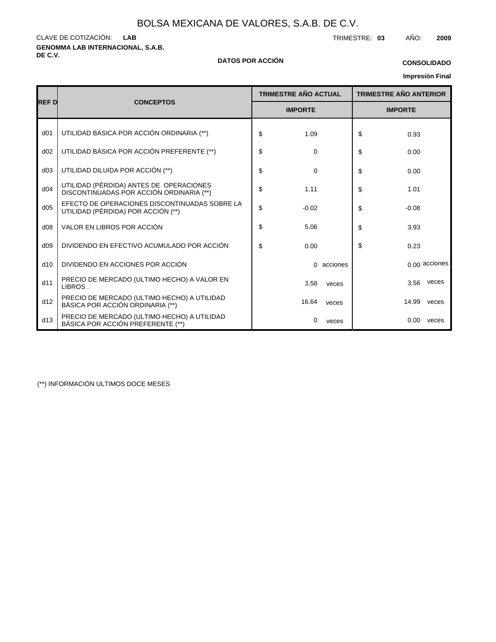**GENOMMA LAB INTERNACIONAL, S.A.B.** CLAVE DE COTIZACIÓN: TRIMESTRE: **03** AÑO: **2009 LAB**

### **DE C.V. DATOS POR ACCIÓN**

### **CONSOLIDADO**

## **Impresión Final**

|                 |                                                                                     | <b>TRIMESTRE AÑO ACTUAL</b> | <b>TRIMESTRE AÑO ANTERIOR</b> |  |  |
|-----------------|-------------------------------------------------------------------------------------|-----------------------------|-------------------------------|--|--|
| <b>REFD</b>     | <b>CONCEPTOS</b>                                                                    | <b>IMPORTE</b>              | <b>IMPORTE</b>                |  |  |
| d <sub>01</sub> | UTILIDAD BÁSICA POR ACCIÓN ORDINARIA (**)                                           | \$<br>1.09                  | \$<br>0.93                    |  |  |
| d02             | UTILIDAD BÁSICA POR ACCIÓN PREFERENTE (**)                                          | \$<br>0                     | \$<br>0.00                    |  |  |
| d03             | UTILIDAD DILUIDA POR ACCIÓN (**)                                                    | \$<br>0                     | \$<br>0.00                    |  |  |
| d04             | UTILIDAD (PÉRDIDA) ANTES DE OPERACIONES<br>DISCONTINUADAS POR ACCIÓN ORDINARIA (**) | \$<br>1.11                  | \$<br>1.01                    |  |  |
| d05             | EFECTO DE OPERACIONES DISCONTINUADAS SOBRE LA<br>UTILIDAD (PÉRDIDA) POR ACCIÓN (**) | \$<br>$-0.02$               | \$<br>$-0.08$                 |  |  |
| d08             | VALOR EN LIBROS POR ACCIÓN                                                          | \$<br>5.06                  | \$<br>3.93                    |  |  |
| d09             | DIVIDENDO EN EFECTIVO ACUMULADO POR ACCIÓN                                          | \$<br>0.00                  | \$<br>0.23                    |  |  |
| d10             | DIVIDENDO EN ACCIONES POR ACCIÓN                                                    | 0 acciones                  | $0.00$ acciones               |  |  |
| d11             | PRECIO DE MERCADO (ULTIMO HECHO) A VALOR EN<br>LIBROS.                              | 3.58<br>veces               | veces<br>3.56                 |  |  |
| d12             | PRECIO DE MERCADO (ULTIMO HECHO) A UTILIDAD<br>BÁSICA POR ACCIÓN ORDINARIA (**)     | 16.64<br>veces              | 14.99<br>veces                |  |  |
| d13             | PRECIO DE MERCADO (ULTIMO HECHO) A UTILIDAD<br>BÁSICA POR ACCIÓN PREFERENTE (**)    | 0<br>veces                  | $0.00 -$<br>veces             |  |  |

(\*\*) INFORMACIÓN ULTIMOS DOCE MESES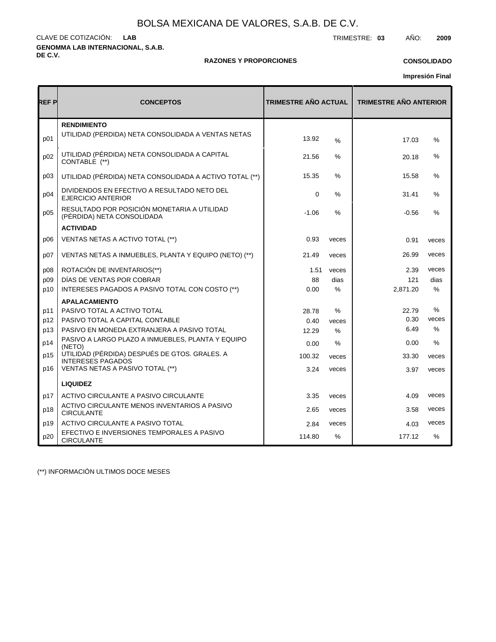**GENOMMA LAB INTERNACIONAL, S.A.B. DE C.V.** CLAVE DE COTIZACIÓN: TRIMESTRE: **03** AÑO: **2009 LAB**

### **RAZONES Y PROPORCIONES**

### **CONSOLIDADO**

**Impresión Final**

| REF P | <b>CONCEPTOS</b>                                                          | <b>TRIMESTRE AÑO ACTUAL</b> |       | <b>TRIMESTRE AÑO ANTERIOR</b> |               |
|-------|---------------------------------------------------------------------------|-----------------------------|-------|-------------------------------|---------------|
| p01   | <b>RENDIMIENTO</b><br>UTILIDAD (PÉRDIDA) NETA CONSOLIDADA A VENTAS NETAS  | 13.92                       | $\%$  | 17.03                         | %             |
| p02   | UTILIDAD (PÉRDIDA) NETA CONSOLIDADA A CAPITAL<br>CONTABLE (**)            | 21.56                       | ℅     | 20.18                         | %             |
| p03   | UTILIDAD (PÉRDIDA) NETA CONSOLIDADA A ACTIVO TOTAL (**)                   | 15.35                       | %     | 15.58                         | %             |
| p04   | DIVIDENDOS EN EFECTIVO A RESULTADO NETO DEL<br><b>EJERCICIO ANTERIOR</b>  | $\mathbf 0$                 | %     | 31.41                         | %             |
| p05   | RESULTADO POR POSICIÓN MONETARIA A UTILIDAD<br>(PÉRDIDA) NETA CONSOLIDADA | $-1.06$                     | %     | $-0.56$                       | %             |
|       | <b>ACTIVIDAD</b>                                                          |                             |       |                               |               |
| p06   | VENTAS NETAS A ACTIVO TOTAL (**)                                          | 0.93                        | veces | 0.91                          | veces         |
| p07   | VENTAS NETAS A INMUEBLES, PLANTA Y EQUIPO (NETO) (**)                     | 21.49                       | veces | 26.99                         | veces         |
| p08   | ROTACIÓN DE INVENTARIOS(**)                                               | 1.51                        | veces | 2.39                          | veces         |
| p09   | DÍAS DE VENTAS POR COBRAR                                                 | 88                          | dias  | 121                           | dias          |
| p10   | INTERESES PAGADOS A PASIVO TOTAL CON COSTO (**)                           | 0.00                        | $\%$  | 2,871.20                      | $\%$          |
|       | <b>APALACAMIENTO</b>                                                      |                             |       |                               |               |
| p11   | PASIVO TOTAL A ACTIVO TOTAL                                               | 28.78                       | $\%$  | 22.79                         | %             |
| p12   | PASIVO TOTAL A CAPITAL CONTABLE                                           | 0.40                        | veces | 0.30                          | veces         |
| p13   | PASIVO EN MONEDA EXTRANJERA A PASIVO TOTAL                                | 12.29                       | $\%$  | 6.49                          | $\frac{0}{0}$ |
| p14   | PASIVO A LARGO PLAZO A INMUEBLES, PLANTA Y EQUIPO<br>(NETO)               | 0.00                        | $\%$  | 0.00                          | %             |
| p15   | UTILIDAD (PÉRDIDA) DESPUÉS DE GTOS. GRALES. A<br><b>INTERESES PAGADOS</b> | 100.32                      | veces | 33.30                         | veces         |
| p16   | VENTAS NETAS A PASIVO TOTAL (**)                                          | 3.24                        | veces | 3.97                          | veces         |
|       | <b>LIQUIDEZ</b>                                                           |                             |       |                               |               |
| p17   | ACTIVO CIRCULANTE A PASIVO CIRCULANTE                                     | 3.35                        | veces | 4.09                          | veces         |
| p18   | ACTIVO CIRCULANTE MENOS INVENTARIOS A PASIVO<br><b>CIRCULANTE</b>         | 2.65                        | veces | 3.58                          | veces         |
| p19   | ACTIVO CIRCULANTE A PASIVO TOTAL                                          | 2.84                        | veces | 4.03                          | veces         |
| p20   | EFECTIVO E INVERSIONES TEMPORALES A PASIVO<br><b>CIRCULANTE</b>           | 114.80                      | $\%$  | 177.12                        | $\%$          |

(\*\*) INFORMACIÓN ULTIMOS DOCE MESES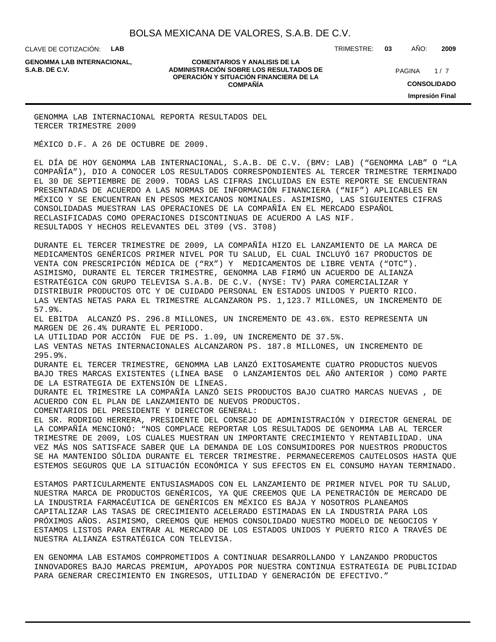CLAVE DE COTIZACIÓN: **LAB**

**GENOMMA LAB INTERNACIONAL,**

**COMENTARIOS Y ANALISIS DE LA ADMINISTRACIÓN SOBRE LOS RESULTADOS DE PAGINA 1/7 OPERACIÓN Y SITUACIÓN FINANCIERA DE LA COMPAÑÍA**

TRIMESTRE: **03** AÑO: **2009**

 $1/7$ **CONSOLIDADO Impresión Final**

GENOMMA LAB INTERNACIONAL REPORTA RESULTADOS DEL TERCER TRIMESTRE 2009

MÉXICO D.F. A 26 DE OCTUBRE DE 2009.

EL DÍA DE HOY GENOMMA LAB INTERNACIONAL, S.A.B. DE C.V. (BMV: LAB) ("GENOMMA LAB" O "LA COMPAÑÍA"), DIO A CONOCER LOS RESULTADOS CORRESPONDIENTES AL TERCER TRIMESTRE TERMINADO EL 30 DE SEPTIEMBRE DE 2009. TODAS LAS CIFRAS INCLUIDAS EN ESTE REPORTE SE ENCUENTRAN PRESENTADAS DE ACUERDO A LAS NORMAS DE INFORMACIÓN FINANCIERA ("NIF") APLICABLES EN MÉXICO Y SE ENCUENTRAN EN PESOS MEXICANOS NOMINALES. ASIMISMO, LAS SIGUIENTES CIFRAS CONSOLIDADAS MUESTRAN LAS OPERACIONES DE LA COMPAÑÍA EN EL MERCADO ESPAÑOL RECLASIFICADAS COMO OPERACIONES DISCONTINUAS DE ACUERDO A LAS NIF. RESULTADOS Y HECHOS RELEVANTES DEL 3T09 (VS. 3T08)

 DURANTE EL TERCER TRIMESTRE DE 2009, LA COMPAÑÍA HIZO EL LANZAMIENTO DE LA MARCA DE MEDICAMENTOS GENÉRICOS PRIMER NIVEL POR TU SALUD, EL CUAL INCLUYÓ 167 PRODUCTOS DE VENTA CON PRESCRIPCIÓN MÉDICA DE ("RX") Y MEDICAMENTOS DE LIBRE VENTA ("OTC"). ASIMISMO, DURANTE EL TERCER TRIMESTRE, GENOMMA LAB FIRMÓ UN ACUERDO DE ALIANZA ESTRATÉGICA CON GRUPO TELEVISA S.A.B. DE C.V. (NYSE: TV) PARA COMERCIALIZAR Y

DISTRIBUIR PRODUCTOS OTC Y DE CUIDADO PERSONAL EN ESTADOS UNIDOS Y PUERTO RICO. LAS VENTAS NETAS PARA EL TRIMESTRE ALCANZARON PS. 1,123.7 MILLONES, UN INCREMENTO DE 57.9%.

 EL EBITDA ALCANZÓ PS. 296.8 MILLONES, UN INCREMENTO DE 43.6%. ESTO REPRESENTA UN MARGEN DE 26.4% DURANTE EL PERIODO.

 LA UTILIDAD POR ACCIÓN FUE DE PS. 1.09, UN INCREMENTO DE 37.5%.

 LAS VENTAS NETAS INTERNACIONALES ALCANZARON PS. 187.8 MILLONES, UN INCREMENTO DE 295.9%.

 DURANTE EL TERCER TRIMESTRE, GENOMMA LAB LANZÓ EXITOSAMENTE CUATRO PRODUCTOS NUEVOS BAJO TRES MARCAS EXISTENTES (LÍNEA BASE O LANZAMIENTOS DEL AÑO ANTERIOR ) COMO PARTE DE LA ESTRATEGIA DE EXTENSIÓN DE LÍNEAS.

 DURANTE EL TRIMESTRE LA COMPAÑÍA LANZÓ SEIS PRODUCTOS BAJO CUATRO MARCAS NUEVAS , DE ACUERDO CON EL PLAN DE LANZAMIENTO DE NUEVOS PRODUCTOS.

COMENTARIOS DEL PRESIDENTE Y DIRECTOR GENERAL:

EL SR. RODRIGO HERRERA, PRESIDENTE DEL CONSEJO DE ADMINISTRACIÓN Y DIRECTOR GENERAL DE LA COMPAÑÍA MENCIONÓ: "NOS COMPLACE REPORTAR LOS RESULTADOS DE GENOMMA LAB AL TERCER TRIMESTRE DE 2009, LOS CUALES MUESTRAN UN IMPORTANTE CRECIMIENTO Y RENTABILIDAD. UNA VEZ MÁS NOS SATISFACE SABER QUE LA DEMANDA DE LOS CONSUMIDORES POR NUESTROS PRODUCTOS SE HA MANTENIDO SÓLIDA DURANTE EL TERCER TRIMESTRE. PERMANECEREMOS CAUTELOSOS HASTA QUE ESTEMOS SEGUROS QUE LA SITUACIÓN ECONÓMICA Y SUS EFECTOS EN EL CONSUMO HAYAN TERMINADO.

ESTAMOS PARTICULARMENTE ENTUSIASMADOS CON EL LANZAMIENTO DE PRIMER NIVEL POR TU SALUD, NUESTRA MARCA DE PRODUCTOS GENÉRICOS, YA QUE CREEMOS QUE LA PENETRACIÓN DE MERCADO DE LA INDUSTRIA FARMACÉUTICA DE GENÉRICOS EN MÉXICO ES BAJA Y NOSOTROS PLANEAMOS CAPITALIZAR LAS TASAS DE CRECIMIENTO ACELERADO ESTIMADAS EN LA INDUSTRIA PARA LOS PRÓXIMOS AÑOS. ASIMISMO, CREEMOS QUE HEMOS CONSOLIDADO NUESTRO MODELO DE NEGOCIOS Y ESTAMOS LISTOS PARA ENTRAR AL MERCADO DE LOS ESTADOS UNIDOS Y PUERTO RICO A TRAVÉS DE NUESTRA ALIANZA ESTRATÉGICA CON TELEVISA.

EN GENOMMA LAB ESTAMOS COMPROMETIDOS A CONTINUAR DESARROLLANDO Y LANZANDO PRODUCTOS INNOVADORES BAJO MARCAS PREMIUM, APOYADOS POR NUESTRA CONTINUA ESTRATEGIA DE PUBLICIDAD PARA GENERAR CRECIMIENTO EN INGRESOS, UTILIDAD Y GENERACIÓN DE EFECTIVO."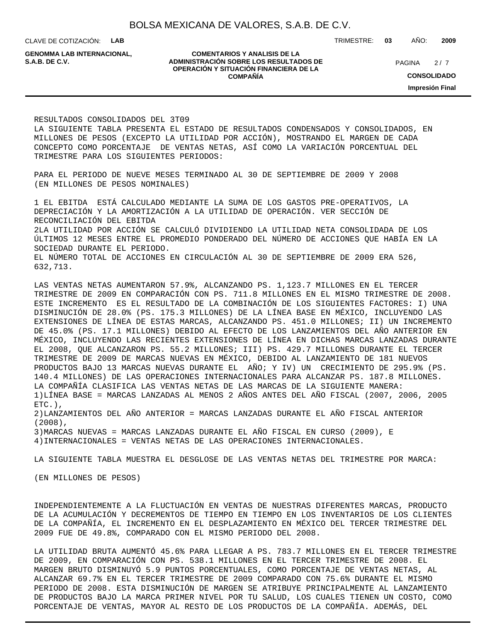CLAVE DE COTIZACIÓN: **LAB**

**GENOMMA LAB INTERNACIONAL,**

#### **COMENTARIOS Y ANALISIS DE LA ADMINISTRACIÓN SOBRE LOS RESULTADOS DE PAGINA 2/7 PAGINA 2/7 OPERACIÓN Y SITUACIÓN FINANCIERA DE LA COMPAÑÍA**

TRIMESTRE: **03** AÑO: **2009**

 $2/7$ 

**CONSOLIDADO**

**Impresión Final**

RESULTADOS CONSOLIDADOS DEL 3T09

LA SIGUIENTE TABLA PRESENTA EL ESTADO DE RESULTADOS CONDENSADOS Y CONSOLIDADOS, EN MILLONES DE PESOS (EXCEPTO LA UTILIDAD POR ACCIÓN), MOSTRANDO EL MARGEN DE CADA CONCEPTO COMO PORCENTAJE DE VENTAS NETAS, ASÍ COMO LA VARIACIÓN PORCENTUAL DEL TRIMESTRE PARA LOS SIGUIENTES PERIODOS:

PARA EL PERIODO DE NUEVE MESES TERMINADO AL 30 DE SEPTIEMBRE DE 2009 Y 2008 (EN MILLONES DE PESOS NOMINALES)

1 EL EBITDA ESTÁ CALCULADO MEDIANTE LA SUMA DE LOS GASTOS PRE-OPERATIVOS, LA DEPRECIACIÓN Y LA AMORTIZACIÓN A LA UTILIDAD DE OPERACIÓN. VER SECCIÓN DE RECONCILIACIÓN DEL EBITDA 2LA UTILIDAD POR ACCIÓN SE CALCULÓ DIVIDIENDO LA UTILIDAD NETA CONSOLIDADA DE LOS

ÚLTIMOS 12 MESES ENTRE EL PROMEDIO PONDERADO DEL NÚMERO DE ACCIONES QUE HABÍA EN LA SOCIEDAD DURANTE EL PERIODO.

EL NÚMERO TOTAL DE ACCIONES EN CIRCULACIÓN AL 30 DE SEPTIEMBRE DE 2009 ERA 526, 632,713.

LAS VENTAS NETAS AUMENTARON 57.9%, ALCANZANDO PS. 1,123.7 MILLONES EN EL TERCER TRIMESTRE DE 2009 EN COMPARACIÓN CON PS. 711.8 MILLONES EN EL MISMO TRIMESTRE DE 2008. ESTE INCREMENTO ES EL RESULTADO DE LA COMBINACIÓN DE LOS SIGUIENTES FACTORES: I) UNA DISMINUCIÓN DE 28.0% (PS. 175.3 MILLONES) DE LA LÍNEA BASE EN MÉXICO, INCLUYENDO LAS EXTENSIONES DE LÍNEA DE ESTAS MARCAS, ALCANZANDO PS. 451.0 MILLONES; II) UN INCREMENTO DE 45.0% (PS. 17.1 MILLONES) DEBIDO AL EFECTO DE LOS LANZAMIENTOS DEL AÑO ANTERIOR EN MÉXICO, INCLUYENDO LAS RECIENTES EXTENSIONES DE LÍNEA EN DICHAS MARCAS LANZADAS DURANTE EL 2008, QUE ALCANZARON PS. 55.2 MILLONES; III) PS. 429.7 MILLONES DURANTE EL TERCER TRIMESTRE DE 2009 DE MARCAS NUEVAS EN MÉXICO, DEBIDO AL LANZAMIENTO DE 181 NUEVOS PRODUCTOS BAJO 13 MARCAS NUEVAS DURANTE EL AÑO; Y IV) UN CRECIMIENTO DE 295.9% (PS. 140.4 MILLONES) DE LAS OPERACIONES INTERNACIONALES PARA ALCANZAR PS. 187.8 MILLONES. LA COMPAÑÍA CLASIFICA LAS VENTAS NETAS DE LAS MARCAS DE LA SIGUIENTE MANERA: 1) LÍNEA BASE = MARCAS LANZADAS AL MENOS 2 AÑOS ANTES DEL AÑO FISCAL (2007, 2006, 2005  $ETC.$ ),

2) LANZAMIENTOS DEL AÑO ANTERIOR = MARCAS LANZADAS DURANTE EL AÑO FISCAL ANTERIOR (2008),

3) MARCAS NUEVAS = MARCAS LANZADAS DURANTE EL AÑO FISCAL EN CURSO (2009), E

4) INTERNACIONALES = VENTAS NETAS DE LAS OPERACIONES INTERNACIONALES.

LA SIGUIENTE TABLA MUESTRA EL DESGLOSE DE LAS VENTAS NETAS DEL TRIMESTRE POR MARCA:

(EN MILLONES DE PESOS)

INDEPENDIENTEMENTE A LA FLUCTUACIÓN EN VENTAS DE NUESTRAS DIFERENTES MARCAS, PRODUCTO DE LA ACUMULACIÓN Y DECREMENTOS DE TIEMPO EN TIEMPO EN LOS INVENTARIOS DE LOS CLIENTES DE LA COMPAÑÍA, EL INCREMENTO EN EL DESPLAZAMIENTO EN MÉXICO DEL TERCER TRIMESTRE DEL 2009 FUE DE 49.8%, COMPARADO CON EL MISMO PERIODO DEL 2008.

LA UTILIDAD BRUTA AUMENTÓ 45.6% PARA LLEGAR A PS. 783.7 MILLONES EN EL TERCER TRIMESTRE DE 2009, EN COMPARACIÓN CON PS. 538.1 MILLONES EN EL TERCER TRIMESTRE DE 2008. EL MARGEN BRUTO DISMINUYÓ 5.9 PUNTOS PORCENTUALES, COMO PORCENTAJE DE VENTAS NETAS, AL ALCANZAR 69.7% EN EL TERCER TRIMESTRE DE 2009 COMPARADO CON 75.6% DURANTE EL MISMO PERIODO DE 2008. ESTA DISMINUCIÓN DE MARGEN SE ATRIBUYE PRINCIPALMENTE AL LANZAMIENTO DE PRODUCTOS BAJO LA MARCA PRIMER NIVEL POR TU SALUD, LOS CUALES TIENEN UN COSTO, COMO PORCENTAJE DE VENTAS, MAYOR AL RESTO DE LOS PRODUCTOS DE LA COMPAÑÍA. ADEMÁS, DEL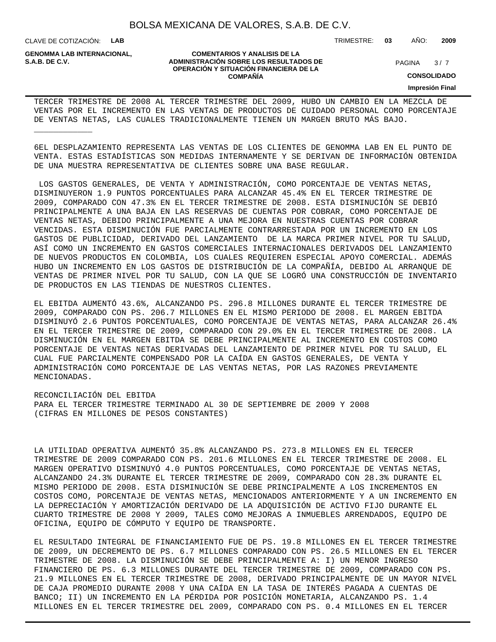CLAVE DE COTIZACIÓN: **LAB**

\_\_\_\_\_\_\_\_\_\_\_\_

**GENOMMA LAB INTERNACIONAL,**

**COMENTARIOS Y ANALISIS DE LA ADMINISTRACIÓN SOBRE LOS RESULTADOS DE S.A.B. DE C.V.** PAGINA / 7 **OPERACIÓN Y SITUACIÓN FINANCIERA DE LA COMPAÑÍA**

 $3/7$ 

**CONSOLIDADO**

**Impresión Final**

TERCER TRIMESTRE DE 2008 AL TERCER TRIMESTRE DEL 2009, HUBO UN CAMBIO EN LA MEZCLA DE VENTAS POR EL INCREMENTO EN LAS VENTAS DE PRODUCTOS DE CUIDADO PERSONAL COMO PORCENTAJE DE VENTAS NETAS, LAS CUALES TRADICIONALMENTE TIENEN UN MARGEN BRUTO MÁS BAJO.

6EL DESPLAZAMIENTO REPRESENTA LAS VENTAS DE LOS CLIENTES DE GENOMMA LAB EN EL PUNTO DE VENTA. ESTAS ESTADÍSTICAS SON MEDIDAS INTERNAMENTE Y SE DERIVAN DE INFORMACIÓN OBTENIDA DE UNA MUESTRA REPRESENTATIVA DE CLIENTES SOBRE UNA BASE REGULAR.

 LOS GASTOS GENERALES, DE VENTA Y ADMINISTRACIÓN, COMO PORCENTAJE DE VENTAS NETAS, DISMINUYERON 1.9 PUNTOS PORCENTUALES PARA ALCANZAR 45.4% EN EL TERCER TRIMESTRE DE 2009, COMPARADO CON 47.3% EN EL TERCER TRIMESTRE DE 2008. ESTA DISMINUCIÓN SE DEBIÓ PRINCIPALMENTE A UNA BAJA EN LAS RESERVAS DE CUENTAS POR COBRAR, COMO PORCENTAJE DE VENTAS NETAS, DEBIDO PRINCIPALMENTE A UNA MEJORA EN NUESTRAS CUENTAS POR COBRAR VENCIDAS. ESTA DISMINUCIÓN FUE PARCIALMENTE CONTRARRESTADA POR UN INCREMENTO EN LOS GASTOS DE PUBLICIDAD, DERIVADO DEL LANZAMIENTO DE LA MARCA PRIMER NIVEL POR TU SALUD, ASÍ COMO UN INCREMENTO EN GASTOS COMERCIALES INTERNACIONALES DERIVADOS DEL LANZAMIENTO DE NUEVOS PRODUCTOS EN COLOMBIA, LOS CUALES REQUIEREN ESPECIAL APOYO COMERCIAL. ADEMÁS HUBO UN INCREMENTO EN LOS GASTOS DE DISTRIBUCIÓN DE LA COMPAÑÍA, DEBIDO AL ARRANQUE DE VENTAS DE PRIMER NIVEL POR TU SALUD, CON LA QUE SE LOGRÓ UNA CONSTRUCCIÓN DE INVENTARIO DE PRODUCTOS EN LAS TIENDAS DE NUESTROS CLIENTES.

EL EBITDA AUMENTÓ 43.6%, ALCANZANDO PS. 296.8 MILLONES DURANTE EL TERCER TRIMESTRE DE 2009, COMPARADO CON PS. 206.7 MILLONES EN EL MISMO PERIODO DE 2008. EL MARGEN EBITDA DISMINUYÓ 2.6 PUNTOS PORCENTUALES, COMO PORCENTAJE DE VENTAS NETAS, PARA ALCANZAR 26.4% EN EL TERCER TRIMESTRE DE 2009, COMPARADO CON 29.0% EN EL TERCER TRIMESTRE DE 2008. LA DISMINUCIÓN EN EL MARGEN EBITDA SE DEBE PRINCIPALMENTE AL INCREMENTO EN COSTOS COMO PORCENTAJE DE VENTAS NETAS DERIVADAS DEL LANZAMIENTO DE PRIMER NIVEL POR TU SALUD, EL CUAL FUE PARCIALMENTE COMPENSADO POR LA CAÍDA EN GASTOS GENERALES, DE VENTA Y ADMINISTRACIÓN COMO PORCENTAJE DE LAS VENTAS NETAS, POR LAS RAZONES PREVIAMENTE MENCIONADAS.

RECONCILIACIÓN DEL EBITDA

PARA EL TERCER TRIMESTRE TERMINADO AL 30 DE SEPTIEMBRE DE 2009 Y 2008 (CIFRAS EN MILLONES DE PESOS CONSTANTES)

LA UTILIDAD OPERATIVA AUMENTÓ 35.8% ALCANZANDO PS. 273.8 MILLONES EN EL TERCER TRIMESTRE DE 2009 COMPARADO CON PS. 201.6 MILLONES EN EL TERCER TRIMESTRE DE 2008. EL MARGEN OPERATIVO DISMINUYÓ 4.0 PUNTOS PORCENTUALES, COMO PORCENTAJE DE VENTAS NETAS, ALCANZANDO 24.3% DURANTE EL TERCER TRIMESTRE DE 2009, COMPARADO CON 28.3% DURANTE EL MISMO PERIODO DE 2008. ESTA DISMINUCIÓN SE DEBE PRINCIPALMENTE A LOS INCREMENTOS EN COSTOS COMO, PORCENTAJE DE VENTAS NETAS, MENCIONADOS ANTERIORMENTE Y A UN INCREMENTO EN LA DEPRECIACIÓN Y AMORTIZACIÓN DERIVADO DE LA ADQUISICIÓN DE ACTIVO FIJO DURANTE EL CUARTO TRIMESTRE DE 2008 Y 2009, TALES COMO MEJORAS A INMUEBLES ARRENDADOS, EQUIPO DE OFICINA, EQUIPO DE CÓMPUTO Y EQUIPO DE TRANSPORTE.

EL RESULTADO INTEGRAL DE FINANCIAMIENTO FUE DE PS. 19.8 MILLONES EN EL TERCER TRIMESTRE DE 2009, UN DECREMENTO DE PS. 6.7 MILLONES COMPARADO CON PS. 26.5 MILLONES EN EL TERCER TRIMESTRE DE 2008. LA DISMINUCIÓN SE DEBE PRINCIPALMENTE A: I) UN MENOR INGRESO FINANCIERO DE PS. 6.3 MILLONES DURANTE DEL TERCER TRIMESTRE DE 2009, COMPARADO CON PS. 21.9 MILLONES EN EL TERCER TRIMESTRE DE 2008, DERIVADO PRINCIPALMENTE DE UN MAYOR NIVEL DE CAJA PROMEDIO DURANTE 2008 Y UNA CAÍDA EN LA TASA DE INTERÉS PAGADA A CUENTAS DE BANCO; II) UN INCREMENTO EN LA PÉRDIDA POR POSICIÓN MONETARIA, ALCANZANDO PS. 1.4 MILLONES EN EL TERCER TRIMESTRE DEL 2009, COMPARADO CON PS. 0.4 MILLONES EN EL TERCER

TRIMESTRE: **03** AÑO: **2009**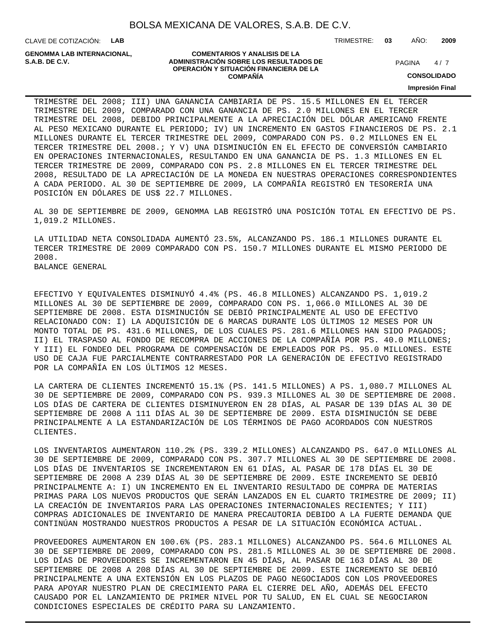CLAVE DE COTIZACIÓN: **LAB**

**GENOMMA LAB INTERNACIONAL,**

#### **COMENTARIOS Y ANALISIS DE LA ADMINISTRACIÓN SOBRE LOS RESULTADOS DE PAGINA 1997 E PAGINA 2018 OPERACIÓN Y SITUACIÓN FINANCIERA DE LA COMPAÑÍA**

 $4/7$ 

TRIMESTRE: **03** AÑO: **2009**

**CONSOLIDADO**

**Impresión Final**

TRIMESTRE DEL 2008; III) UNA GANANCIA CAMBIARIA DE PS. 15.5 MILLONES EN EL TERCER TRIMESTRE DEL 2009, COMPARADO CON UNA GANANCIA DE PS. 2.0 MILLONES EN EL TERCER TRIMESTRE DEL 2008, DEBIDO PRINCIPALMENTE A LA APRECIACIÓN DEL DÓLAR AMERICANO FRENTE AL PESO MEXICANO DURANTE EL PERIODO; IV) UN INCREMENTO EN GASTOS FINANCIEROS DE PS. 2.1 MILLONES DURANTE EL TERCER TRIMESTRE DEL 2009, COMPARADO CON PS. 0.2 MILLONES EN EL TERCER TRIMESTRE DEL 2008.; Y V) UNA DISMINUCIÓN EN EL EFECTO DE CONVERSIÓN CAMBIARIO EN OPERACIONES INTERNACIONALES, RESULTANDO EN UNA GANANCIA DE PS. 1.3 MILLONES EN EL TERCER TRIMESTRE DE 2009, COMPARADO CON PS. 2.8 MILLONES EN EL TERCER TRIMESTRE DEL 2008, RESULTADO DE LA APRECIACIÓN DE LA MONEDA EN NUESTRAS OPERACIONES CORRESPONDIENTES A CADA PERIODO. AL 30 DE SEPTIEMBRE DE 2009, LA COMPAÑÍA REGISTRÓ EN TESORERÍA UNA POSICIÓN EN DÓLARES DE US\$ 22.7 MILLONES.

AL 30 DE SEPTIEMBRE DE 2009, GENOMMA LAB REGISTRÓ UNA POSICIÓN TOTAL EN EFECTIVO DE PS. 1,019.2 MILLONES.

LA UTILIDAD NETA CONSOLIDADA AUMENTÓ 23.5%, ALCANZANDO PS. 186.1 MILLONES DURANTE EL TERCER TRIMESTRE DE 2009 COMPARADO CON PS. 150.7 MILLONES DURANTE EL MISMO PERIODO DE 2008. BALANCE GENERAL

EFECTIVO Y EQUIVALENTES DISMINUYÓ 4.4% (PS. 46.8 MILLONES) ALCANZANDO PS. 1,019.2 MILLONES AL 30 DE SEPTIEMBRE DE 2009, COMPARADO CON PS. 1,066.0 MILLONES AL 30 DE SEPTIEMBRE DE 2008. ESTA DISMINUCIÓN SE DEBIÓ PRINCIPALMENTE AL USO DE EFECTIVO RELACIONADO CON: I) LA ADQUISICIÓN DE 6 MARCAS DURANTE LOS ÚLTIMOS 12 MESES POR UN MONTO TOTAL DE PS. 431.6 MILLONES, DE LOS CUALES PS. 281.6 MILLONES HAN SIDO PAGADOS; II) EL TRASPASO AL FONDO DE RECOMPRA DE ACCIONES DE LA COMPAÑÍA POR PS. 40.0 MILLONES; Y III) EL FONDEO DEL PROGRAMA DE COMPENSACIÓN DE EMPLEADOS POR PS. 95.0 MILLONES. ESTE USO DE CAJA FUE PARCIALMENTE CONTRARRESTADO POR LA GENERACIÓN DE EFECTIVO REGISTRADO POR LA COMPAÑÍA EN LOS ÚLTIMOS 12 MESES.

LA CARTERA DE CLIENTES INCREMENTÓ 15.1% (PS. 141.5 MILLONES) A PS. 1,080.7 MILLONES AL 30 DE SEPTIEMBRE DE 2009, COMPARADO CON PS. 939.3 MILLONES AL 30 DE SEPTIEMBRE DE 2008. LOS DÍAS DE CARTERA DE CLIENTES DISMINUYERON EN 28 DÍAS, AL PASAR DE 139 DÍAS AL 30 DE SEPTIEMBRE DE 2008 A 111 DÍAS AL 30 DE SEPTIEMBRE DE 2009. ESTA DISMINUCIÓN SE DEBE PRINCIPALMENTE A LA ESTANDARIZACIÓN DE LOS TÉRMINOS DE PAGO ACORDADOS CON NUESTROS CLIENTES.

LOS INVENTARIOS AUMENTARON 110.2% (PS. 339.2 MILLONES) ALCANZANDO PS. 647.0 MILLONES AL 30 DE SEPTIEMBRE DE 2009, COMPARADO CON PS. 307.7 MILLONES AL 30 DE SEPTIEMBRE DE 2008. LOS DÍAS DE INVENTARIOS SE INCREMENTARON EN 61 DÍAS, AL PASAR DE 178 DÍAS EL 30 DE SEPTIEMBRE DE 2008 A 239 DÍAS AL 30 DE SEPTIEMBRE DE 2009. ESTE INCREMENTO SE DEBIÓ PRINCIPALMENTE A: I) UN INCREMENTO EN EL INVENTARIO RESULTADO DE COMPRA DE MATERIAS PRIMAS PARA LOS NUEVOS PRODUCTOS QUE SERÁN LANZADOS EN EL CUARTO TRIMESTRE DE 2009; II) LA CREACIÓN DE INVENTARIOS PARA LAS OPERACIONES INTERNACIONALES RECIENTES; Y III) COMPRAS ADICIONALES DE INVENTARIO DE MANERA PRECAUTORIA DEBIDO A LA FUERTE DEMANDA QUE CONTINÚAN MOSTRANDO NUESTROS PRODUCTOS A PESAR DE LA SITUACIÓN ECONÓMICA ACTUAL.

PROVEEDORES AUMENTARON EN 100.6% (PS. 283.1 MILLONES) ALCANZANDO PS. 564.6 MILLONES AL 30 DE SEPTIEMBRE DE 2009, COMPARADO CON PS. 281.5 MILLONES AL 30 DE SEPTIEMBRE DE 2008. LOS DÍAS DE PROVEEDORES SE INCREMENTARON EN 45 DÍAS, AL PASAR DE 163 DÍAS AL 30 DE SEPTIEMBRE DE 2008 A 208 DÍAS AL 30 DE SEPTIEMBRE DE 2009. ESTE INCREMENTO SE DEBIÓ PRINCIPALMENTE A UNA EXTENSIÓN EN LOS PLAZOS DE PAGO NEGOCIADOS CON LOS PROVEEDORES PARA APOYAR NUESTRO PLAN DE CRECIMIENTO PARA EL CIERRE DEL AÑO, ADEMÁS DEL EFECTO CAUSADO POR EL LANZAMIENTO DE PRIMER NIVEL POR TU SALUD, EN EL CUAL SE NEGOCIARON CONDICIONES ESPECIALES DE CRÉDITO PARA SU LANZAMIENTO.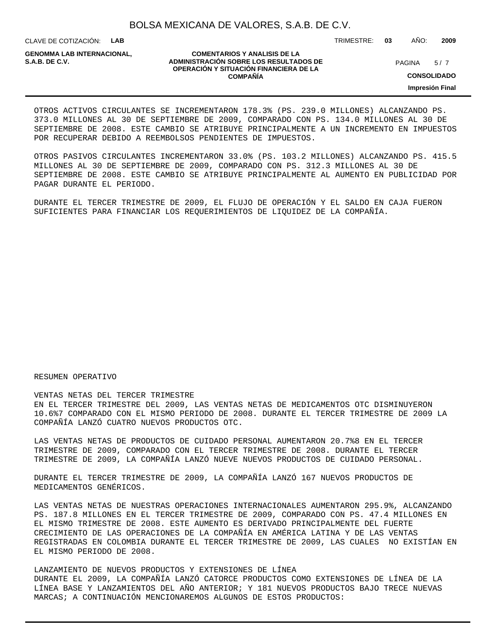CLAVE DE COTIZACIÓN: **LAB**

**GENOMMA LAB INTERNACIONAL,**

#### **COMENTARIOS Y ANALISIS DE LA ADMINISTRACIÓN SOBRE LOS RESULTADOS DE S.A.B. DE C.V.** PAGINA / 7 **OPERACIÓN Y SITUACIÓN FINANCIERA DE LA COMPAÑÍA**

 $5/7$ 

TRIMESTRE: **03** AÑO: **2009**

**CONSOLIDADO**

**Impresión Final**

OTROS ACTIVOS CIRCULANTES SE INCREMENTARON 178.3% (PS. 239.0 MILLONES) ALCANZANDO PS. 373.0 MILLONES AL 30 DE SEPTIEMBRE DE 2009, COMPARADO CON PS. 134.0 MILLONES AL 30 DE SEPTIEMBRE DE 2008. ESTE CAMBIO SE ATRIBUYE PRINCIPALMENTE A UN INCREMENTO EN IMPUESTOS POR RECUPERAR DEBIDO A REEMBOLSOS PENDIENTES DE IMPUESTOS.

OTROS PASIVOS CIRCULANTES INCREMENTARON 33.0% (PS. 103.2 MILLONES) ALCANZANDO PS. 415.5 MILLONES AL 30 DE SEPTIEMBRE DE 2009, COMPARADO CON PS. 312.3 MILLONES AL 30 DE SEPTIEMBRE DE 2008. ESTE CAMBIO SE ATRIBUYE PRINCIPALMENTE AL AUMENTO EN PUBLICIDAD POR PAGAR DURANTE EL PERIODO.

DURANTE EL TERCER TRIMESTRE DE 2009, EL FLUJO DE OPERACIÓN Y EL SALDO EN CAJA FUERON SUFICIENTES PARA FINANCIAR LOS REQUERIMIENTOS DE LIQUIDEZ DE LA COMPAÑÍA.

#### RESUMEN OPERATIVO

VENTAS NETAS DEL TERCER TRIMESTRE

EN EL TERCER TRIMESTRE DEL 2009, LAS VENTAS NETAS DE MEDICAMENTOS OTC DISMINUYERON 10.6%7 COMPARADO CON EL MISMO PERIODO DE 2008. DURANTE EL TERCER TRIMESTRE DE 2009 LA COMPAÑÍA LANZÓ CUATRO NUEVOS PRODUCTOS OTC.

LAS VENTAS NETAS DE PRODUCTOS DE CUIDADO PERSONAL AUMENTARON 20.7%8 EN EL TERCER TRIMESTRE DE 2009, COMPARADO CON EL TERCER TRIMESTRE DE 2008. DURANTE EL TERCER TRIMESTRE DE 2009, LA COMPAÑÍA LANZÓ NUEVE NUEVOS PRODUCTOS DE CUIDADO PERSONAL.

DURANTE EL TERCER TRIMESTRE DE 2009, LA COMPAÑÍA LANZÓ 167 NUEVOS PRODUCTOS DE MEDICAMENTOS GENÉRICOS.

LAS VENTAS NETAS DE NUESTRAS OPERACIONES INTERNACIONALES AUMENTARON 295.9%, ALCANZANDO PS. 187.8 MILLONES EN EL TERCER TRIMESTRE DE 2009, COMPARADO CON PS. 47.4 MILLONES EN EL MISMO TRIMESTRE DE 2008. ESTE AUMENTO ES DERIVADO PRINCIPALMENTE DEL FUERTE CRECIMIENTO DE LAS OPERACIONES DE LA COMPAÑÍA EN AMÉRICA LATINA Y DE LAS VENTAS REGISTRADAS EN COLOMBIA DURANTE EL TERCER TRIMESTRE DE 2009, LAS CUALES NO EXISTÍAN EN EL MISMO PERIODO DE 2008.

LANZAMIENTO DE NUEVOS PRODUCTOS Y EXTENSIONES DE LÍNEA DURANTE EL 2009, LA COMPAÑÍA LANZÓ CATORCE PRODUCTOS COMO EXTENSIONES DE LÍNEA DE LA LÍNEA BASE Y LANZAMIENTOS DEL AÑO ANTERIOR; Y 181 NUEVOS PRODUCTOS BAJO TRECE NUEVAS MARCAS; A CONTINUACIÓN MENCIONAREMOS ALGUNOS DE ESTOS PRODUCTOS: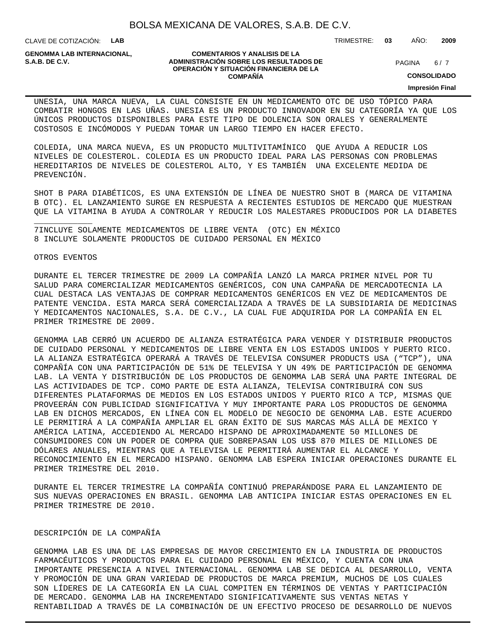CLAVE DE COTIZACIÓN: **LAB**

**GENOMMA LAB INTERNACIONAL,**

#### **COMENTARIOS Y ANALISIS DE LA ADMINISTRACIÓN SOBRE LOS RESULTADOS DE S.A.B. DE C.V.** PAGINA / 7 **OPERACIÓN Y SITUACIÓN FINANCIERA DE LA COMPAÑÍA**

 $6/7$ 

TRIMESTRE: **03** AÑO: **2009**

**CONSOLIDADO**

**Impresión Final**

UNESIA, UNA MARCA NUEVA, LA CUAL CONSISTE EN UN MEDICAMENTO OTC DE USO TÓPICO PARA COMBATIR HONGOS EN LAS UÑAS. UNESIA ES UN PRODUCTO INNOVADOR EN SU CATEGORÍA YA QUE LOS ÚNICOS PRODUCTOS DISPONIBLES PARA ESTE TIPO DE DOLENCIA SON ORALES Y GENERALMENTE COSTOSOS E INCÓMODOS Y PUEDAN TOMAR UN LARGO TIEMPO EN HACER EFECTO.

COLEDIA, UNA MARCA NUEVA, ES UN PRODUCTO MULTIVITAMÍNICO QUE AYUDA A REDUCIR LOS NIVELES DE COLESTEROL. COLEDIA ES UN PRODUCTO IDEAL PARA LAS PERSONAS CON PROBLEMAS HEREDITARIOS DE NIVELES DE COLESTEROL ALTO, Y ES TAMBIÉN UNA EXCELENTE MEDIDA DE PREVENCIÓN.

SHOT B PARA DIABÉTICOS, ES UNA EXTENSIÓN DE LÍNEA DE NUESTRO SHOT B (MARCA DE VITAMINA B OTC). EL LANZAMIENTO SURGE EN RESPUESTA A RECIENTES ESTUDIOS DE MERCADO QUE MUESTRAN QUE LA VITAMINA B AYUDA A CONTROLAR Y REDUCIR LOS MALESTARES PRODUCIDOS POR LA DIABETES

7INCLUYE SOLAMENTE MEDICAMENTOS DE LIBRE VENTA (OTC) EN MÉXICO 8 INCLUYE SOLAMENTE PRODUCTOS DE CUIDADO PERSONAL EN MÉXICO

#### OTROS EVENTOS

\_\_\_\_\_\_\_\_\_\_\_\_

 DURANTE EL TERCER TRIMESTRE DE 2009 LA COMPAÑÍA LANZÓ LA MARCA PRIMER NIVEL POR TU SALUD PARA COMERCIALIZAR MEDICAMENTOS GENÉRICOS, CON UNA CAMPAÑA DE MERCADOTECNIA LA CUAL DESTACA LAS VENTAJAS DE COMPRAR MEDICAMENTOS GENÉRICOS EN VEZ DE MEDICAMENTOS DE PATENTE VENCIDA. ESTA MARCA SERÁ COMERCIALIZADA A TRAVÉS DE LA SUBSIDIARIA DE MEDICINAS Y MEDICAMENTOS NACIONALES, S.A. DE C.V., LA CUAL FUE ADQUIRIDA POR LA COMPAÑÍA EN EL PRIMER TRIMESTRE DE 2009.

 GENOMMA LAB CERRÓ UN ACUERDO DE ALIANZA ESTRATÉGICA PARA VENDER Y DISTRIBUIR PRODUCTOS DE CUIDADO PERSONAL Y MEDICAMENTOS DE LIBRE VENTA EN LOS ESTADOS UNIDOS Y PUERTO RICO. LA ALIANZA ESTRATÉGICA OPERARÁ A TRAVÉS DE TELEVISA CONSUMER PRODUCTS USA ("TCP"), UNA COMPAÑÍA CON UNA PARTICIPACIÓN DE 51% DE TELEVISA Y UN 49% DE PARTICIPACIÓN DE GENOMMA LAB. LA VENTA Y DISTRIBUCIÓN DE LOS PRODUCTOS DE GENOMMA LAB SERÁ UNA PARTE INTEGRAL DE LAS ACTIVIDADES DE TCP. COMO PARTE DE ESTA ALIANZA, TELEVISA CONTRIBUIRÁ CON SUS DIFERENTES PLATAFORMAS DE MEDIOS EN LOS ESTADOS UNIDOS Y PUERTO RICO A TCP, MISMAS QUE PROVEERÁN CON PUBLICIDAD SIGNIFICATIVA Y MUY IMPORTANTE PARA LOS PRODUCTOS DE GENOMMA LAB EN DICHOS MERCADOS, EN LÍNEA CON EL MODELO DE NEGOCIO DE GENOMMA LAB. ESTE ACUERDO LE PERMITIRÁ A LA COMPAÑÍA AMPLIAR EL GRAN ÉXITO DE SUS MARCAS MÁS ALLÁ DE MEXICO Y AMÉRICA LATINA, ACCEDIENDO AL MERCADO HISPANO DE APROXIMADAMENTE 50 MILLONES DE CONSUMIDORES CON UN PODER DE COMPRA QUE SOBREPASAN LOS US\$ 870 MILES DE MILLONES DE DÓLARES ANUALES, MIENTRAS QUE A TELEVISA LE PERMITIRÁ AUMENTAR EL ALCANCE Y RECONOCIMIENTO EN EL MERCADO HISPANO. GENOMMA LAB ESPERA INICIAR OPERACIONES DURANTE EL PRIMER TRIMESTRE DEL 2010.

 DURANTE EL TERCER TRIMESTRE LA COMPAÑÍA CONTINUÓ PREPARÁNDOSE PARA EL LANZAMIENTO DE SUS NUEVAS OPERACIONES EN BRASIL. GENOMMA LAB ANTICIPA INICIAR ESTAS OPERACIONES EN EL PRIMER TRIMESTRE DE 2010.

### DESCRIPCIÓN DE LA COMPAÑÍA

GENOMMA LAB ES UNA DE LAS EMPRESAS DE MAYOR CRECIMIENTO EN LA INDUSTRIA DE PRODUCTOS FARMACÉUTICOS Y PRODUCTOS PARA EL CUIDADO PERSONAL EN MÉXICO, Y CUENTA CON UNA IMPORTANTE PRESENCIA A NIVEL INTERNACIONAL. GENOMMA LAB SE DEDICA AL DESARROLLO, VENTA Y PROMOCIÓN DE UNA GRAN VARIEDAD DE PRODUCTOS DE MARCA PREMIUM, MUCHOS DE LOS CUALES SON LÍDERES DE LA CATEGORÍA EN LA CUAL COMPITEN EN TÉRMINOS DE VENTAS Y PARTICIPACIÓN DE MERCADO. GENOMMA LAB HA INCREMENTADO SIGNIFICATIVAMENTE SUS VENTAS NETAS Y RENTABILIDAD A TRAVÉS DE LA COMBINACIÓN DE UN EFECTIVO PROCESO DE DESARROLLO DE NUEVOS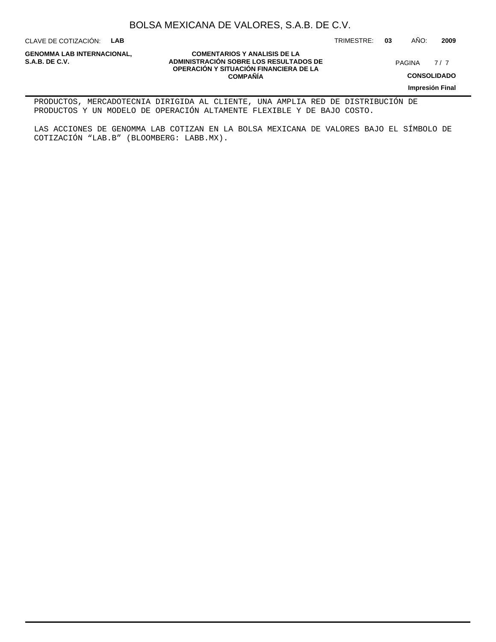CLAVE DE COTIZACIÓN: **LAB**

**GENOMMA LAB INTERNACIONAL,**

### **COMENTARIOS Y ANALISIS DE LA ADMINISTRACIÓN SOBRE LOS RESULTADOS DE S.A.B. DE C.V.** PAGINA / 7 **OPERACIÓN Y SITUACIÓN FINANCIERA DE LA COMPAÑÍA**

 $7/7$ 

**CONSOLIDADO**

**Impresión Final**

PRODUCTOS, MERCADOTECNIA DIRIGIDA AL CLIENTE, UNA AMPLIA RED DE DISTRIBUCIÓN DE PRODUCTOS Y UN MODELO DE OPERACIÓN ALTAMENTE FLEXIBLE Y DE BAJO COSTO.

LAS ACCIONES DE GENOMMA LAB COTIZAN EN LA BOLSA MEXICANA DE VALORES BAJO EL SÍMBOLO DE COTIZACIÓN "LAB.B" (BLOOMBERG: LABB.MX).

TRIMESTRE: **03** AÑO: **2009**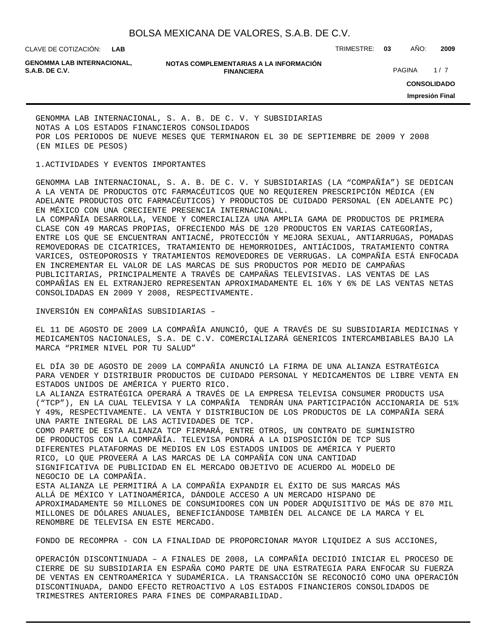**LAB**

CLAVE DE COTIZACIÓN: TRIMESTRE: **03** AÑO: **2009**

**GENOMMA LAB INTERNACIONAL,**

#### **NOTAS COMPLEMENTARIAS A LA INFORMACIÓN FINANCIERA S.A.B. DE C.V.** PAGINA 1 / 7

**CONSOLIDADO Impresión Final**

GENOMMA LAB INTERNACIONAL, S. A. B. DE C. V. Y SUBSIDIARIAS NOTAS A LOS ESTADOS FINANCIEROS CONSOLIDADOS POR LOS PERIODOS DE NUEVE MESES QUE TERMINARON EL 30 DE SEPTIEMBRE DE 2009 Y 2008 (EN MILES DE PESOS)

### 1. ACTIVIDADES Y EVENTOS IMPORTANTES

GENOMMA LAB INTERNACIONAL, S. A. B. DE C. V. Y SUBSIDIARIAS (LA "COMPAÑÍA") SE DEDICAN A LA VENTA DE PRODUCTOS OTC FARMACÉUTICOS QUE NO REQUIEREN PRESCRIPCIÓN MÉDICA (EN ADELANTE PRODUCTOS OTC FARMACÉUTICOS) Y PRODUCTOS DE CUIDADO PERSONAL (EN ADELANTE PC) EN MÉXICO CON UNA CRECIENTE PRESENCIA INTERNACIONAL.

LA COMPAÑÍA DESARROLLA, VENDE Y COMERCIALIZA UNA AMPLIA GAMA DE PRODUCTOS DE PRIMERA CLASE CON 49 MARCAS PROPIAS, OFRECIENDO MÁS DE 120 PRODUCTOS EN VARIAS CATEGORÍAS, ENTRE LOS QUE SE ENCUENTRAN ANTIACNÉ, PROTECCIÓN Y MEJORA SEXUAL, ANTIARRUGAS, POMADAS REMOVEDORAS DE CICATRICES, TRATAMIENTO DE HEMORROIDES, ANTIÁCIDOS, TRATAMIENTO CONTRA VARICES, OSTEOPOROSIS Y TRATAMIENTOS REMOVEDORES DE VERRUGAS. LA COMPAÑÍA ESTÁ ENFOCADA EN INCREMENTAR EL VALOR DE LAS MARCAS DE SUS PRODUCTOS POR MEDIO DE CAMPAÑAS PUBLICITARIAS, PRINCIPALMENTE A TRAVÉS DE CAMPAÑAS TELEVISIVAS. LAS VENTAS DE LAS COMPAÑÍAS EN EL EXTRANJERO REPRESENTAN APROXIMADAMENTE EL 16% Y 6% DE LAS VENTAS NETAS CONSOLIDADAS EN 2009 Y 2008, RESPECTIVAMENTE.

INVERSIÓN EN COMPAÑÍAS SUBSIDIARIAS –

EL 11 DE AGOSTO DE 2009 LA COMPAÑÍA ANUNCIÓ, QUE A TRAVÉS DE SU SUBSIDIARIA MEDICINAS Y MEDICAMENTOS NACIONALES, S.A. DE C.V. COMERCIALIZARÁ GENERICOS INTERCAMBIABLES BAJO LA MARCA "PRIMER NIVEL POR TU SALUD"

EL DÍA 30 DE AGOSTO DE 2009 LA COMPAÑÍA ANUNCIÓ LA FIRMA DE UNA ALIANZA ESTRATÉGICA PARA VENDER Y DISTRIBUIR PRODUCTOS DE CUIDADO PERSONAL Y MEDICAMENTOS DE LIBRE VENTA EN ESTADOS UNIDOS DE AMÉRICA Y PUERTO RICO.

LA ALIANZA ESTRATÉGICA OPERARÁ A TRAVÉS DE LA EMPRESA TELEVISA CONSUMER PRODUCTS USA ("TCP"), EN LA CUAL TELEVISA Y LA COMPAÑÍA TENDRÁN UNA PARTICIPACIÓN ACCIONARIA DE 51% Y 49%, RESPECTIVAMENTE. LA VENTA Y DISTRIBUCION DE LOS PRODUCTOS DE LA COMPAÑÍA SERÁ UNA PARTE INTEGRAL DE LAS ACTIVIDADES DE TCP.

COMO PARTE DE ESTA ALIANZA TCP FIRMARÁ, ENTRE OTROS, UN CONTRATO DE SUMINISTRO DE PRODUCTOS CON LA COMPAÑÍA. TELEVISA PONDRÁ A LA DISPOSICIÓN DE TCP SUS DIFERENTES PLATAFORMAS DE MEDIOS EN LOS ESTADOS UNIDOS DE AMÉRICA Y PUERTO RICO, LO QUE PROVEERÁ A LAS MARCAS DE LA COMPAÑÍA CON UNA CANTIDAD SIGNIFICATIVA DE PUBLICIDAD EN EL MERCADO OBJETIVO DE ACUERDO AL MODELO DE NEGOCIO DE LA COMPAÑÍA. ESTA ALIANZA LE PERMITIRÁ A LA COMPAÑÍA EXPANDIR EL ÉXITO DE SUS MARCAS MÁS ALLÁ DE MÉXICO Y LATINOAMÉRICA, DÁNDOLE ACCESO A UN MERCADO HISPANO DE APROXIMADAMENTE 50 MILLONES DE CONSUMIDORES CON UN PODER ADQUISITIVO DE MÁS DE 870 MIL MILLONES DE DÓLARES ANUALES, BENEFICIÁNDOSE TAMBIÉN DEL ALCANCE DE LA MARCA Y EL RENOMBRE DE TELEVISA EN ESTE MERCADO.

FONDO DE RECOMPRA - CON LA FINALIDAD DE PROPORCIONAR MAYOR LIQUIDEZ A SUS ACCIONES,

OPERACIÓN DISCONTINUADA – A FINALES DE 2008, LA COMPAÑÍA DECIDIÓ INICIAR EL PROCESO DE CIERRE DE SU SUBSIDIARIA EN ESPAÑA COMO PARTE DE UNA ESTRATEGIA PARA ENFOCAR SU FUERZA DE VENTAS EN CENTROAMÉRICA Y SUDAMÉRICA. LA TRANSACCIÓN SE RECONOCIÓ COMO UNA OPERACIÓN DISCONTINUADA, DANDO EFECTO RETROACTIVO A LOS ESTADOS FINANCIEROS CONSOLIDADOS DE TRIMESTRES ANTERIORES PARA FINES DE COMPARABILIDAD.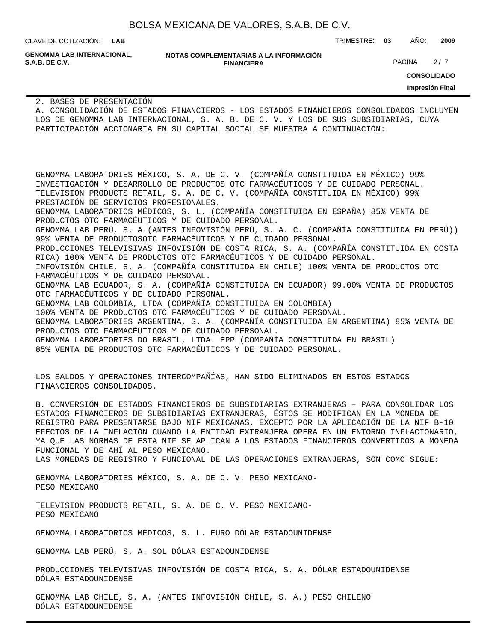| BOLSA MEXICANA DE VALORES, S.A.B. DE C.V. |  |  |  |  |  |
|-------------------------------------------|--|--|--|--|--|
|-------------------------------------------|--|--|--|--|--|

CLAVE DE COTIZACIÓN: TRIMESTRE: **03** AÑO: **2009 LAB**

**GENOMMA LAB INTERNACIONAL,**

**NOTAS COMPLEMENTARIAS A LA INFORMACIÓN FINANCIERA S.A.B. DE C.V.** PAGINA 2 / 7

**CONSOLIDADO**

**Impresión Final**

2. BASES DE PRESENTACIÓN

A. CONSOLIDACIÓN DE ESTADOS FINANCIEROS - LOS ESTADOS FINANCIEROS CONSOLIDADOS INCLUYEN LOS DE GENOMMA LAB INTERNACIONAL, S. A. B. DE C. V. Y LOS DE SUS SUBSIDIARIAS, CUYA PARTICIPACIÓN ACCIONARIA EN SU CAPITAL SOCIAL SE MUESTRA A CONTINUACIÓN:

GENOMMA LABORATORIES MÉXICO, S. A. DE C. V. (COMPAÑÍA CONSTITUIDA EN MÉXICO) 99% INVESTIGACIÓN Y DESARROLLO DE PRODUCTOS OTC FARMACÉUTICOS Y DE CUIDADO PERSONAL. TELEVISION PRODUCTS RETAIL, S. A. DE C. V. (COMPAÑÍA CONSTITUIDA EN MÉXICO) 99% PRESTACIÓN DE SERVICIOS PROFESIONALES. GENOMMA LABORATORIOS MÉDICOS, S. L. (COMPAÑÍA CONSTITUIDA EN ESPAÑA) 85% VENTA DE PRODUCTOS OTC FARMACÉUTICOS Y DE CUIDADO PERSONAL. GENOMMA LAB PERÚ, S. A.(ANTES INFOVISIÓN PERÚ, S. A. C. (COMPAÑÍA CONSTITUIDA EN PERÚ)) 99% VENTA DE PRODUCTOSOTC FARMACÉUTICOS Y DE CUIDADO PERSONAL. PRODUCCIONES TELEVISIVAS INFOVISIÓN DE COSTA RICA, S. A. (COMPAÑÍA CONSTITUIDA EN COSTA RICA) 100% VENTA DE PRODUCTOS OTC FARMACÉUTICOS Y DE CUIDADO PERSONAL. INFOVISIÓN CHILE, S. A. (COMPAÑÍA CONSTITUIDA EN CHILE) 100% VENTA DE PRODUCTOS OTC FARMACÉUTICOS Y DE CUIDADO PERSONAL. GENOMMA LAB ECUADOR, S. A. (COMPAÑÍA CONSTITUIDA EN ECUADOR) 99.00% VENTA DE PRODUCTOS OTC FARMACÉUTICOS Y DE CUIDADO PERSONAL. GENOMMA LAB COLOMBIA, LTDA (COMPAÑÍA CONSTITUIDA EN COLOMBIA) 100% VENTA DE PRODUCTOS OTC FARMACÉUTICOS Y DE CUIDADO PERSONAL. GENOMMA LABORATORIES ARGENTINA, S. A. (COMPAÑÍA CONSTITUIDA EN ARGENTINA) 85% VENTA DE PRODUCTOS OTC FARMACÉUTICOS Y DE CUIDADO PERSONAL. GENOMMA LABORATORIES DO BRASIL, LTDA. EPP (COMPAÑÍA CONSTITUIDA EN BRASIL) 85% VENTA DE PRODUCTOS OTC FARMACÉUTICOS Y DE CUIDADO PERSONAL.

LOS SALDOS Y OPERACIONES INTERCOMPAÑÍAS, HAN SIDO ELIMINADOS EN ESTOS ESTADOS FINANCIEROS CONSOLIDADOS.

B. CONVERSIÓN DE ESTADOS FINANCIEROS DE SUBSIDIARIAS EXTRANJERAS – PARA CONSOLIDAR LOS ESTADOS FINANCIEROS DE SUBSIDIARIAS EXTRANJERAS, ÉSTOS SE MODIFICAN EN LA MONEDA DE REGISTRO PARA PRESENTARSE BAJO NIF MEXICANAS, EXCEPTO POR LA APLICACIÓN DE LA NIF B-10 EFECTOS DE LA INFLACIÓN CUANDO LA ENTIDAD EXTRANJERA OPERA EN UN ENTORNO INFLACIONARIO, YA QUE LAS NORMAS DE ESTA NIF SE APLICAN A LOS ESTADOS FINANCIEROS CONVERTIDOS A MONEDA FUNCIONAL Y DE AHÍ AL PESO MEXICANO.

LAS MONEDAS DE REGISTRO Y FUNCIONAL DE LAS OPERACIONES EXTRANJERAS, SON COMO SIGUE:

GENOMMA LABORATORIES MÉXICO, S. A. DE C. V. PESO MEXICANO-PESO MEXICANO

TELEVISION PRODUCTS RETAIL, S. A. DE C. V. PESO MEXICANO-PESO MEXICANO

GENOMMA LABORATORIOS MÉDICOS, S. L. EURO DÓLAR ESTADOUNIDENSE

GENOMMA LAB PERÚ, S. A. SOL DÓLAR ESTADOUNIDENSE

PRODUCCIONES TELEVISIVAS INFOVISIÓN DE COSTA RICA, S. A. DÓLAR ESTADOUNIDENSE DÓLAR ESTADOUNIDENSE

GENOMMA LAB CHILE, S. A. (ANTES INFOVISIÓN CHILE, S. A.) PESO CHILENO DÓLAR ESTADOUNIDENSE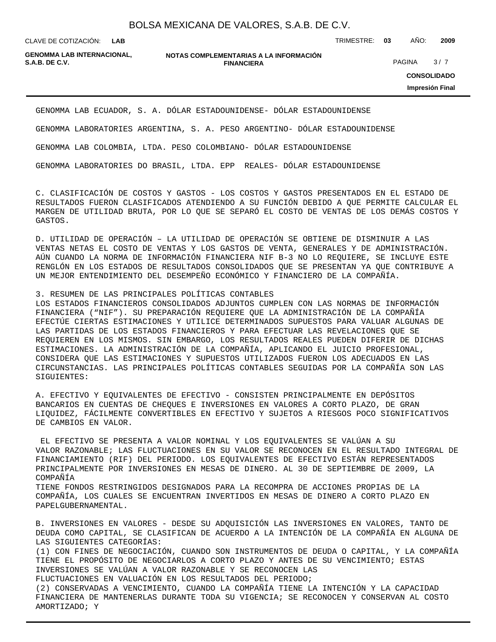**LAB**

CLAVE DE COTIZACIÓN: TRIMESTRE: **03** AÑO: **2009**

**GENOMMA LAB INTERNACIONAL,**

#### **NOTAS COMPLEMENTARIAS A LA INFORMACIÓN FINANCIERA S.A.B. DE C.V.** PAGINA 3 / 7

**CONSOLIDADO**

**Impresión Final**

GENOMMA LAB ECUADOR, S. A. DÓLAR ESTADOUNIDENSE- DÓLAR ESTADOUNIDENSE

GENOMMA LABORATORIES ARGENTINA, S. A. PESO ARGENTINO- DÓLAR ESTADOUNIDENSE

GENOMMA LAB COLOMBIA, LTDA. PESO COLOMBIANO- DÓLAR ESTADOUNIDENSE

GENOMMA LABORATORIES DO BRASIL, LTDA. EPP REALES- DÓLAR ESTADOUNIDENSE

C. CLASIFICACIÓN DE COSTOS Y GASTOS - LOS COSTOS Y GASTOS PRESENTADOS EN EL ESTADO DE RESULTADOS FUERON CLASIFICADOS ATENDIENDO A SU FUNCIÓN DEBIDO A QUE PERMITE CALCULAR EL MARGEN DE UTILIDAD BRUTA, POR LO QUE SE SEPARÓ EL COSTO DE VENTAS DE LOS DEMÁS COSTOS Y GASTOS.

D. UTILIDAD DE OPERACIÓN – LA UTILIDAD DE OPERACIÓN SE OBTIENE DE DISMINUIR A LAS VENTAS NETAS EL COSTO DE VENTAS Y LOS GASTOS DE VENTA, GENERALES Y DE ADMINISTRACIÓN. AÚN CUANDO LA NORMA DE INFORMACIÓN FINANCIERA NIF B-3 NO LO REQUIERE, SE INCLUYE ESTE RENGLÓN EN LOS ESTADOS DE RESULTADOS CONSOLIDADOS QUE SE PRESENTAN YA QUE CONTRIBUYE A UN MEJOR ENTENDIMIENTO DEL DESEMPEÑO ECONÓMICO Y FINANCIERO DE LA COMPAÑÍA.

3. RESUMEN DE LAS PRINCIPALES POLÍTICAS CONTABLES

LOS ESTADOS FINANCIEROS CONSOLIDADOS ADJUNTOS CUMPLEN CON LAS NORMAS DE INFORMACIÓN FINANCIERA ("NIF"). SU PREPARACIÓN REQUIERE QUE LA ADMINISTRACIÓN DE LA COMPAÑÍA EFECTÚE CIERTAS ESTIMACIONES Y UTILICE DETERMINADOS SUPUESTOS PARA VALUAR ALGUNAS DE LAS PARTIDAS DE LOS ESTADOS FINANCIEROS Y PARA EFECTUAR LAS REVELACIONES QUE SE REQUIEREN EN LOS MISMOS. SIN EMBARGO, LOS RESULTADOS REALES PUEDEN DIFERIR DE DICHAS ESTIMACIONES. LA ADMINISTRACIÓN DE LA COMPAÑÍA, APLICANDO EL JUICIO PROFESIONAL, CONSIDERA QUE LAS ESTIMACIONES Y SUPUESTOS UTILIZADOS FUERON LOS ADECUADOS EN LAS CIRCUNSTANCIAS. LAS PRINCIPALES POLÍTICAS CONTABLES SEGUIDAS POR LA COMPAÑÍA SON LAS SIGUIENTES:

A. EFECTIVO Y EQUIVALENTES DE EFECTIVO - CONSISTEN PRINCIPALMENTE EN DEPÓSITOS BANCARIOS EN CUENTAS DE CHEQUES E INVERSIONES EN VALORES A CORTO PLAZO, DE GRAN LIQUIDEZ, FÁCILMENTE CONVERTIBLES EN EFECTIVO Y SUJETOS A RIESGOS POCO SIGNIFICATIVOS DE CAMBIOS EN VALOR.

 EL EFECTIVO SE PRESENTA A VALOR NOMINAL Y LOS EQUIVALENTES SE VALÚAN A SU VALOR RAZONABLE; LAS FLUCTUACIONES EN SU VALOR SE RECONOCEN EN EL RESULTADO INTEGRAL DE FINANCIAMIENTO (RIF) DEL PERIODO. LOS EQUIVALENTES DE EFECTIVO ESTÁN REPRESENTADOS PRINCIPALMENTE POR INVERSIONES EN MESAS DE DINERO. AL 30 DE SEPTIEMBRE DE 2009, LA COMPAÑÍA TIENE FONDOS RESTRINGIDOS DESIGNADOS PARA LA RECOMPRA DE ACCIONES PROPIAS DE LA COMPAÑÍA, LOS CUALES SE ENCUENTRAN INVERTIDOS EN MESAS DE DINERO A CORTO PLAZO EN PAPELGUBERNAMENTAL.

B. INVERSIONES EN VALORES - DESDE SU ADQUISICIÓN LAS INVERSIONES EN VALORES, TANTO DE DEUDA COMO CAPITAL, SE CLASIFICAN DE ACUERDO A LA INTENCIÓN DE LA COMPAÑÍA EN ALGUNA DE LAS SIGUIENTES CATEGORÍAS:

(1) CON FINES DE NEGOCIACIÓN, CUANDO SON INSTRUMENTOS DE DEUDA O CAPITAL, Y LA COMPAÑÍA TIENE EL PROPÓSITO DE NEGOCIARLOS A CORTO PLAZO Y ANTES DE SU VENCIMIENTO; ESTAS INVERSIONES SE VALÚAN A VALOR RAZONABLE Y SE RECONOCEN LAS

FLUCTUACIONES EN VALUACIÓN EN LOS RESULTADOS DEL PERIODO;

(2) CONSERVADAS A VENCIMIENTO, CUANDO LA COMPAÑÍA TIENE LA INTENCIÓN Y LA CAPACIDAD FINANCIERA DE MANTENERLAS DURANTE TODA SU VIGENCIA; SE RECONOCEN Y CONSERVAN AL COSTO AMORTIZADO; Y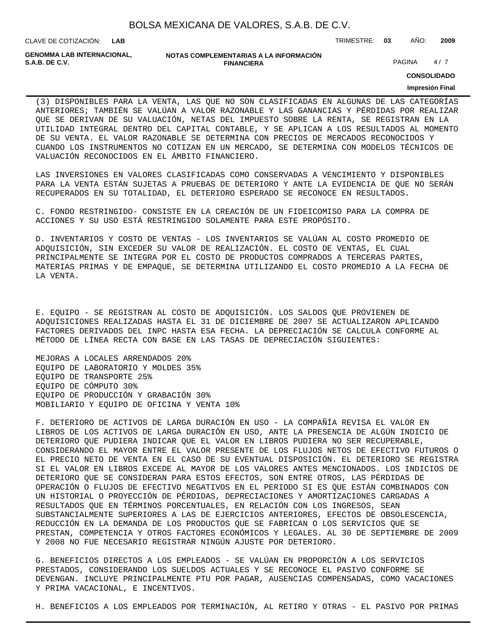| BOLSA MEXICANA DE VALORES, S.A.B. DE C.V. |  |  |  |
|-------------------------------------------|--|--|--|
|-------------------------------------------|--|--|--|

CLAVE DE COTIZACIÓN: TRIMESTRE: **03** AÑO: **2009 LAB**

**GENOMMA LAB INTERNACIONAL,**

#### **NOTAS COMPLEMENTARIAS A LA INFORMACIÓN FINANCIERA S.A.B. DE C.V.** And the contract of the contract of the contract of the contract of the contract of the contract of the contract of the contract of the contract of the contract of the contract of the contract of the contr

**CONSOLIDADO**

#### **Impresión Final**

(3) DISPONIBLES PARA LA VENTA, LAS QUE NO SON CLASIFICADAS EN ALGUNAS DE LAS CATEGORÍAS ANTERIORES; TAMBIÉN SE VALÚAN A VALOR RAZONABLE Y LAS GANANCIAS Y PÉRDIDAS POR REALIZAR QUE SE DERIVAN DE SU VALUACIÓN, NETAS DEL IMPUESTO SOBRE LA RENTA, SE REGISTRAN EN LA UTILIDAD INTEGRAL DENTRO DEL CAPITAL CONTABLE, Y SE APLICAN A LOS RESULTADOS AL MOMENTO DE SU VENTA. EL VALOR RAZONABLE SE DETERMINA CON PRECIOS DE MERCADOS RECONOCIDOS Y CUANDO LOS INSTRUMENTOS NO COTIZAN EN UN MERCADO, SE DETERMINA CON MODELOS TÉCNICOS DE VALUACIÓN RECONOCIDOS EN EL ÁMBITO FINANCIERO.

LAS INVERSIONES EN VALORES CLASIFICADAS COMO CONSERVADAS A VENCIMIENTO Y DISPONIBLES PARA LA VENTA ESTÁN SUJETAS A PRUEBAS DE DETERIORO Y ANTE LA EVIDENCIA DE QUE NO SERÁN RECUPERADOS EN SU TOTALIDAD, EL DETERIORO ESPERADO SE RECONOCE EN RESULTADOS.

C. FONDO RESTRINGIDO- CONSISTE EN LA CREACIÓN DE UN FIDEICOMISO PARA LA COMPRA DE ACCIONES Y SU USO ESTÁ RESTRINGIDO SOLAMENTE PARA ESTE PROPÓSITO.

D. INVENTARIOS Y COSTO DE VENTAS - LOS INVENTARIOS SE VALÚAN AL COSTO PROMEDIO DE ADQUISICIÓN, SIN EXCEDER SU VALOR DE REALIZACIÓN. EL COSTO DE VENTAS, EL CUAL PRINCIPALMENTE SE INTEGRA POR EL COSTO DE PRODUCTOS COMPRADOS A TERCERAS PARTES, MATERIAS PRIMAS Y DE EMPAQUE, SE DETERMINA UTILIZANDO EL COSTO PROMEDIO A LA FECHA DE LA VENTA.

E. EQUIPO - SE REGISTRAN AL COSTO DE ADQUISICIÓN. LOS SALDOS QUE PROVIENEN DE ADQUISICIONES REALIZADAS HASTA EL 31 DE DICIEMBRE DE 2007 SE ACTUALIZARON APLICANDO FACTORES DERIVADOS DEL INPC HASTA ESA FECHA. LA DEPRECIACIÓN SE CALCULA CONFORME AL MÉTODO DE LÍNEA RECTA CON BASE EN LAS TASAS DE DEPRECIACIÓN SIGUIENTES:

MEJORAS A LOCALES ARRENDADOS 20% EQUIPO DE LABORATORIO Y MOLDES 35% EQUIPO DE TRANSPORTE 25% EQUIPO DE CÓMPUTO 30% EQUIPO DE PRODUCCIÓN Y GRABACIÓN 30% MOBILIARIO Y EQUIPO DE OFICINA Y VENTA 10%

F. DETERIORO DE ACTIVOS DE LARGA DURACIÓN EN USO - LA COMPAÑÍA REVISA EL VALOR EN LIBROS DE LOS ACTIVOS DE LARGA DURACIÓN EN USO, ANTE LA PRESENCIA DE ALGÚN INDICIO DE DETERIORO QUE PUDIERA INDICAR QUE EL VALOR EN LIBROS PUDIERA NO SER RECUPERABLE, CONSIDERANDO EL MAYOR ENTRE EL VALOR PRESENTE DE LOS FLUJOS NETOS DE EFECTIVO FUTUROS O EL PRECIO NETO DE VENTA EN EL CASO DE SU EVENTUAL DISPOSICIÓN. EL DETERIORO SE REGISTRA SI EL VALOR EN LIBROS EXCEDE AL MAYOR DE LOS VALORES ANTES MENCIONADOS. LOS INDICIOS DE DETERIORO QUE SE CONSIDERAN PARA ESTOS EFECTOS, SON ENTRE OTROS, LAS PÉRDIDAS DE OPERACIÓN O FLUJOS DE EFECTIVO NEGATIVOS EN EL PERIODO SI ES QUE ESTÁN COMBINADOS CON UN HISTORIAL O PROYECCIÓN DE PÉRDIDAS, DEPRECIACIONES Y AMORTIZACIONES CARGADAS A RESULTADOS QUE EN TÉRMINOS PORCENTUALES, EN RELACIÓN CON LOS INGRESOS, SEAN SUBSTANCIALMENTE SUPERIORES A LAS DE EJERCICIOS ANTERIORES, EFECTOS DE OBSOLESCENCIA, REDUCCIÓN EN LA DEMANDA DE LOS PRODUCTOS QUE SE FABRICAN O LOS SERVICIOS QUE SE PRESTAN, COMPETENCIA Y OTROS FACTORES ECONÓMICOS Y LEGALES. AL 30 DE SEPTIEMBRE DE 2009 Y 2008 NO FUE NECESARIO REGISTRAR NINGÚN AJUSTE POR DETERIORO.

G. BENEFICIOS DIRECTOS A LOS EMPLEADOS - SE VALÚAN EN PROPORCIÓN A LOS SERVICIOS PRESTADOS, CONSIDERANDO LOS SUELDOS ACTUALES Y SE RECONOCE EL PASIVO CONFORME SE DEVENGAN. INCLUYE PRINCIPALMENTE PTU POR PAGAR, AUSENCIAS COMPENSADAS, COMO VACACIONES Y PRIMA VACACIONAL, E INCENTIVOS.

H. BENEFICIOS A LOS EMPLEADOS POR TERMINACIÓN, AL RETIRO Y OTRAS - EL PASIVO POR PRIMAS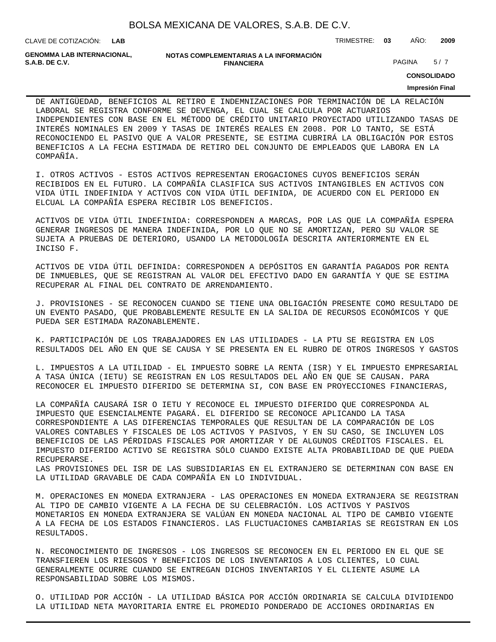| BOLSA MEXICANA DE VALORES, S.A.B. DE C.V. |  |  |  |
|-------------------------------------------|--|--|--|
|-------------------------------------------|--|--|--|

**LAB**

CLAVE DE COTIZACIÓN: TRIMESTRE: **03** AÑO: **2009**

**GENOMMA LAB INTERNACIONAL,**

```
NOTAS COMPLEMENTARIAS A LA INFORMACIÓN
                            FINANCIERA
S.A.B. DE C.V. S.A.B. DE C.V. PAGINA 5/7
```
**CONSOLIDADO**

#### **Impresión Final**

DE ANTIGÜEDAD, BENEFICIOS AL RETIRO E INDEMNIZACIONES POR TERMINACIÓN DE LA RELACIÓN LABORAL SE REGISTRA CONFORME SE DEVENGA, EL CUAL SE CALCULA POR ACTUARIOS INDEPENDIENTES CON BASE EN EL MÉTODO DE CRÉDITO UNITARIO PROYECTADO UTILIZANDO TASAS DE INTERÉS NOMINALES EN 2009 Y TASAS DE INTERÉS REALES EN 2008. POR LO TANTO, SE ESTÁ RECONOCIENDO EL PASIVO QUE A VALOR PRESENTE, SE ESTIMA CUBRIRÁ LA OBLIGACIÓN POR ESTOS BENEFICIOS A LA FECHA ESTIMADA DE RETIRO DEL CONJUNTO DE EMPLEADOS QUE LABORA EN LA COMPAÑÍA.

I. OTROS ACTIVOS - ESTOS ACTIVOS REPRESENTAN EROGACIONES CUYOS BENEFICIOS SERÁN RECIBIDOS EN EL FUTURO. LA COMPAÑÍA CLASIFICA SUS ACTIVOS INTANGIBLES EN ACTIVOS CON VIDA ÚTIL INDEFINIDA Y ACTIVOS CON VIDA ÚTIL DEFINIDA, DE ACUERDO CON EL PERIODO EN ELCUAL LA COMPAÑÍA ESPERA RECIBIR LOS BENEFICIOS.

ACTIVOS DE VIDA ÚTIL INDEFINIDA: CORRESPONDEN A MARCAS, POR LAS QUE LA COMPAÑÍA ESPERA GENERAR INGRESOS DE MANERA INDEFINIDA, POR LO QUE NO SE AMORTIZAN, PERO SU VALOR SE SUJETA A PRUEBAS DE DETERIORO, USANDO LA METODOLOGÍA DESCRITA ANTERIORMENTE EN EL INCISO F.

ACTIVOS DE VIDA ÚTIL DEFINIDA: CORRESPONDEN A DEPÓSITOS EN GARANTÍA PAGADOS POR RENTA DE INMUEBLES, QUE SE REGISTRAN AL VALOR DEL EFECTIVO DADO EN GARANTÍA Y QUE SE ESTIMA RECUPERAR AL FINAL DEL CONTRATO DE ARRENDAMIENTO.

J. PROVISIONES - SE RECONOCEN CUANDO SE TIENE UNA OBLIGACIÓN PRESENTE COMO RESULTADO DE UN EVENTO PASADO, QUE PROBABLEMENTE RESULTE EN LA SALIDA DE RECURSOS ECONÓMICOS Y QUE PUEDA SER ESTIMADA RAZONABLEMENTE.

K. PARTICIPACIÓN DE LOS TRABAJADORES EN LAS UTILIDADES - LA PTU SE REGISTRA EN LOS RESULTADOS DEL AÑO EN QUE SE CAUSA Y SE PRESENTA EN EL RUBRO DE OTROS INGRESOS Y GASTOS

L. IMPUESTOS A LA UTILIDAD - EL IMPUESTO SOBRE LA RENTA (ISR) Y EL IMPUESTO EMPRESARIAL A TASA ÚNICA (IETU) SE REGISTRAN EN LOS RESULTADOS DEL AÑO EN QUE SE CAUSAN. PARA RECONOCER EL IMPUESTO DIFERIDO SE DETERMINA SI, CON BASE EN PROYECCIONES FINANCIERAS,

LA COMPAÑÍA CAUSARÁ ISR O IETU Y RECONOCE EL IMPUESTO DIFERIDO QUE CORRESPONDA AL IMPUESTO QUE ESENCIALMENTE PAGARÁ. EL DIFERIDO SE RECONOCE APLICANDO LA TASA CORRESPONDIENTE A LAS DIFERENCIAS TEMPORALES QUE RESULTAN DE LA COMPARACIÓN DE LOS VALORES CONTABLES Y FISCALES DE LOS ACTIVOS Y PASIVOS, Y EN SU CASO, SE INCLUYEN LOS BENEFICIOS DE LAS PÉRDIDAS FISCALES POR AMORTIZAR Y DE ALGUNOS CRÉDITOS FISCALES. EL IMPUESTO DIFERIDO ACTIVO SE REGISTRA SÓLO CUANDO EXISTE ALTA PROBABILIDAD DE QUE PUEDA RECUPERARSE.

LAS PROVISIONES DEL ISR DE LAS SUBSIDIARIAS EN EL EXTRANJERO SE DETERMINAN CON BASE EN LA UTILIDAD GRAVABLE DE CADA COMPAÑÍA EN LO INDIVIDUAL.

M. OPERACIONES EN MONEDA EXTRANJERA - LAS OPERACIONES EN MONEDA EXTRANJERA SE REGISTRAN AL TIPO DE CAMBIO VIGENTE A LA FECHA DE SU CELEBRACIÓN. LOS ACTIVOS Y PASIVOS MONETARIOS EN MONEDA EXTRANJERA SE VALÚAN EN MONEDA NACIONAL AL TIPO DE CAMBIO VIGENTE A LA FECHA DE LOS ESTADOS FINANCIEROS. LAS FLUCTUACIONES CAMBIARIAS SE REGISTRAN EN LOS RESULTADOS.

N. RECONOCIMIENTO DE INGRESOS - LOS INGRESOS SE RECONOCEN EN EL PERIODO EN EL QUE SE TRANSFIEREN LOS RIESGOS Y BENEFICIOS DE LOS INVENTARIOS A LOS CLIENTES, LO CUAL GENERALMENTE OCURRE CUANDO SE ENTREGAN DICHOS INVENTARIOS Y EL CLIENTE ASUME LA RESPONSABILIDAD SOBRE LOS MISMOS.

O. UTILIDAD POR ACCIÓN - LA UTILIDAD BÁSICA POR ACCIÓN ORDINARIA SE CALCULA DIVIDIENDO LA UTILIDAD NETA MAYORITARIA ENTRE EL PROMEDIO PONDERADO DE ACCIONES ORDINARIAS EN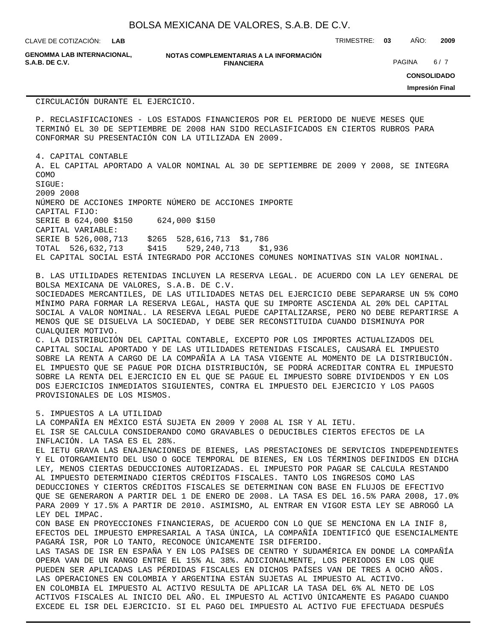CLAVE DE COTIZACIÓN: TRIMESTRE: **03** AÑO: **2009 LAB**

**GENOMMA LAB INTERNACIONAL,**

**NOTAS COMPLEMENTARIAS A LA INFORMACIÓN FINANCIERA S.A.B. DE C.V.** PAGINA 6 / 7

**CONSOLIDADO**

**Impresión Final**

CIRCULACIÓN DURANTE EL EJERCICIO.

P. RECLASIFICACIONES - LOS ESTADOS FINANCIEROS POR EL PERIODO DE NUEVE MESES QUE TERMINÓ EL 30 DE SEPTIEMBRE DE 2008 HAN SIDO RECLASIFICADOS EN CIERTOS RUBROS PARA CONFORMAR SU PRESENTACIÓN CON LA UTILIZADA EN 2009.

4. CAPITAL CONTABLE

A. EL CAPITAL APORTADO A VALOR NOMINAL AL 30 DE SEPTIEMBRE DE 2009 Y 2008, SE INTEGRA COMO SIGUE:

2009 2008 NÚMERO DE ACCIONES IMPORTE NÚMERO DE ACCIONES IMPORTE CAPITAL FIJO: SERIE B 624,000 \$150 624,000 \$150 CAPITAL VARIABLE: SERIE B 526,008,713 \$265 528,616,713 \$1,786 TOTAL 526,632,713 \$415 529,240,713 \$1,936 EL CAPITAL SOCIAL ESTÁ INTEGRADO POR ACCIONES COMUNES NOMINATIVAS SIN VALOR NOMINAL.

B. LAS UTILIDADES RETENIDAS INCLUYEN LA RESERVA LEGAL. DE ACUERDO CON LA LEY GENERAL DE BOLSA MEXICANA DE VALORES, S.A.B. DE C.V.

SOCIEDADES MERCANTILES, DE LAS UTILIDADES NETAS DEL EJERCICIO DEBE SEPARARSE UN 5% COMO MÍNIMO PARA FORMAR LA RESERVA LEGAL, HASTA QUE SU IMPORTE ASCIENDA AL 20% DEL CAPITAL SOCIAL A VALOR NOMINAL. LA RESERVA LEGAL PUEDE CAPITALIZARSE, PERO NO DEBE REPARTIRSE A MENOS QUE SE DISUELVA LA SOCIEDAD, Y DEBE SER RECONSTITUIDA CUANDO DISMINUYA POR CUALQUIER MOTIVO.

C. LA DISTRIBUCIÓN DEL CAPITAL CONTABLE, EXCEPTO POR LOS IMPORTES ACTUALIZADOS DEL CAPITAL SOCIAL APORTADO Y DE LAS UTILIDADES RETENIDAS FISCALES, CAUSARÁ EL IMPUESTO SOBRE LA RENTA A CARGO DE LA COMPAÑÍA A LA TASA VIGENTE AL MOMENTO DE LA DISTRIBUCIÓN. EL IMPUESTO QUE SE PAGUE POR DICHA DISTRIBUCIÓN, SE PODRÁ ACREDITAR CONTRA EL IMPUESTO SOBRE LA RENTA DEL EJERCICIO EN EL QUE SE PAGUE EL IMPUESTO SOBRE DIVIDENDOS Y EN LOS DOS EJERCICIOS INMEDIATOS SIGUIENTES, CONTRA EL IMPUESTO DEL EJERCICIO Y LOS PAGOS PROVISIONALES DE LOS MISMOS.

5. IMPUESTOS A LA UTILIDAD LA COMPAÑÍA EN MÉXICO ESTÁ SUJETA EN 2009 Y 2008 AL ISR Y AL IETU. EL ISR SE CALCULA CONSIDERANDO COMO GRAVABLES O DEDUCIBLES CIERTOS EFECTOS DE LA INFLACIÓN. LA TASA ES EL 28%. EL IETU GRAVA LAS ENAJENACIONES DE BIENES, LAS PRESTACIONES DE SERVICIOS INDEPENDIENTES Y EL OTORGAMIENTO DEL USO O GOCE TEMPORAL DE BIENES, EN LOS TÉRMINOS DEFINIDOS EN DICHA LEY, MENOS CIERTAS DEDUCCIONES AUTORIZADAS. EL IMPUESTO POR PAGAR SE CALCULA RESTANDO AL IMPUESTO DETERMINADO CIERTOS CRÉDITOS FISCALES. TANTO LOS INGRESOS COMO LAS DEDUCCIONES Y CIERTOS CRÉDITOS FISCALES SE DETERMINAN CON BASE EN FLUJOS DE EFECTIVO QUE SE GENERARON A PARTIR DEL 1 DE ENERO DE 2008. LA TASA ES DEL 16.5% PARA 2008, 17.0% PARA 2009 Y 17.5% A PARTIR DE 2010. ASIMISMO, AL ENTRAR EN VIGOR ESTA LEY SE ABROGÓ LA LEY DEL IMPAC. CON BASE EN PROYECCIONES FINANCIERAS, DE ACUERDO CON LO QUE SE MENCIONA EN LA INIF 8, EFECTOS DEL IMPUESTO EMPRESARIAL A TASA ÚNICA, LA COMPAÑÍA IDENTIFICÓ QUE ESENCIALMENTE PAGARÁ ISR, POR LO TANTO, RECONOCE ÚNICAMENTE ISR DIFERIDO. LAS TASAS DE ISR EN ESPAÑA Y EN LOS PAÍSES DE CENTRO Y SUDAMÉRICA EN DONDE LA COMPAÑÍA OPERA VAN DE UN RANGO ENTRE EL 15% AL 38%. ADICIONALMENTE, LOS PERIODOS EN LOS QUE PUEDEN SER APLICADAS LAS PÉRDIDAS FISCALES EN DICHOS PAÍSES VAN DE TRES A OCHO AÑOS. LAS OPERACIONES EN COLOMBIA Y ARGENTINA ESTÁN SUJETAS AL IMPUESTO AL ACTIVO. EN COLOMBIA EL IMPUESTO AL ACTIVO RESULTA DE APLICAR LA TASA DEL 6% AL NETO DE LOS ACTIVOS FISCALES AL INICIO DEL AÑO. EL IMPUESTO AL ACTIVO ÚNICAMENTE ES PAGADO CUANDO EXCEDE EL ISR DEL EJERCICIO. SI EL PAGO DEL IMPUESTO AL ACTIVO FUE EFECTUADA DESPUÉS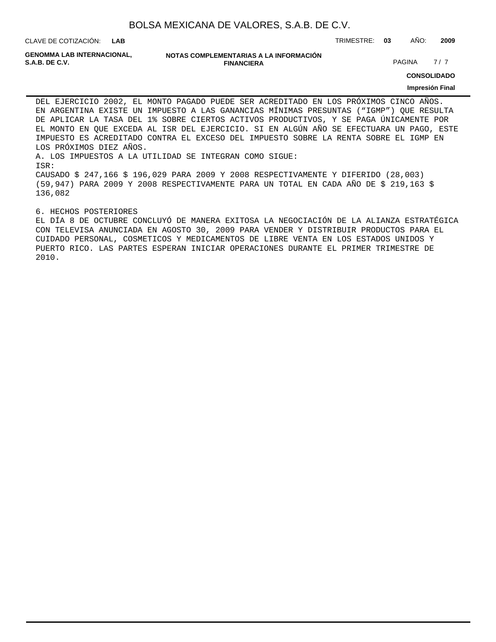CLAVE DE COTIZACIÓN: TRIMESTRE: **03** AÑO: **2009 LAB**

**GENOMMA LAB INTERNACIONAL,**

**NOTAS COMPLEMENTARIAS A LA INFORMACIÓN FINANCIERA**

**PAGINA** 7/7

**CONSOLIDADO**

#### **Impresión Final**

DEL EJERCICIO 2002, EL MONTO PAGADO PUEDE SER ACREDITADO EN LOS PRÓXIMOS CINCO AÑOS. EN ARGENTINA EXISTE UN IMPUESTO A LAS GANANCIAS MÍNIMAS PRESUNTAS ("IGMP") QUE RESULTA DE APLICAR LA TASA DEL 1% SOBRE CIERTOS ACTIVOS PRODUCTIVOS, Y SE PAGA ÚNICAMENTE POR EL MONTO EN QUE EXCEDA AL ISR DEL EJERCICIO. SI EN ALGÚN AÑO SE EFECTUARA UN PAGO, ESTE IMPUESTO ES ACREDITADO CONTRA EL EXCESO DEL IMPUESTO SOBRE LA RENTA SOBRE EL IGMP EN LOS PRÓXIMOS DIEZ AÑOS. A. LOS IMPUESTOS A LA UTILIDAD SE INTEGRAN COMO SIGUE: ISR: CAUSADO \$ 247,166 \$ 196,029 PARA 2009 Y 2008 RESPECTIVAMENTE Y DIFERIDO (28,003) (59,947) PARA 2009 Y 2008 RESPECTIVAMENTE PARA UN TOTAL EN CADA AÑO DE \$ 219,163 \$

#### 6. HECHOS POSTERIORES

136,082

EL DÍA 8 DE OCTUBRE CONCLUYÓ DE MANERA EXITOSA LA NEGOCIACIÓN DE LA ALIANZA ESTRATÉGICA CON TELEVISA ANUNCIADA EN AGOSTO 30, 2009 PARA VENDER Y DISTRIBUIR PRODUCTOS PARA EL CUIDADO PERSONAL, COSMETICOS Y MEDICAMENTOS DE LIBRE VENTA EN LOS ESTADOS UNIDOS Y PUERTO RICO. LAS PARTES ESPERAN INICIAR OPERACIONES DURANTE EL PRIMER TRIMESTRE DE 2010.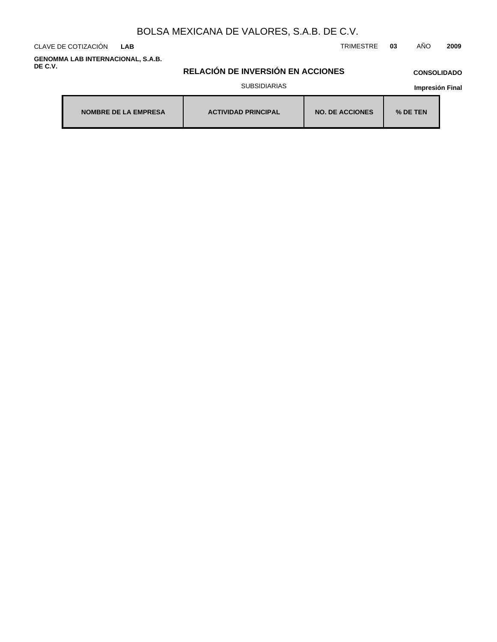CLAVE DE COTIZACIÓN TRIMESTRE **03** AÑO **2009 LAB**

**GENOMMA LAB INTERNACIONAL, S.A.B. DE C.V.**

# **RELACIÓN DE INVERSIÓN EN ACCIONES**

### **CONSOLIDADO**

SUBSIDIARIAS

| <b>NOMBRE DE LA EMPRESA</b> | <b>ACTIVIDAD PRINCIPAL</b> | <b>NO. DE ACCIONES</b> | $%$ DE TEN |
|-----------------------------|----------------------------|------------------------|------------|
|-----------------------------|----------------------------|------------------------|------------|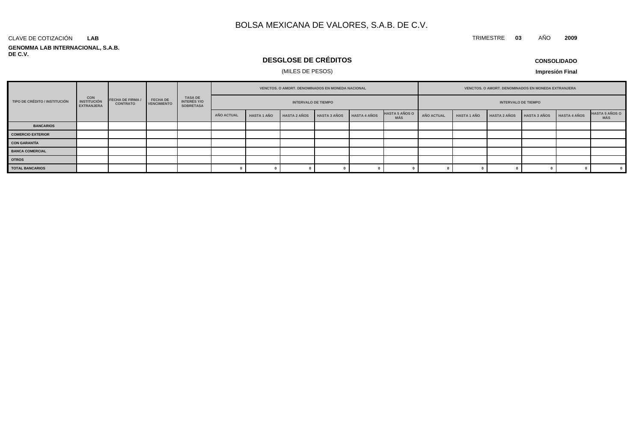#### **GENOMMA LAB INTERNACIONAL, S.A.B. DE C.V.** CLAVE DE COTIZACIÓN **LAB**

# **DESGLOSE DE CRÉDITOS**

## (MILES DE PESOS)

**Impresión Final**

|                               |                                                       |                                            |                                       |                                            | VENCTOS. O AMORT. DENOMINADOS EN MONEDA NACIONAL |                            |                     |                     |                     | VENCTOS. O AMORT. DENOMINADOS EN MONEDA EXTRANJERA |                            |                    |                     |                     |                     |                              |
|-------------------------------|-------------------------------------------------------|--------------------------------------------|---------------------------------------|--------------------------------------------|--------------------------------------------------|----------------------------|---------------------|---------------------|---------------------|----------------------------------------------------|----------------------------|--------------------|---------------------|---------------------|---------------------|------------------------------|
| TIPO DE CRÉDITO / INSTITUCIÓN | <b>CON</b><br><b>INSTITUCIÓN</b><br><b>EXTRANJERA</b> | <b>FECHA DE FIRMA /</b><br><b>CONTRATO</b> | <b>FECHA DE</b><br><b>VENCIMIENTO</b> | TASA DE<br>INTERÉS Y/O<br><b>SOBRETASA</b> |                                                  | <b>INTERVALO DE TIEMPO</b> |                     |                     |                     |                                                    | <b>INTERVALO DE TIEMPO</b> |                    |                     |                     |                     |                              |
|                               |                                                       |                                            |                                       |                                            | <b>AÑO ACTUAL</b>                                | <b>HASTA 1 AÑO</b>         | <b>HASTA 2 AÑOS</b> | <b>HASTA 3 AÑOS</b> | <b>HASTA 4 AÑOS</b> | <b>HASTA 5 AÑOS O</b><br><b>MÁS</b>                | AÑO ACTUAL                 | <b>HASTA 1 AÑO</b> | <b>HASTA 2 AÑOS</b> | <b>HASTA 3 AÑOS</b> | <b>HASTA 4 AÑOS</b> | <b>HASTA 5 AÑOS O</b><br>MÁS |
| <b>BANCARIOS</b>              |                                                       |                                            |                                       |                                            |                                                  |                            |                     |                     |                     |                                                    |                            |                    |                     |                     |                     |                              |
| <b>COMERCIO EXTERIOR</b>      |                                                       |                                            |                                       |                                            |                                                  |                            |                     |                     |                     |                                                    |                            |                    |                     |                     |                     |                              |
| <b>CON GARANTÍA</b>           |                                                       |                                            |                                       |                                            |                                                  |                            |                     |                     |                     |                                                    |                            |                    |                     |                     |                     |                              |
| <b>BANCA COMERCIAL</b>        |                                                       |                                            |                                       |                                            |                                                  |                            |                     |                     |                     |                                                    |                            |                    |                     |                     |                     |                              |
| <b>OTROS</b>                  |                                                       |                                            |                                       |                                            |                                                  |                            |                     |                     |                     |                                                    |                            |                    |                     |                     |                     |                              |
| <b>TOTAL BANCARIOS</b>        |                                                       |                                            |                                       |                                            |                                                  |                            |                     |                     |                     |                                                    |                            |                    |                     |                     |                     | $\overline{\mathbf{0}}$      |

### **CONSOLIDADO**

TRIMESTRE **03** AÑO **2009**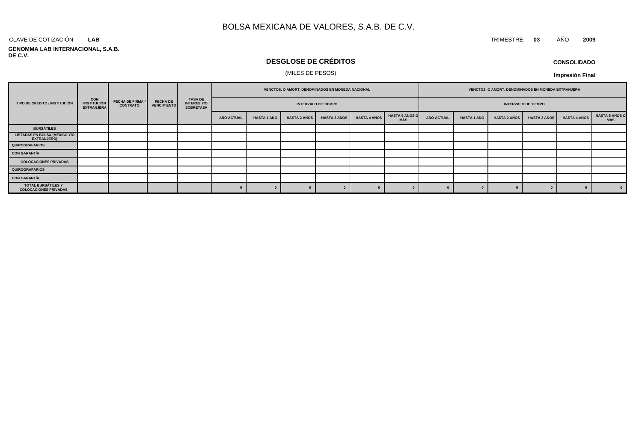#### CLAVE DE COTIZACIÓN TRIMESTRE **03** AÑO **2009 LAB**

### **GENOMMA LAB INTERNACIONAL, S.A.B. DE C.V.**

# **DESGLOSE DE CRÉDITOS**

### (MILES DE PESOS)

| <b>CONSOLIDADO</b> |  |
|--------------------|--|
|--------------------|--|

|                                                            |                                                       |                                            |                                       |                                              | VENCTOS. O AMORT. DENOMINADOS EN MONEDA NACIONAL |                    |                     |                     | VENCTOS. O AMORT. DENOMINADOS EN MONEDA EXTRANJERA |                              |                   |                    |                     |                     |                     |                               |
|------------------------------------------------------------|-------------------------------------------------------|--------------------------------------------|---------------------------------------|----------------------------------------------|--------------------------------------------------|--------------------|---------------------|---------------------|----------------------------------------------------|------------------------------|-------------------|--------------------|---------------------|---------------------|---------------------|-------------------------------|
| TIPO DE CRÉDITO / INSTITUCIÓN                              | <b>CON</b><br><b>INSTITUCIÓN</b><br><b>EXTRANJERA</b> | <b>FECHA DE FIRMA /</b><br><b>CONTRATO</b> | <b>FECHA DE</b><br><b>VENCIMIENTO</b> | <b>TASA DE<br/>INTERÉS Y/O<br/>SOBRETASA</b> | <b>INTERVALO DE TIEMPO</b>                       |                    |                     |                     |                                                    | <b>INTERVALO DE TIEMPO</b>   |                   |                    |                     |                     |                     |                               |
|                                                            |                                                       |                                            |                                       |                                              | AÑO ACTUAL                                       | <b>HASTA 1 AÑO</b> | <b>HASTA 2 AÑOS</b> | <b>HASTA 3 AÑOS</b> | <b>HASTA 4 AÑOS</b>                                | <b>HASTA 5 AÑOS O</b><br>MÁS | <b>AÑO ACTUAL</b> | <b>HASTA 1 AÑO</b> | <b>HASTA 2 AÑOS</b> | <b>HASTA 3 AÑOS</b> | <b>HASTA 4 AÑOS</b> | <b>HASTA 5 AÑOS O<br/>MÁS</b> |
| <b>BURSÁTILES</b>                                          |                                                       |                                            |                                       |                                              |                                                  |                    |                     |                     |                                                    |                              |                   |                    |                     |                     |                     |                               |
| <b>LISTADAS EN BOLSA (MÉXICO Y/O</b><br><b>EXTRANJERO)</b> |                                                       |                                            |                                       |                                              |                                                  |                    |                     |                     |                                                    |                              |                   |                    |                     |                     |                     |                               |
| QUIROGRAFARIOS                                             |                                                       |                                            |                                       |                                              |                                                  |                    |                     |                     |                                                    |                              |                   |                    |                     |                     |                     |                               |
| CON GARANTÍA                                               |                                                       |                                            |                                       |                                              |                                                  |                    |                     |                     |                                                    |                              |                   |                    |                     |                     |                     |                               |
| <b>COLOCACIONES PRIVADAS</b>                               |                                                       |                                            |                                       |                                              |                                                  |                    |                     |                     |                                                    |                              |                   |                    |                     |                     |                     |                               |
| QUIROGRAFARIOS                                             |                                                       |                                            |                                       |                                              |                                                  |                    |                     |                     |                                                    |                              |                   |                    |                     |                     |                     |                               |
| CON GARANTÍA                                               |                                                       |                                            |                                       |                                              |                                                  |                    |                     |                     |                                                    |                              |                   |                    |                     |                     |                     |                               |
| TOTAL BURSÁTILES Y<br><b>COLOCACIONES PRIVADAS</b>         |                                                       |                                            |                                       |                                              |                                                  |                    |                     |                     |                                                    |                              |                   |                    |                     |                     |                     | $\sqrt{0}$                    |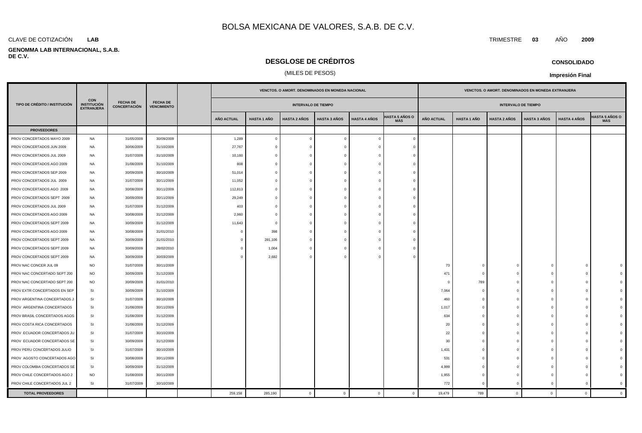### **LAB**

### **GENOMMA LAB INTERNACIONAL, S.A.B. DE C.V.**

## **DESGLOSE DE CRÉDITOS**

### (MILES DE PESOS)

|                               |                                                       |                                        |                                       |                   |                    | VENCTOS. O AMORT. DENOMINADOS EN MONEDA NACIONAL |                     |                     |                              |                   |                    | VENCTOS. O AMORT. DENOMINADOS EN MONEDA EXTRANJERA |                     |                     |                              |
|-------------------------------|-------------------------------------------------------|----------------------------------------|---------------------------------------|-------------------|--------------------|--------------------------------------------------|---------------------|---------------------|------------------------------|-------------------|--------------------|----------------------------------------------------|---------------------|---------------------|------------------------------|
| TIPO DE CRÉDITO / INSTITUCIÓN | <b>CON</b><br><b>INSTITUCIÓN</b><br><b>EXTRANJERA</b> | <b>FECHA DE</b><br><b>CONCERTACIÓN</b> | <b>FECHA DE</b><br><b>VENCIMIENTO</b> |                   |                    | <b>INTERVALO DE TIEMPO</b>                       |                     |                     |                              |                   |                    | <b>INTERVALO DE TIEMPO</b>                         |                     |                     |                              |
|                               |                                                       |                                        |                                       | <b>AÑO ACTUAL</b> | <b>HASTA 1 AÑO</b> | HASTA 2 AÑOS                                     | <b>HASTA 3 AÑOS</b> | <b>HASTA 4 AÑOS</b> | HASTA 5 AÑOS O<br><b>MÁS</b> | <b>AÑO ACTUAL</b> | <b>HASTA 1 AÑO</b> | <b>HASTA 2 AÑOS</b>                                | <b>HASTA 3 AÑOS</b> | <b>HASTA 4 AÑOS</b> | <b>IASTA 5 AÑOS O</b><br>MÁS |
| <b>PROVEEDORES</b>            |                                                       |                                        |                                       |                   |                    |                                                  |                     |                     |                              |                   |                    |                                                    |                     |                     |                              |
| PROV CONCERTADOS MAYO 2009    | NA                                                    | 31/05/2009                             | 30/09/2009                            | 1,289             | $\mathbf{0}$       | $\overline{0}$                                   | $\Omega$            | $\overline{0}$      | $\Omega$                     |                   |                    |                                                    |                     |                     |                              |
| PROV CONCERTADOS JUN 2009     | NA                                                    | 30/06/2009                             | 31/10/2009                            | 27,767            | $\bigcap$          | $\Omega$                                         | $\Omega$            | $\Omega$            |                              |                   |                    |                                                    |                     |                     |                              |
| PROV CONCERTADOS JUL 2009     | NA                                                    | 31/07/2009                             | 31/10/2009                            | 10,160            |                    | $\overline{0}$                                   | $\sqrt{ }$          | $\Omega$            |                              |                   |                    |                                                    |                     |                     |                              |
| PROV CONCERTADOS AGO 2009     | NA                                                    | 31/08/2009                             | 31/10/2009                            | 808               | $\Omega$           | $\overline{0}$                                   | $\Omega$            | $\Omega$            |                              |                   |                    |                                                    |                     |                     |                              |
| PROV CONCERTADOS SEP 2009     | NA                                                    | 30/09/2009                             | 30/10/2009                            | 51,014            |                    | $\overline{0}$                                   |                     | $\Omega$            |                              |                   |                    |                                                    |                     |                     |                              |
| PROV CONCERTADOS JUL 2009     | NA                                                    | 31/07/2009                             | 30/11/2009                            | 11,052            | $\Omega$           | $\overline{0}$                                   | - 0                 | $\Omega$            |                              |                   |                    |                                                    |                     |                     |                              |
| PROV CONCERTADOS AGO 2009     | NA                                                    | 30/08/2009                             | 30/11/2009                            | 112,813           | $\Omega$           | $\overline{0}$                                   | $\Omega$            | $\overline{0}$      |                              |                   |                    |                                                    |                     |                     |                              |
| PROV CONCERTADOS SEPT 2009    | NA                                                    | 30/09/2009                             | 30/11/2009                            | 29,249            |                    | $\overline{0}$                                   | $\Omega$            | $\Omega$            |                              |                   |                    |                                                    |                     |                     |                              |
| PROV CONCERTADOS JUL 2009     | NA                                                    | 31/07/2009                             | 31/12/2009                            | 403               |                    | $\overline{0}$                                   | $\Omega$            | $\Omega$            |                              |                   |                    |                                                    |                     |                     |                              |
| PROV CONCERTADOS AGO 2009     | <b>NA</b>                                             | 30/08/2009                             | 31/12/2009                            | 2,960             | $\bigcap$          | $\overline{0}$                                   | - 0                 | $\Omega$            |                              |                   |                    |                                                    |                     |                     |                              |
| PROV CONCERTADOS SEPT 2009    | NA                                                    | 30/09/2009                             | 31/12/2009                            | 11,643            | $\bigcap$          | $\overline{0}$                                   | $\Omega$            | $\mathbf 0$         |                              |                   |                    |                                                    |                     |                     |                              |
| PROV CONCERTADOS AGO 2009     | NA                                                    | 30/08/2009                             | 31/01/2010                            | $\Omega$          | 398                | $\overline{0}$                                   |                     | $\Omega$            |                              |                   |                    |                                                    |                     |                     |                              |
| PROV CONCERTADOS SEPT 2009    | <b>NA</b>                                             | 30/09/2009                             | 31/01/2010                            | $\Omega$          | 281,106            | $\overline{0}$                                   |                     | $\Omega$            |                              |                   |                    |                                                    |                     |                     |                              |
| PROV CONCERTADOS SEPT 2009    | NA                                                    | 30/09/2009                             | 28/02/2010                            | $\Omega$          | 1,004              | $\overline{0}$                                   | $\Omega$            | $\Omega$            |                              |                   |                    |                                                    |                     |                     |                              |
| PROV CONCERTADOS SEPT 2009    | NA                                                    | 30/09/2009                             | 30/03/2009                            | $\Omega$          | 2,682              | $\overline{0}$                                   |                     | $\Omega$            |                              |                   |                    |                                                    |                     |                     |                              |
| PROV NAC CONCER JUL 09        | <b>NO</b>                                             | 31/07/2009                             | 30/11/2009                            |                   |                    |                                                  |                     |                     |                              | 73                | $\Omega$           | $\mathbf 0$                                        |                     | $\Omega$            |                              |
| PROV NAC CONCERTADO SEPT 200  | <b>NO</b>                                             | 30/09/2009                             | 31/12/2009                            |                   |                    |                                                  |                     |                     |                              | 471               | $\Omega$           | $\mathbf{0}$                                       |                     | $\Omega$            |                              |
| PROV NAC CONCERTADO SEPT 200  | <b>NO</b>                                             | 30/09/2009                             | 31/01/2010                            |                   |                    |                                                  |                     |                     |                              | $\Omega$          | 789                | $\mathbf{0}$                                       |                     | $\Omega$            |                              |
| PROV EXTR CONCERTADOS EN SEP  | SI                                                    | 30/09/2009                             | 31/10/2009                            |                   |                    |                                                  |                     |                     |                              | 7,064             | $\Omega$           | $\mathbf{0}$                                       |                     | $\Omega$            |                              |
| PROV ARGENTINA CONCERTADOS J  | SI                                                    | 31/07/2009                             | 30/10/2009                            |                   |                    |                                                  |                     |                     |                              | 460               | $\epsilon$         | $\mathbf 0$                                        |                     | $\Omega$            |                              |
| PROV ARGENTINA CONCERTADOS    | <b>SI</b>                                             | 31/08/2009                             | 30/11/2009                            |                   |                    |                                                  |                     |                     |                              | 1,017             | $\Omega$           | $\Omega$                                           |                     | $\Omega$            |                              |
| PROV BRASIL CONCERTADOS AGOS  | SI                                                    | 31/08/2009                             | 31/12/2009                            |                   |                    |                                                  |                     |                     |                              | 634               | ſ                  | $\overline{0}$                                     |                     | $\Omega$            |                              |
| PROV COSTA RICA CONCERTADOS   | SI                                                    | 31/08/2009                             | 31/12/2009                            |                   |                    |                                                  |                     |                     |                              | 20                | $\epsilon$         | $^{\circ}$                                         |                     | $\Omega$            |                              |
| PROV ECUADOR CONCERTADOS JU   | SI                                                    | 31/07/2009                             | 30/10/2009                            |                   |                    |                                                  |                     |                     |                              | 22                | $\Omega$           | $\mathbf{0}$                                       |                     | $\Omega$            |                              |
| PROV ECUADOR CONCERTADOS SE   | SI                                                    | 30/09/2009                             | 31/12/2009                            |                   |                    |                                                  |                     |                     |                              | 30                | $\Omega$           | $\mathbf{0}$                                       |                     | $\Omega$            |                              |
| PROV PERU CONCERTADOS JULIO   | SI                                                    | 31/07/2009                             | 30/10/2009                            |                   |                    |                                                  |                     |                     |                              | 1,431             | $\Omega$           | $\mathbf{0}$                                       |                     | $\Omega$            |                              |
| PROV AGOSTO CONCERTADOS AGO   | SI                                                    | 30/08/2009                             | 30/11/2009                            |                   |                    |                                                  |                     |                     |                              | 531               | $^{\circ}$         | $\mathbf 0$                                        |                     | $\Omega$            |                              |
| PROV COLOMBIA CONCERTADOS SE  | SI                                                    | 30/09/2009                             | 31/12/2009                            |                   |                    |                                                  |                     |                     |                              | 4,999             | $\epsilon$         | $\mathbf 0$                                        |                     |                     |                              |
| PROV CHILE CONCERTADOS AGO 2  | <b>NO</b>                                             | 31/08/2009                             | 30/11/2009                            |                   |                    |                                                  |                     |                     |                              | 1,955             | $\Omega$           | $\Omega$                                           |                     |                     |                              |
| PROV CHILE CONCERTADOS JUL 2  | SI                                                    | 31/07/2009                             | 30/10/2009                            |                   |                    |                                                  |                     |                     |                              | 772               | $\Omega$           | $\Omega$                                           | C                   | $\Omega$            |                              |
|                               |                                                       |                                        |                                       |                   |                    |                                                  |                     |                     |                              |                   |                    |                                                    |                     |                     |                              |

**TOTAL PROVEEDORES | | | | | | 2**59,158 285,190 | 0 0 0 0 0 0 0 19,479 789 0 0 0 0 0 0 0

CLAVE DE COTIZACIÓN TRIMESTRE **03** AÑO **2009**

**CONSOLIDADO**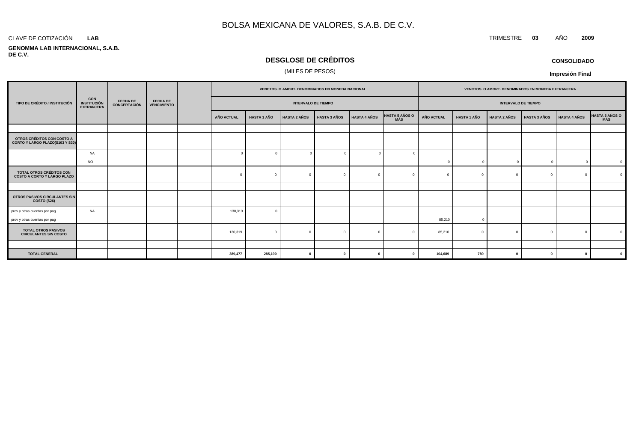#### CLAVE DE COTIZACIÓN TRIMESTRE **03** AÑO **2009 LAB**

#### **GENOMMA LAB INTERNACIONAL, S.A.B. DE C.V.**

# **DESGLOSE DE CRÉDITOS**

### (MILES DE PESOS)

**CONSOLIDADO**

|                                                                       |                                                       |                                        | <b>FECHA DE</b><br><b>VENCIMIENTO</b> |  | VENCTOS. O AMORT. DENOMINADOS EN MONEDA NACIONAL |                    |                     |                     |                     |                              | VENCTOS. O AMORT. DENOMINADOS EN MONEDA EXTRANJERA |                    |                            |                     |                     |                |
|-----------------------------------------------------------------------|-------------------------------------------------------|----------------------------------------|---------------------------------------|--|--------------------------------------------------|--------------------|---------------------|---------------------|---------------------|------------------------------|----------------------------------------------------|--------------------|----------------------------|---------------------|---------------------|----------------|
| TIPO DE CRÉDITO / INSTITUCIÓN                                         | <b>CON</b><br><b>INSTITUCIÓN</b><br><b>EXTRANJERA</b> | <b>FECHA DE</b><br><b>CONCERTACIÓN</b> |                                       |  | <b>INTERVALO DE TIEMPO</b>                       |                    |                     |                     |                     |                              |                                                    |                    | <b>INTERVALO DE TIEMPO</b> |                     |                     |                |
|                                                                       |                                                       |                                        |                                       |  | AÑO ACTUAL                                       | <b>HASTA 1 AÑO</b> | <b>HASTA 2 AÑOS</b> | <b>HASTA 3 AÑOS</b> | <b>HASTA 4 AÑOS</b> | <b>HASTA 5 AÑOS O</b><br>MÁS | <b>AÑO ACTUAL</b>                                  | <b>HASTA 1 AÑO</b> | <b>HASTA 2 AÑOS</b>        | <b>HASTA 3 AÑOS</b> | <b>HASTA 4 AÑOS</b> | HASTA 5 AÑOS O |
|                                                                       |                                                       |                                        |                                       |  |                                                  |                    |                     |                     |                     |                              |                                                    |                    |                            |                     |                     |                |
| OTROS CRÉDITOS CON COSTO A<br>CORTO Y LARGO PLAZO(S103 Y S30)         |                                                       |                                        |                                       |  |                                                  |                    |                     |                     |                     |                              |                                                    |                    |                            |                     |                     |                |
|                                                                       | <b>NA</b>                                             |                                        |                                       |  |                                                  |                    | $\Omega$            |                     | $\Omega$            |                              |                                                    |                    |                            |                     |                     |                |
|                                                                       | <b>NO</b>                                             |                                        |                                       |  |                                                  |                    |                     |                     |                     |                              | $\Omega$                                           | $\overline{0}$     | $\sqrt{ }$                 | $\Omega$            | $\overline{0}$      | $\overline{0}$ |
| <b>TOTAL OTROS CRÉDITOS CON</b><br><b>COSTO A CORTO Y LARGO PLAZO</b> |                                                       |                                        |                                       |  | $\Omega$                                         |                    | $\Omega$            |                     | $\Omega$            |                              | $\Omega$                                           | $\sqrt{ }$         | $\Omega$                   |                     | $\Omega$            | $\Omega$       |
|                                                                       |                                                       |                                        |                                       |  |                                                  |                    |                     |                     |                     |                              |                                                    |                    |                            |                     |                     |                |
| OTROS PASIVOS CIRCULANTES SIN<br><b>COSTO (S26)</b>                   |                                                       |                                        |                                       |  |                                                  |                    |                     |                     |                     |                              |                                                    |                    |                            |                     |                     |                |
| prov y otras cuentas por pag<br>prov y otras cuentas por pag          | NA                                                    |                                        |                                       |  | 130,319                                          |                    |                     |                     |                     |                              | 85,210                                             | $\Omega$           |                            |                     |                     |                |
| <b>TOTAL OTROS PASIVOS</b><br><b>CIRCULANTES SIN COSTO</b>            |                                                       |                                        |                                       |  | 130,319                                          | $\Omega$           | $\Omega$            |                     | $^{\circ}$          |                              | 85,210                                             | $\Omega$           | $\Omega$                   | <sup>n</sup>        | $\Omega$            | $\Omega$       |
|                                                                       |                                                       |                                        |                                       |  |                                                  |                    |                     |                     |                     |                              |                                                    |                    |                            |                     |                     |                |
| <b>TOTAL GENERAL</b>                                                  |                                                       |                                        |                                       |  | 389,477                                          | 285,190            | - 0                 |                     | $\mathbf 0$         |                              | 104,689                                            | 789                | $\Omega$                   | $\bf{0}$            | $\mathbf{0}$        | $\mathbf{0}$   |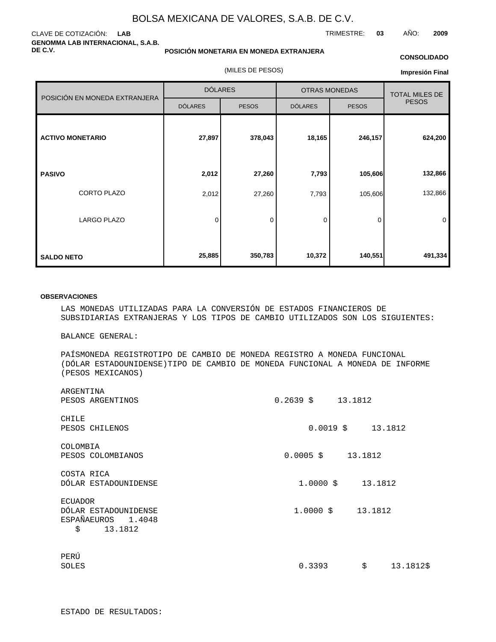### CLAVE DE COTIZACIÓN: **LAB GENOMMA LAB INTERNACIONAL, S.A.B. DE C.V.**

### **POSICIÓN MONETARIA EN MONEDA EXTRANJERA**

(MILES DE PESOS)

### **CONSOLIDADO**

TRIMESTRE: **03** AÑO: **2009**

**Impresión Final**

|                               | <b>DÓLARES</b> |              | <b>OTRAS MONEDAS</b> | <b>TOTAL MILES DE</b> |              |
|-------------------------------|----------------|--------------|----------------------|-----------------------|--------------|
| POSICIÓN EN MONEDA EXTRANJERA | <b>DÓLARES</b> | <b>PESOS</b> | <b>DÓLARES</b>       | <b>PESOS</b>          | <b>PESOS</b> |
| <b>ACTIVO MONETARIO</b>       | 27,897         | 378,043      | 18,165               | 246,157               | 624,200      |
| <b>PASIVO</b>                 | 2,012          | 27,260       | 7,793                | 105,606               | 132,866      |
| <b>CORTO PLAZO</b>            | 2,012          | 27,260       | 7,793                | 105,606               | 132,866      |
| <b>LARGO PLAZO</b>            | 0              | 0            | 0                    | 0                     | 0            |
| <b>SALDO NETO</b>             | 25,885         | 350,783      | 10,372               | 140,551               | 491,334      |

### **OBSERVACIONES**

LAS MONEDAS UTILIZADAS PARA LA CONVERSIÓN DE ESTADOS FINANCIEROS DE SUBSIDIARIAS EXTRANJERAS Y LOS TIPOS DE CAMBIO UTILIZADOS SON LOS SIGUIENTES:

BALANCE GENERAL:

PAÍS MONEDA REGISTRO TIPO DE CAMBIO DE MONEDA REGISTRO A MONEDA FUNCIONAL (DÓLAR ESTADOUNIDENSE) TIPO DE CAMBIO DE MONEDA FUNCIONAL A MONEDA DE INFORME (PESOS MEXICANOS)

| ARGENTINA<br>PESOS ARGENTINOS                                           | $0.2639 \quad $13.1812$   |
|-------------------------------------------------------------------------|---------------------------|
| CHILE<br>PESOS CHILENOS                                                 | $0.0019 \quad $13.1812$   |
| COLOMBIA                                                                |                           |
| PESOS COLOMBIANOS                                                       | $0.0005$ \$<br>13.1812    |
| COSTA RICA<br>DÓLAR ESTADOUNIDENSE                                      | $1.0000$ \$<br>13.1812    |
| ECUADOR<br>DÓLAR ESTADOUNIDENSE<br>ESPAÑA EUROS 1.4048<br>\$<br>13.1812 |                           |
| PERÚ<br>SOLES                                                           | \$<br>0.3393<br>13.1812\$ |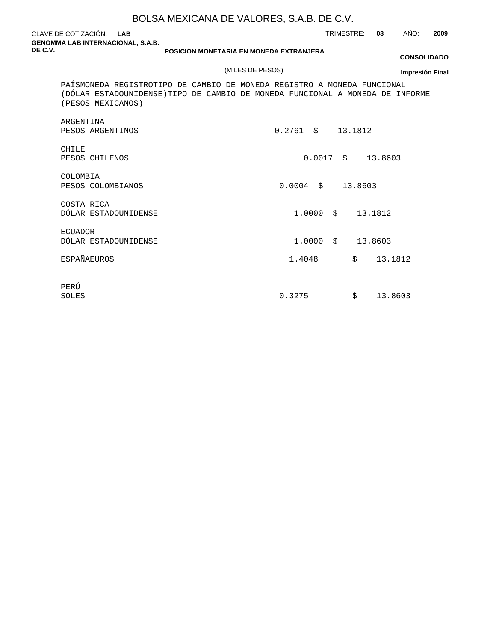CLAVE DE COTIZACIÓN: **LAB GENOMMA LAB INTERNACIONAL, S.A.B. DE C.V.**

TRIMESTRE: **03** AÑO: **2009**

**POSICIÓN MONETARIA EN MONEDA EXTRANJERA**

### (MILES DE PESOS)

**CONSOLIDADO**

PAÍS MONEDA REGISTRO TIPO DE CAMBIO DE MONEDA REGISTRO A MONEDA FUNCIONAL (DÓLAR ESTADOUNIDENSE) TIPO DE CAMBIO DE MONEDA FUNCIONAL A MONEDA DE INFORME (PESOS MEXICANOS)

| ARGENTINA<br>PESOS ARGENTINOS          | $\ddot{s}$<br>0.2761<br>13.1812 |  |
|----------------------------------------|---------------------------------|--|
| CHILE<br>PESOS CHILENOS                | $\ddot{s}$<br>0.0017<br>13.8603 |  |
| COLOMBIA<br>PESOS COLOMBIANOS          | \$<br>0.0004<br>13.8603         |  |
| COSTA RICA<br>DÓLAR ESTADOUNIDENSE     | \$<br>1.0000<br>13.1812         |  |
| <b>ECUADOR</b><br>DÓLAR ESTADOUNIDENSE | Ŝ.<br>13.8603<br>1,0000         |  |
| ESPAÑA EUROS                           | \$<br>13.1812<br>1.4048         |  |
| PERÚ<br>SOLES                          | \$<br>13.8603<br>0.3275         |  |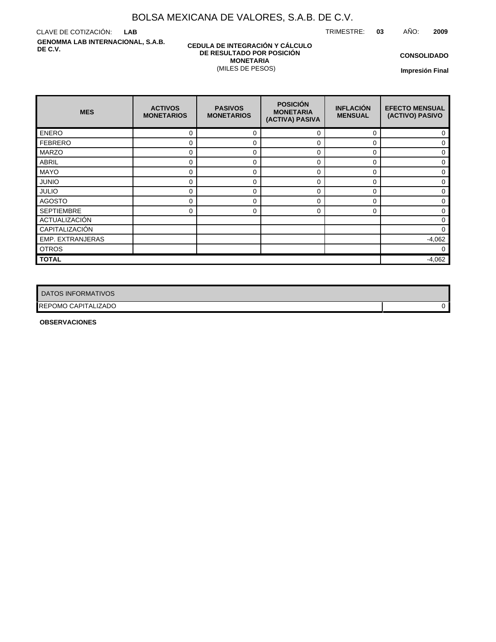TRIMESTRE: **03** AÑO: **2009**

CLAVE DE COTIZACIÓN: **LAB GENOMMA LAB INTERNACIONAL, S.A.B. DE C.V.**

### **CEDULA DE INTEGRACIÓN Y CÁLCULO DE RESULTADO POR POSICIÓN MONETARIA** (MILES DE PESOS)

**CONSOLIDADO**

**Impresión Final**

| <b>MES</b>        | <b>ACTIVOS</b><br><b>MONETARIOS</b> | <b>PASIVOS</b><br><b>MONETARIOS</b> | <b>POSICIÓN</b><br><b>MONETARIA</b><br>(ACTIVA) PASIVA | <b>INFLACIÓN</b><br><b>MENSUAL</b> | <b>EFECTO MENSUAL</b><br>(ACTIVO) PASIVO |
|-------------------|-------------------------------------|-------------------------------------|--------------------------------------------------------|------------------------------------|------------------------------------------|
| <b>ENERO</b>      | 0                                   | 0                                   | $\Omega$                                               | $\Omega$                           | 0                                        |
| <b>FEBRERO</b>    | 0                                   | 0                                   | 0                                                      | $\Omega$                           | 0                                        |
| <b>MARZO</b>      | 0                                   | 0                                   | 0                                                      | 0                                  | $\Omega$                                 |
| <b>ABRIL</b>      | 0                                   | 0                                   | 0                                                      | $\Omega$                           | $\Omega$                                 |
| <b>MAYO</b>       | 0                                   | 0                                   | 0                                                      | $\Omega$                           | 0                                        |
| <b>JUNIO</b>      | 0                                   | 0                                   | 0                                                      | $\Omega$                           | $\Omega$                                 |
| <b>JULIO</b>      | 0                                   | 0                                   | $\Omega$                                               | $\Omega$                           | 0                                        |
| <b>AGOSTO</b>     | 0                                   | 0                                   | 0                                                      | 0                                  | 0                                        |
| <b>SEPTIEMBRE</b> | 0                                   | 0                                   | $\Omega$                                               | $\Omega$                           | 0                                        |
| ACTUALIZACIÓN     |                                     |                                     |                                                        |                                    | $\Omega$                                 |
| CAPITALIZACIÓN    |                                     |                                     |                                                        |                                    | $\Omega$                                 |
| EMP. EXTRANJERAS  |                                     |                                     |                                                        |                                    | $-4,062$                                 |
| <b>OTROS</b>      |                                     |                                     |                                                        |                                    | 0                                        |
| <b>TOTAL</b>      |                                     |                                     |                                                        |                                    | $-4,062$                                 |

| DATOS INFORMATIVOS  |  |
|---------------------|--|
| REPOMO CAPITALIZADO |  |

**OBSERVACIONES**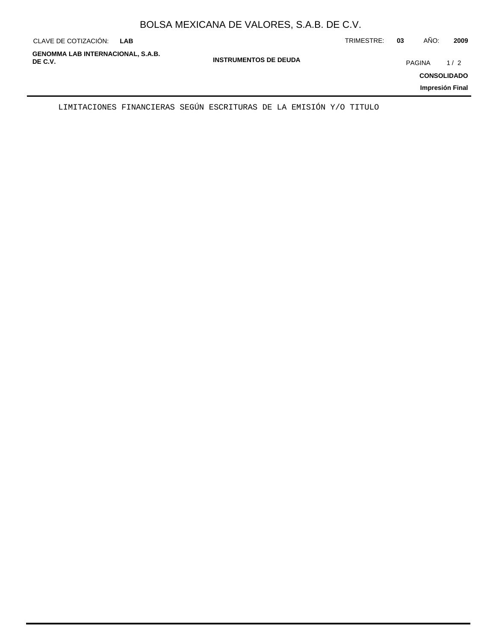|  | BOLSA MEXICANA DE VALORES, S.A.B. DE C.V. |
|--|-------------------------------------------|
|--|-------------------------------------------|

| CLAVE DE COTIZACIÓN:<br><b>LAB</b>                                                  | TRIMESTRE: | 03 | AÑO:          | 2009                                         |
|-------------------------------------------------------------------------------------|------------|----|---------------|----------------------------------------------|
| <b>GENOMMA LAB INTERNACIONAL, S.A.B.</b><br><b>INSTRUMENTOS DE DEUDA</b><br>DE C.V. |            |    | <b>PAGINA</b> | 1/2<br><b>CONSOLIDADO</b><br>Impresión Final |

LIMITACIONES FINANCIERAS SEGÚN ESCRITURAS DE LA EMISIÓN Y/O TITULO

 $\overline{\phantom{0}}$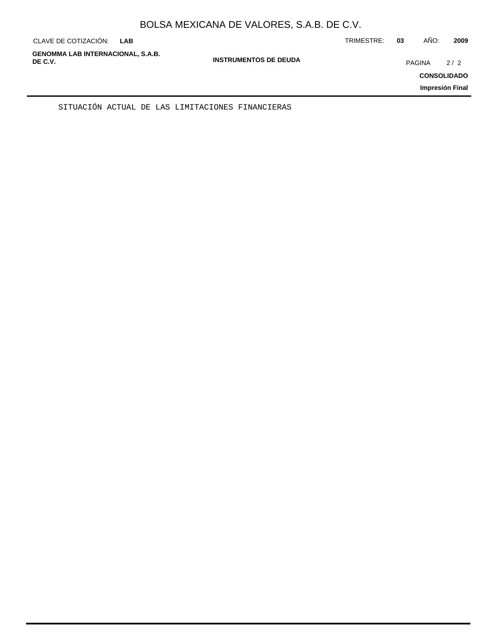| CLAVE DE COTIZACIÓN:                                | <b>LAB</b> |                              | TRIMESTRE: | 03     | AÑO: | 2009                      |
|-----------------------------------------------------|------------|------------------------------|------------|--------|------|---------------------------|
| <b>GENOMMA LAB INTERNACIONAL, S.A.B.</b><br>DE C.V. |            | <b>INSTRUMENTOS DE DEUDA</b> |            | PAGINA |      | 2/2<br><b>CONSOLIDADO</b> |
|                                                     |            |                              |            |        |      | Impresión Final           |

SITUACIÓN ACTUAL DE LAS LIMITACIONES FINANCIERAS

÷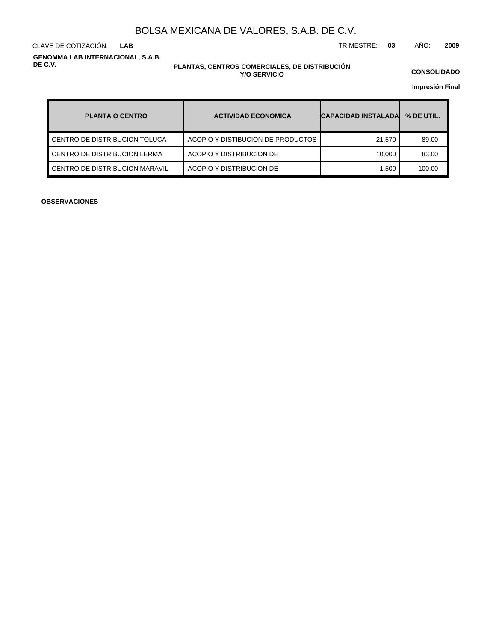**LAB**

CLAVE DE COTIZACIÓN: TRIMESTRE: **03** AÑO: **2009**

**GENOMMA LAB INTERNACIONAL, S.A.B. DE C.V.**

### **PLANTAS, CENTROS COMERCIALES, DE DISTRIBUCIÓN Y/O SERVICIO**

**CONSOLIDADO**

**Impresión Final**

| <b>PLANTA O CENTRO</b>         | <b>ACTIVIDAD ECONOMICA</b>        | <b>CAPACIDAD INSTALADA</b> | % DE UTIL. |
|--------------------------------|-----------------------------------|----------------------------|------------|
| CENTRO DE DISTRIBUCION TOLUCA  | ACOPIO Y DISTIBUCION DE PRODUCTOS | 21.570                     | 89.00      |
| CENTRO DE DISTRIBUCION LERMA   | ACOPIO Y DISTRIBUCION DE          | 10.000                     | 83.00      |
| CENTRO DE DISTRIBUCION MARAVIL | ACOPIO Y DISTRIBUCION DE          | 1.500                      | 100.00     |

**OBSERVACIONES**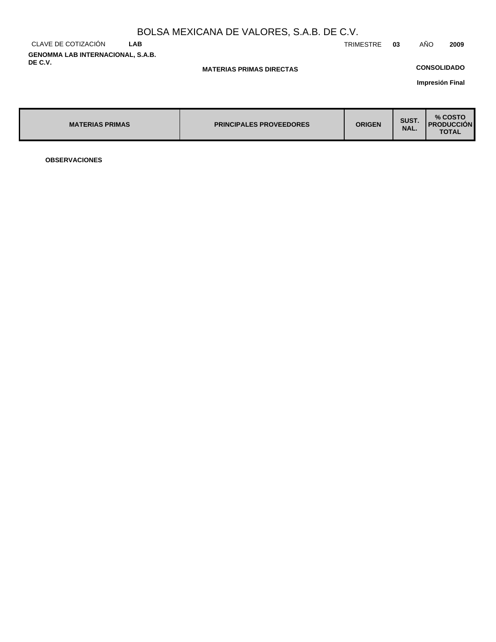|                                                     |     | BOLSA MEXICANA DE VALORES, S.A.B. DE C.V. |           |    |                    |                                    |
|-----------------------------------------------------|-----|-------------------------------------------|-----------|----|--------------------|------------------------------------|
| CLAVE DE COTIZACIÓN                                 | LAB |                                           | TRIMESTRE | 03 | AÑO                | 2009                               |
| <b>GENOMMA LAB INTERNACIONAL, S.A.B.</b><br>DE C.V. |     | <b>MATERIAS PRIMAS DIRECTAS</b>           |           |    | <b>CONSOLIDADO</b> |                                    |
|                                                     |     |                                           |           |    |                    | the company of the contribution of |

**Impresión Final**

| <b>MATERIAS PRIMAS</b> | <b>PRINCIPALES PROVEEDORES</b> | <b>ORIGEN</b> | SUST.<br>NAL. | % COSTO<br><b>I PRODUCCION</b><br><b>TOTAL</b> |
|------------------------|--------------------------------|---------------|---------------|------------------------------------------------|
|------------------------|--------------------------------|---------------|---------------|------------------------------------------------|

**OBSERVACIONES**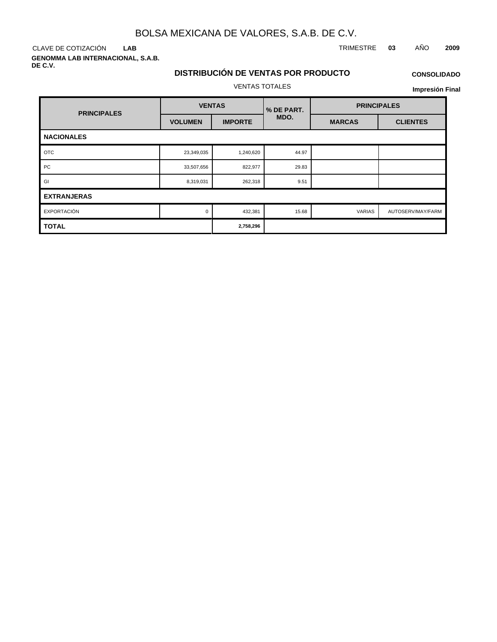CLAVE DE COTIZACIÓN TRIMESTRE **03** AÑO **2009 LAB**

**GENOMMA LAB INTERNACIONAL, S.A.B. DE C.V.**

## **DISTRIBUCIÓN DE VENTAS POR PRODUCTO** VENTAS TOTALES

### **CONSOLIDADO**

| <b>PRINCIPALES</b> | <b>VENTAS</b>  |                | <b>% DE PART.</b> | <b>PRINCIPALES</b> |                   |  |
|--------------------|----------------|----------------|-------------------|--------------------|-------------------|--|
|                    | <b>VOLUMEN</b> | <b>IMPORTE</b> | MDO.              | <b>MARCAS</b>      | <b>CLIENTES</b>   |  |
| <b>NACIONALES</b>  |                |                |                   |                    |                   |  |
| <b>OTC</b>         | 23,349,035     | 1,240,620      | 44.97             |                    |                   |  |
| PC                 | 33,507,656     | 822,977        | 29.83             |                    |                   |  |
| GI                 | 8,319,031      | 262,318        | 9.51              |                    |                   |  |
| <b>EXTRANJERAS</b> |                |                |                   |                    |                   |  |
| EXPORTACIÓN        | $\Omega$       | 432,381        | 15.68             | <b>VARIAS</b>      | AUTOSERV/MAY/FARM |  |
| <b>TOTAL</b>       | 2,758,296      |                |                   |                    |                   |  |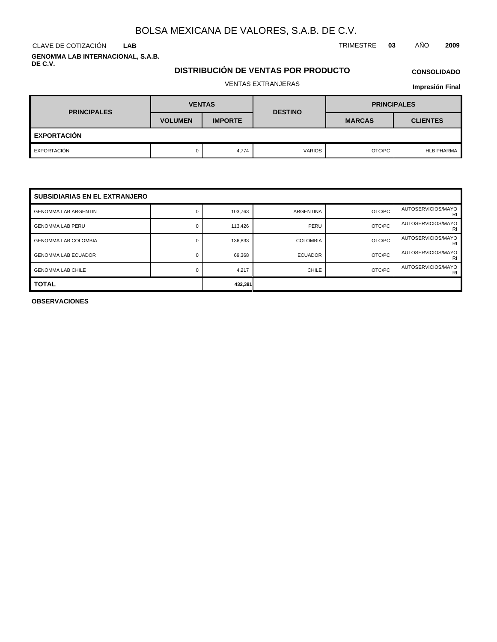**LAB**

**GENOMMA LAB INTERNACIONAL, S.A.B. DE C.V.**

### **DISTRIBUCIÓN DE VENTAS POR PRODUCTO**

# **CONSOLIDADO**

## VENTAS EXTRANJERAS

**Impresión Final**

| <b>PRINCIPALES</b> | <b>VENTAS</b>  |                | <b>DESTINO</b> | <b>PRINCIPALES</b> |                   |  |  |
|--------------------|----------------|----------------|----------------|--------------------|-------------------|--|--|
|                    | <b>VOLUMEN</b> | <b>IMPORTE</b> |                | <b>MARCAS</b>      | <b>CLIENTES</b>   |  |  |
| <b>EXPORTACIÓN</b> |                |                |                |                    |                   |  |  |
| EXPORTACIÓN        |                | 4,774          | <b>VARIOS</b>  | OTC/PC             | <b>HLB PHARMA</b> |  |  |

| <b>SUBSIDIARIAS EN EL EXTRANJERO</b> |   |         |                 |        |                          |  |  |  |
|--------------------------------------|---|---------|-----------------|--------|--------------------------|--|--|--|
| <b>GENOMMA LAB ARGENTIN</b>          | 0 | 103,763 | ARGENTINA       | OTC/PC | AUTOSERVICIOS/MAYO<br>RI |  |  |  |
| <b>GENOMMA LAB PERU</b>              | 0 | 113,426 | PERU            | OTC/PC | AUTOSERVICIOS/MAYO<br>RI |  |  |  |
| <b>GENOMMA LAB COLOMBIA</b>          | 0 | 136,833 | <b>COLOMBIA</b> | OTC/PC | AUTOSERVICIOS/MAYO<br>RI |  |  |  |
| <b>GENOMMA LAB ECUADOR</b>           | 0 | 69,368  | <b>ECUADOR</b>  | OTC/PC | AUTOSERVICIOS/MAYO<br>RI |  |  |  |
| <b>GENOMMA LAB CHILE</b>             | 0 | 4,217   | <b>CHILE</b>    | OTC/PC | AUTOSERVICIOS/MAYO<br>RI |  |  |  |
| <b>TOTAL</b>                         |   | 432,381 |                 |        |                          |  |  |  |

**OBSERVACIONES**

CLAVE DE COTIZACIÓN TRIMESTRE **03** AÑO **2009**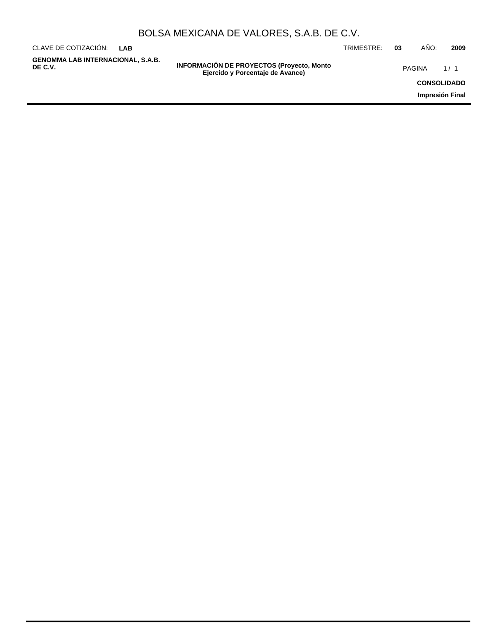| BOLSA MEXICANA DE VALORES, S.A.B. DE C.V. |  |  |  |
|-------------------------------------------|--|--|--|
|-------------------------------------------|--|--|--|

| CLAVE DE COTIZACIÓN:<br>I AR                        |                                                                                       | TRIMESTRE: | 03 | AÑO:               | 2009            |
|-----------------------------------------------------|---------------------------------------------------------------------------------------|------------|----|--------------------|-----------------|
| <b>GENOMMA LAB INTERNACIONAL, S.A.B.</b><br>DE C.V. | <b>INFORMACIÓN DE PROYECTOS (Proyecto, Monto)</b><br>Ejercido y Porcentaje de Avance) |            |    | PAGINA             | 1/1             |
|                                                     |                                                                                       |            |    | <b>CONSOLIDADO</b> |                 |
|                                                     |                                                                                       |            |    |                    | Impresión Final |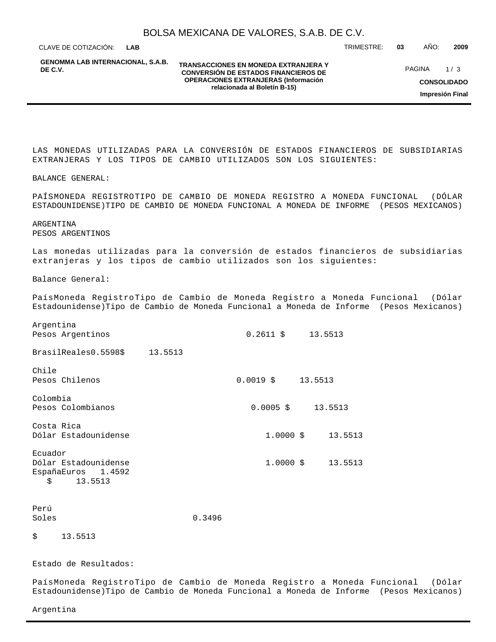CLAVE DE COTIZACIÓN: TRIMESTRE: **03** AÑO: **2009 LAB**

**GENOMMA LAB INTERNACIONAL, S.A.B. DE C.V.**

#### **TRANSACCIONES EN MONEDA EXTRANJERA Y CONVERSIÓN DE ESTADOS FINANCIEROS DE OPERACIONES EXTRANJERAS (Información relacionada al Boletín B-15)**

PAGINA 1/3

**CONSOLIDADO**

**Impresión Final**

LAS MONEDAS UTILIZADAS PARA LA CONVERSIÓN DE ESTADOS FINANCIEROS DE SUBSIDIARIAS EXTRANJERAS Y LOS TIPOS DE CAMBIO UTILIZADOS SON LOS SIGUIENTES:

BALANCE GENERAL:

PAÍS MONEDA REGISTRO TIPO DE CAMBIO DE MONEDA REGISTRO A MONEDA FUNCIONAL (DÓLAR ESTADOUNIDENSE) TIPO DE CAMBIO DE MONEDA FUNCIONAL A MONEDA DE INFORME (PESOS MEXICANOS)

ARGENTINA PESOS ARGENTINOS

Las monedas utilizadas para la conversión de estados financieros de subsidiarias extranjeras y los tipos de cambio utilizados son los siguientes:

Balance General:

Argentina

País Moneda Registro Tipo de Cambio de Moneda Registro a Moneda Funcional (Dólar Estadounidense) Tipo de Cambio de Moneda Funcional a Moneda de Informe (Pesos Mexicanos)

| $111 - 7212$<br>Pesos Argentinos                                        |                         | $0.2611 \quad $13.5513$   |
|-------------------------------------------------------------------------|-------------------------|---------------------------|
| Brasil Reales 0.5598 \$13.5513                                          |                         |                           |
| Chile<br>Pesos Chilenos                                                 | $0.0019 \quad $13.5513$ |                           |
| Colombia<br>Pesos Colombianos                                           |                         | $0.0005 \quad $13.5513$   |
| Costa Rica<br>Dólar Estadounidense                                      |                         | $1.0000 \t$ \$<br>13.5513 |
| Ecuador<br>Dólar Estadounidense<br>España Euros 1.4592<br>\$<br>13.5513 |                         | $1.0000 \t$ \$ 13.5513    |
| Perú<br>Soles                                                           | 0.3496                  |                           |

## \$ 13.5513

Estado de Resultados:

País Moneda Registro Tipo de Cambio de Moneda Registro a Moneda Funcional (Dólar Estadounidense) Tipo de Cambio de Moneda Funcional a Moneda de Informe (Pesos Mexicanos)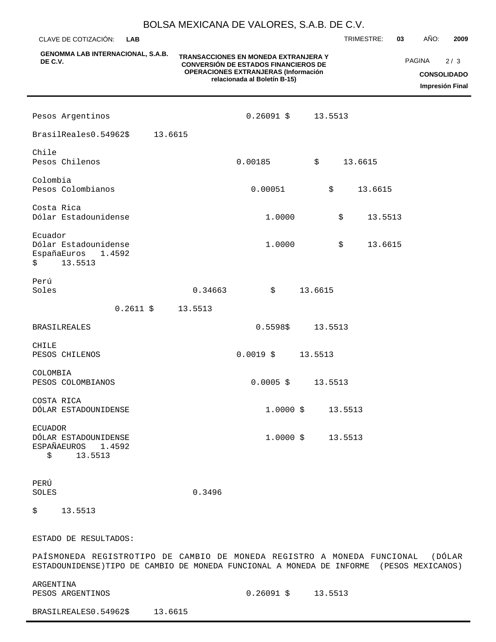**GENOMMA LAB INTERNACIONAL, S.A.B. DE C.V. TRANSACCIONES EN MONEDA EXTRANJERA Y CONVERSIÓN DE ESTADOS FINANCIEROS DE OPERACIONES EXTRANJERAS (Información relacionada al Boletín B-15)** CLAVE DE COTIZACIÓN: TRIMESTRE: **03** AÑO: **2009 CONSOLIDADO Impresión Final LAB** PAGINA 2/3 Pesos Argentinos 0.26091 \$ 13.5513 Brasil Reales 0.54962 \$ 13.6615 Chile Pesos Chilenos 0.00185 \$ 13.6615 Colombia Pesos Colombianos 0.00051 \$ 13.6615 Costa Rica Dólar Estadounidense 1.0000 \$ 13.5513 Ecuador Dólar Estadounidense 1.0000 \$ 13.6615 España Euros 1.4592 \$ 13.5513 Perú  $Soles$  0.34663  $\frac{1}{2}$  13.6615 0.2611 \$ 13.5513 BRASIL REALES 0.5598 \$ 13.5513 CHILE PESOS CHILENOS 0.0019 \$ 13.5513 COLOMBIA PESOS COLOMBIANOS 0.0005 \$ 13.5513 COSTA RICA DÓLAR ESTADOUNIDENSE  $1.0000 \t 5 \t 13.5513$ ECUADOR DÓLAR ESTADOUNIDENSE 1.0000 \$ 13.5513 ESPAÑA EUROS 1.4592 \$ 13.5513 PERÚ SOLES 0.3496

\$ 13.5513

ESTADO DE RESULTADOS:

PAÍS MONEDA REGISTRO TIPO DE CAMBIO DE MONEDA REGISTRO A MONEDA FUNCIONAL (DÓLAR ESTADOUNIDENSE) TIPO DE CAMBIO DE MONEDA FUNCIONAL A MONEDA DE INFORME (PESOS MEXICANOS)

ARGENTINA

PESOS ARGENTINOS 0.26091 \$ 13.5513

BRASIL REALES 0.54962 \$ 13.6615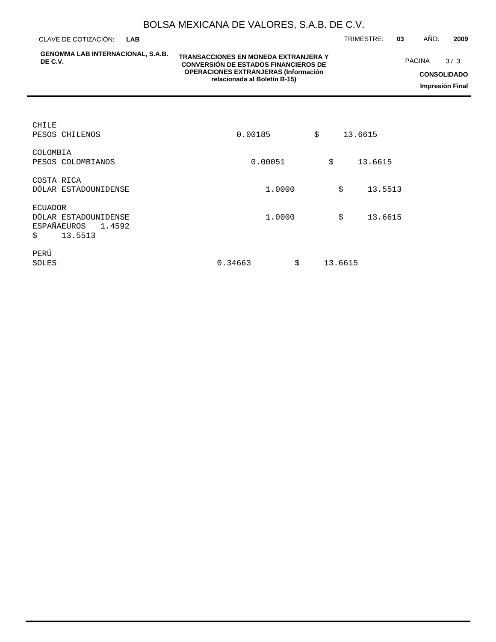CLAVE DE COTIZACIÓN: TRIMESTRE: **03** AÑO: **2009 LAB**

**GENOMMA LAB INTERNACIONAL, S.A.B. DE C.V.**

### **TRANSACCIONES EN MONEDA EXTRANJERA Y CONVERSIÓN DE ESTADOS FINANCIEROS DE OPERACIONES EXTRANJERAS (Información relacionada al Boletín B-15)**

**CONSOLIDADO Impresión Final** PAGINA 3/3

| CHILE<br>PESOS CHILENOS                                                    | 0.00185       | \$<br>13.6615 |         |
|----------------------------------------------------------------------------|---------------|---------------|---------|
| COLOMBIA<br>PESOS COLOMBIANOS                                              | 0.00051       | \$            | 13.6615 |
| COSTA RICA<br>DÓLAR ESTADOUNIDENSE                                         | 1,0000        | \$            | 13.5513 |
| ECUADOR<br>DÓLAR ESTADOUNIDENSE<br>ESPAÑA EUROS<br>1.4592<br>13.5513<br>\$ | 1,0000        | \$            | 13.6615 |
| PERÚ<br>SOLES                                                              | \$<br>0.34663 | 13.6615       |         |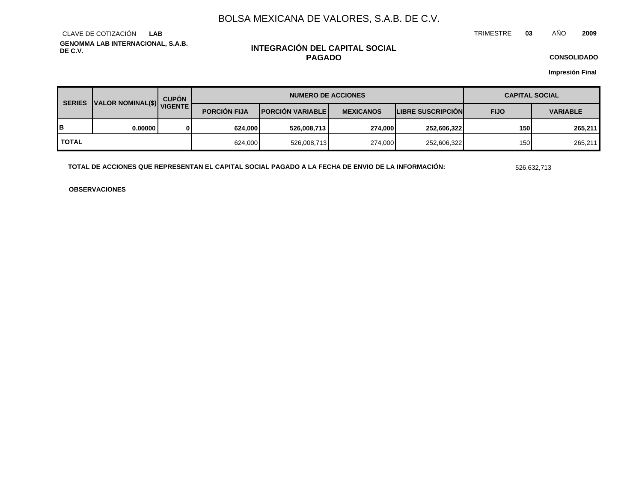TRIMESTRE **03** AÑO **2009**

**GENOMMA LAB INTERNACIONAL, S.A.B. DE C.V.** CLAVE DE COTIZACIÓN **LAB**

### **INTEGRACIÓN DEL CAPITAL SOCIAL PAGADO**

**CONSOLIDADO**

**Impresión Final**

| <b>SERIES</b> | <b>CUPÓN</b><br>VALOR NOMINAL(\$) VIGENTE |   | <b>NUMERO DE ACCIONES</b> |                           |                  |                          | <b>CAPITAL SOCIAL</b> |                 |  |
|---------------|-------------------------------------------|---|---------------------------|---------------------------|------------------|--------------------------|-----------------------|-----------------|--|
|               |                                           |   | <b>PORCIÓN FIJA</b>       | <b>IPORCIÓN VARIABLEI</b> | <b>MEXICANOS</b> | <b>LIBRE SUSCRIPCIÓN</b> | <b>FIJO</b>           | <b>VARIABLE</b> |  |
| в             | 0.000001                                  | 0 | 624.000                   | 526,008,713               | <b>274.0001</b>  | 252,606,322              | 150                   | 265,211         |  |
| <b>TOTAL</b>  |                                           |   | 624,000                   | 526,008,713               | 274,000          | 252,606,322              | 150                   | 265,211         |  |

**TOTAL DE ACCIONES QUE REPRESENTAN EL CAPITAL SOCIAL PAGADO A LA FECHA DE ENVIO DE LA INFORMACIÓN:** 526,632,713

**OBSERVACIONES**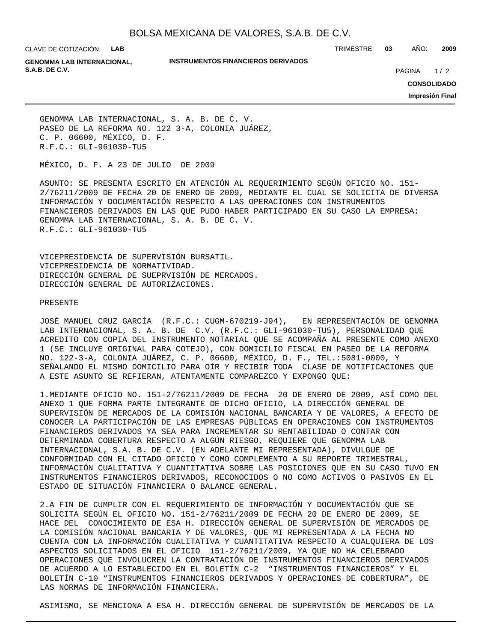CLAVE DE COTIZACIÓN: **LAB**

**INSTRUMENTOS FINANCIEROS DERIVADOS**

TRIMESTRE: **03** AÑO: **2009**

**GENOMMA LAB INTERNACIONAL, S.A.B. DE C.V. PAGINA 2020 20:20 20:20 20:20 20:20 20:20 20:20 20:20 20:20 20:20 20:20 20:20 20:20 20:20 20:20 20:20 20:20 20:20 20:20 20:20 20:20 20:20 20:20 20:20 20:20 20:20 20:20 20:20 20:20 20:20 20:20 20:20 20:20** 

 $1/2$ 

**CONSOLIDADO**

**Impresión Final**

GENOMMA LAB INTERNACIONAL, S. A. B. DE C. V. PASEO DE LA REFORMA NO. 122 3-A, COLONIA JUÁREZ, C. P. 06600, MÉXICO, D. F. R.F.C.: GLI-961030-TU5

MÉXICO, D. F. A 23 DE JULIO DE 2009

ASUNTO: SE PRESENTA ESCRITO EN ATENCIÓN AL REQUERIMIENTO SEGÚN OFICIO NO. 151- 2/76211/2009 DE FECHA 20 DE ENERO DE 2009, MEDIANTE EL CUAL SE SOLICITA DE DIVERSA INFORMACIÓN Y DOCUMENTACIÓN RESPECTO A LAS OPERACIONES CON INSTRUMENTOS FINANCIEROS DERIVADOS EN LAS QUE PUDO HABER PARTICIPADO EN SU CASO LA EMPRESA: GENOMMA LAB INTERNACIONAL, S. A. B. DE C. V. R.F.C.: GLI-961030-TU5

VICEPRESIDENCIA DE SUPERVISIÓN BURSATIL. VICEPRESIDENCIA DE NORMATIVIDAD. DIRECCIÓN GENERAL DE SUEPRVISIÓN DE MERCADOS. DIRECCIÓN GENERAL DE AUTORIZACIONES.

### PRESENTE

JOSÉ MANUEL CRUZ GARCÍA (R.F.C.: CUGM-670219-J94), EN REPRESENTACIÓN DE GENOMMA LAB INTERNACIONAL, S. A. B. DE C.V. (R.F.C.: GLI-961030-TU5), PERSONALIDAD QUE ACREDITO CON COPIA DEL INSTRUMENTO NOTARIAL QUE SE ACOMPAÑA AL PRESENTE COMO ANEXO 1 (SE INCLUYE ORIGINAL PARA COTEJO), CON DOMICILIO FISCAL EN PASEO DE LA REFORMA NO. 122-3-A, COLONIA JUÁREZ, C. P. 06600, MÉXICO, D. F., TEL.:5081-0000, Y SEÑALANDO EL MISMO DOMICILIO PARA OÍR Y RECIBIR TODA CLASE DE NOTIFICACIONES QUE A ESTE ASUNTO SE REFIERAN, ATENTAMENTE COMPAREZCO Y EXPONGO QUE:

1. MEDIANTE OFICIO NO. 151-2/76211/2009 DE FECHA 20 DE ENERO DE 2009, ASÍ COMO DEL ANEXO 1 QUE FORMA PARTE INTEGRANTE DE DICHO OFICIO, LA DIRECCIÓN GENERAL DE SUPERVISIÓN DE MERCADOS DE LA COMISIÓN NACIONAL BANCARIA Y DE VALORES, A EFECTO DE CONOCER LA PARTICIPACIÓN DE LAS EMPRESAS PÚBLICAS EN OPERACIONES CON INSTRUMENTOS FINANCIEROS DERIVADOS YA SEA PARA INCREMENTAR SU RENTABILIDAD O CONTAR CON DETERMINADA COBERTURA RESPECTO A ALGÚN RIESGO, REQUIERE QUE GENOMMA LAB INTERNACIONAL, S.A. B. DE C.V. (EN ADELANTE MI REPRESENTADA), DIVULGUE DE CONFORMIDAD CON EL CITADO OFICIO Y COMO COMPLEMENTO A SU REPORTE TRIMESTRAL, INFORMACIÓN CUALITATIVA Y CUANTITATIVA SOBRE LAS POSICIONES QUE EN SU CASO TUVO EN INSTRUMENTOS FINANCIEROS DERIVADOS, RECONOCIDOS O NO COMO ACTIVOS O PASIVOS EN EL ESTADO DE SITUACIÓN FINANCIERA O BALANCE GENERAL.

2. A FIN DE CUMPLIR CON EL REQUERIMIENTO DE INFORMACIÓN Y DOCUMENTACIÓN QUE SE SOLICITA SEGÚN EL OFICIO NO. 151-2/76211/2009 DE FECHA 20 DE ENERO DE 2009, SE HACE DEL CONOCIMIENTO DE ESA H. DIRECCIÓN GENERAL DE SUPERVISIÓN DE MERCADOS DE LA COMISIÓN NACIONAL BANCARIA Y DE VALORES, QUE MI REPRESENTADA A LA FECHA NO CUENTA CON LA INFORMACIÓN CUALITATIVA Y CUANTITATIVA RESPECTO A CUALQUIERA DE LOS ASPECTOS SOLICITADOS EN EL OFICIO 151-2/76211/2009, YA QUE NO HA CELEBRADO OPERACIONES QUE INVOLUCREN LA CONTRATACIÓN DE INSTRUMENTOS FINANCIEROS DERIVADOS DE ACUERDO A LO ESTABLECIDO EN EL BOLETÍN C-2 "INSTRUMENTOS FINANCIEROS" Y EL BOLETÍN C-10 "INSTRUMENTOS FINANCIEROS DERIVADOS Y OPERACIONES DE COBERTURA", DE LAS NORMAS DE INFORMACIÓN FINANCIERA.

ASIMISMO, SE MENCIONA A ESA H. DIRECCIÓN GENERAL DE SUPERVISIÓN DE MERCADOS DE LA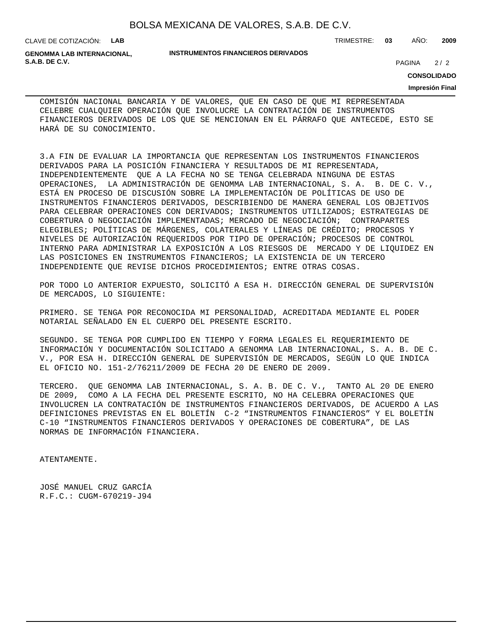CLAVE DE COTIZACIÓN: **LAB**

**GENOMMA LAB INTERNACIONAL, S.A.B. DE C.V.** 2/2

#### **INSTRUMENTOS FINANCIEROS DERIVADOS**

TRIMESTRE: **03** AÑO: **2009**

**CONSOLIDADO**

**Impresión Final**

 $2/2$ 

COMISIÓN NACIONAL BANCARIA Y DE VALORES, QUE EN CASO DE QUE MI REPRESENTADA CELEBRE CUALQUIER OPERACIÓN QUE INVOLUCRE LA CONTRATACIÓN DE INSTRUMENTOS FINANCIEROS DERIVADOS DE LOS QUE SE MENCIONAN EN EL PÁRRAFO QUE ANTECEDE, ESTO SE HARÁ DE SU CONOCIMIENTO.

3. A FIN DE EVALUAR LA IMPORTANCIA QUE REPRESENTAN LOS INSTRUMENTOS FINANCIEROS DERIVADOS PARA LA POSICIÓN FINANCIERA Y RESULTADOS DE MI REPRESENTADA, INDEPENDIENTEMENTE QUE A LA FECHA NO SE TENGA CELEBRADA NINGUNA DE ESTAS OPERACIONES, LA ADMINISTRACIÓN DE GENOMMA LAB INTERNACIONAL, S. A. B. DE C. V., ESTÁ EN PROCESO DE DISCUSIÓN SOBRE LA IMPLEMENTACIÓN DE POLÍTICAS DE USO DE INSTRUMENTOS FINANCIEROS DERIVADOS, DESCRIBIENDO DE MANERA GENERAL LOS OBJETIVOS PARA CELEBRAR OPERACIONES CON DERIVADOS; INSTRUMENTOS UTILIZADOS; ESTRATEGIAS DE COBERTURA O NEGOCIACIÓN IMPLEMENTADAS; MERCADO DE NEGOCIACIÓN; CONTRAPARTES ELEGIBLES; POLÍTICAS DE MÁRGENES, COLATERALES Y LÍNEAS DE CRÉDITO; PROCESOS Y NIVELES DE AUTORIZACIÓN REQUERIDOS POR TIPO DE OPERACIÓN; PROCESOS DE CONTROL INTERNO PARA ADMINISTRAR LA EXPOSICIÓN A LOS RIESGOS DE MERCADO Y DE LIQUIDEZ EN LAS POSICIONES EN INSTRUMENTOS FINANCIEROS; LA EXISTENCIA DE UN TERCERO INDEPENDIENTE QUE REVISE DICHOS PROCEDIMIENTOS; ENTRE OTRAS COSAS.

POR TODO LO ANTERIOR EXPUESTO, SOLICITÓ A ESA H. DIRECCIÓN GENERAL DE SUPERVISIÓN DE MERCADOS, LO SIGUIENTE:

PRIMERO. SE TENGA POR RECONOCIDA MI PERSONALIDAD, ACREDITADA MEDIANTE EL PODER NOTARIAL SEÑALADO EN EL CUERPO DEL PRESENTE ESCRITO.

SEGUNDO. SE TENGA POR CUMPLIDO EN TIEMPO Y FORMA LEGALES EL REQUERIMIENTO DE INFORMACIÓN Y DOCUMENTACIÓN SOLICITADO A GENOMMA LAB INTERNACIONAL, S. A. B. DE C. V., POR ESA H. DIRECCIÓN GENERAL DE SUPERVISIÓN DE MERCADOS, SEGÚN LO QUE INDICA EL OFICIO NO. 151-2/76211/2009 DE FECHA 20 DE ENERO DE 2009.

TERCERO. QUE GENOMMA LAB INTERNACIONAL, S. A. B. DE C. V., TANTO AL 20 DE ENERO DE 2009, COMO A LA FECHA DEL PRESENTE ESCRITO, NO HA CELEBRA OPERACIONES QUE INVOLUCREN LA CONTRATACIÓN DE INSTRUMENTOS FINANCIEROS DERIVADOS, DE ACUERDO A LAS DEFINICIONES PREVISTAS EN EL BOLETÍN C-2 "INSTRUMENTOS FINANCIEROS" Y EL BOLETÍN C-10 "INSTRUMENTOS FINANCIEROS DERIVADOS Y OPERACIONES DE COBERTURA", DE LAS NORMAS DE INFORMACIÓN FINANCIERA.

ATENTAMENTE.

JOSÉ MANUEL CRUZ GARCÍA R.F.C.: CUGM-670219-J94